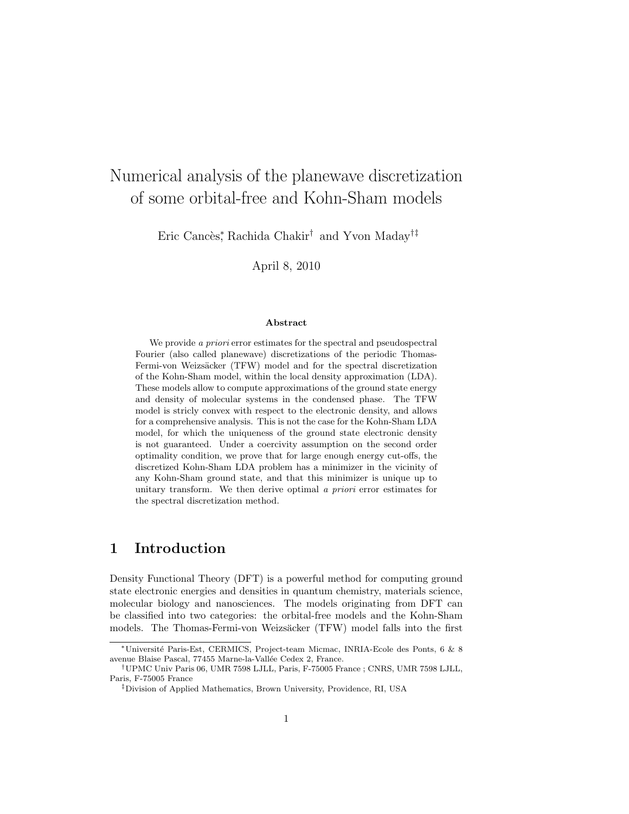# Numerical analysis of the planewave discretization of some orbital-free and Kohn-Sham models

Eric Cancès\*, Rachida Chakir<sup>†</sup> and Yvon Maday<sup>†‡</sup>

April 8, 2010

#### Abstract

We provide a *priori* error estimates for the spectral and pseudospectral Fourier (also called planewave) discretizations of the periodic Thomas-Fermi-von Weizsäcker (TFW) model and for the spectral discretization of the Kohn-Sham model, within the local density approximation (LDA). These models allow to compute approximations of the ground state energy and density of molecular systems in the condensed phase. The TFW model is stricly convex with respect to the electronic density, and allows for a comprehensive analysis. This is not the case for the Kohn-Sham LDA model, for which the uniqueness of the ground state electronic density is not guaranteed. Under a coercivity assumption on the second order optimality condition, we prove that for large enough energy cut-offs, the discretized Kohn-Sham LDA problem has a minimizer in the vicinity of any Kohn-Sham ground state, and that this minimizer is unique up to unitary transform. We then derive optimal a *priori* error estimates for the spectral discretization method.

# 1 Introduction

Density Functional Theory (DFT) is a powerful method for computing ground state electronic energies and densities in quantum chemistry, materials science, molecular biology and nanosciences. The models originating from DFT can be classified into two categories: the orbital-free models and the Kohn-Sham models. The Thomas-Fermi-von Weizsäcker (TFW) model falls into the first

<sup>∗</sup>Universit´e Paris-Est, CERMICS, Project-team Micmac, INRIA-Ecole des Ponts, 6 & 8 avenue Blaise Pascal, 77455 Marne-la-Vallée Cedex 2, France.

<sup>†</sup>UPMC Univ Paris 06, UMR 7598 LJLL, Paris, F-75005 France ; CNRS, UMR 7598 LJLL, Paris, F-75005 France

<sup>‡</sup>Division of Applied Mathematics, Brown University, Providence, RI, USA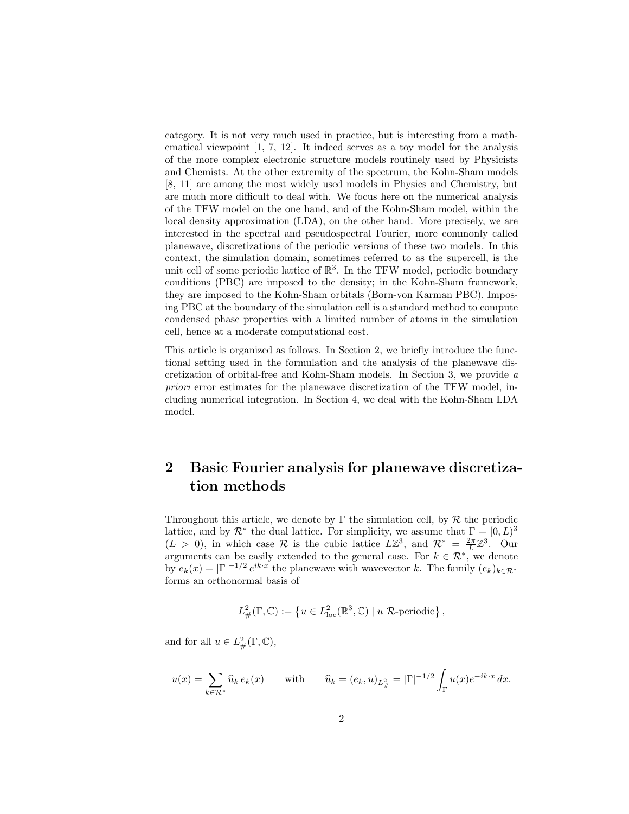category. It is not very much used in practice, but is interesting from a mathematical viewpoint [1, 7, 12]. It indeed serves as a toy model for the analysis of the more complex electronic structure models routinely used by Physicists and Chemists. At the other extremity of the spectrum, the Kohn-Sham models [8, 11] are among the most widely used models in Physics and Chemistry, but are much more difficult to deal with. We focus here on the numerical analysis of the TFW model on the one hand, and of the Kohn-Sham model, within the local density approximation (LDA), on the other hand. More precisely, we are interested in the spectral and pseudospectral Fourier, more commonly called planewave, discretizations of the periodic versions of these two models. In this context, the simulation domain, sometimes referred to as the supercell, is the unit cell of some periodic lattice of  $\mathbb{R}^3$ . In the TFW model, periodic boundary conditions (PBC) are imposed to the density; in the Kohn-Sham framework, they are imposed to the Kohn-Sham orbitals (Born-von Karman PBC). Imposing PBC at the boundary of the simulation cell is a standard method to compute condensed phase properties with a limited number of atoms in the simulation cell, hence at a moderate computational cost.

This article is organized as follows. In Section 2, we briefly introduce the functional setting used in the formulation and the analysis of the planewave discretization of orbital-free and Kohn-Sham models. In Section 3, we provide a priori error estimates for the planewave discretization of the TFW model, including numerical integration. In Section 4, we deal with the Kohn-Sham LDA model.

# 2 Basic Fourier analysis for planewave discretization methods

Throughout this article, we denote by  $\Gamma$  the simulation cell, by  $\mathcal R$  the periodic lattice, and by  $\mathcal{R}^*$  the dual lattice. For simplicity, we assume that  $\Gamma = [0, L)^3$  $(L > 0)$ , in which case R is the cubic lattice  $L\mathbb{Z}^3$ , and  $\mathcal{R}^* = \frac{2\pi}{L}\mathbb{Z}^3$ . Our arguments can be easily extended to the general case. For  $k \in \mathcal{R}^*$ , we denote by  $e_k(x) = |\Gamma|^{-1/2} e^{ik \cdot x}$  the planewave with wavevector k. The family  $(e_k)_{k \in \mathcal{R}^*}$ forms an orthonormal basis of

$$
L^2_{\#}(\Gamma,\mathbb{C}) := \left\{ u \in L^2_{\text{loc}}(\mathbb{R}^3,\mathbb{C}) \mid u \mathcal{R}\text{-periodic} \right\},\,
$$

and for all  $u \in L^2_{\#}(\Gamma, \mathbb{C}),$ 

$$
u(x) = \sum_{k \in \mathcal{R}^*} \hat{u}_k \, e_k(x) \qquad \text{with} \qquad \hat{u}_k = (e_k, u)_{L^2_{\#}} = |\Gamma|^{-1/2} \int_{\Gamma} u(x) e^{-ik \cdot x} \, dx.
$$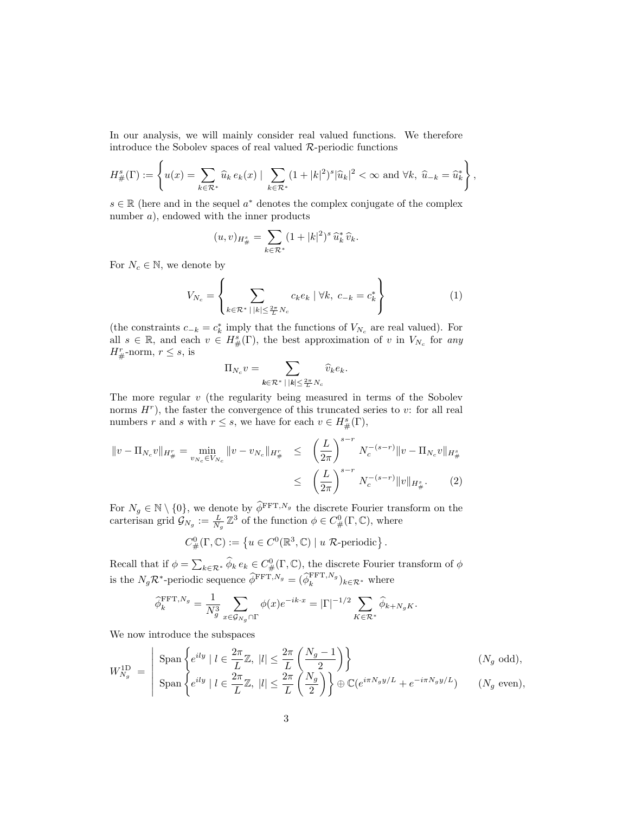In our analysis, we will mainly consider real valued functions. We therefore introduce the Sobolev spaces of real valued  $R$ -periodic functions

$$
H^s_{\#}(\Gamma) := \left\{ u(x) = \sum_{k \in \mathcal{R}^*} \widehat{u}_k \, e_k(x) \mid \sum_{k \in \mathcal{R}^*} (1+|k|^2)^s |\widehat{u}_k|^2 < \infty \text{ and } \forall k, \ \widehat{u}_{-k} = \widehat{u}_k^* \right\},
$$

 $s \in \mathbb{R}$  (here and in the sequel  $a^*$  denotes the complex conjugate of the complex number a), endowed with the inner products

$$
(u, v)_{H^s_{\#}} = \sum_{k \in \mathcal{R}^*} (1 + |k|^2)^s \, \widehat{u}_k^* \, \widehat{v}_k.
$$

For  $N_c \in \mathbb{N}$ , we denote by

$$
V_{N_c} = \left\{ \sum_{k \in \mathcal{R}^* \, | \, |k| \le \frac{2\pi}{L} N_c} c_k e_k \, | \, \forall k, \, c_{-k} = c_k^* \right\} \tag{1}
$$

(the constraints  $c_{-k} = c_k^*$  imply that the functions of  $V_{N_c}$  are real valued). For all  $s \in \mathbb{R}$ , and each  $v \in H^s_{\#}(\Gamma)$ , the best approximation of v in  $V_{N_c}$  for any  $H^r_{\#}$ -norm,  $r \leq s$ , is

$$
\Pi_{N_c} v = \sum_{k \in \mathcal{R}^* \, | \, |k| \leq \frac{2\pi}{L} N_c} \widehat{v}_k e_k.
$$

The more regular  $v$  (the regularity being measured in terms of the Sobolev norms  $H<sup>r</sup>$ ), the faster the convergence of this truncated series to v: for all real numbers r and s with  $r \leq s$ , we have for each  $v \in H^s_{\#}(\Gamma)$ ,

$$
||v - \Pi_{N_c} v||_{H^r_{\#}} = \min_{v_{N_c} \in V_{N_c}} ||v - v_{N_c}||_{H^r_{\#}} \le \left(\frac{L}{2\pi}\right)^{s-r} N_c^{-(s-r)} ||v - \Pi_{N_c} v||_{H^s_{\#}} \le \left(\frac{L}{2\pi}\right)^{s-r} N_c^{-(s-r)} ||v||_{H^s_{\#}}.
$$
 (2)

For  $N_g \in \mathbb{N} \setminus \{0\}$ , we denote by  $\widetilde{\phi}^{\text{FFT},N_g}$  the discrete Fourier transform on the carterisan grid  $\mathcal{G}_{N_g} := \frac{L}{N_g} \mathbb{Z}^3$  of the function  $\phi \in C^0_{\#}(\Gamma, \mathbb{C})$ , where

$$
C^0_{\#}(\Gamma, \mathbb{C}) := \left\{ u \in C^0(\mathbb{R}^3, \mathbb{C}) \mid u \mathcal{R} \text{-periodic} \right\}.
$$

Recall that if  $\phi = \sum_{k \in \mathcal{R}^*} \widehat{\phi}_k e_k \in C^0_\#(\Gamma, \mathbb{C})$ , the discrete Fourier transform of  $\phi$ is the  $N_g \mathcal{R}^*$ -periodic sequence  $\widehat{\phi}^{\text{FFT},N_g} = (\widehat{\phi}_k^{\text{FFT},N_g})_{k \in \mathcal{R}^*}$  where

$$
\widehat{\phi}_k^{\text{FFT},N_g} = \frac{1}{N_g^3} \sum_{x \in \mathcal{G}_{N_g} \cap \Gamma} \phi(x) e^{-ik \cdot x} = |\Gamma|^{-1/2} \sum_{K \in \mathcal{R}^*} \widehat{\phi}_{k+N_gK}.
$$

We now introduce the subspaces

$$
W_{N_g}^{\text{1D}} = \begin{vmatrix} \text{Span} \left\{ e^{ily} \mid l \in \frac{2\pi}{L} \mathbb{Z}, \ |l| \le \frac{2\pi}{L} \left( \frac{N_g - 1}{2} \right) \right\} & (N_g \text{ odd}), \\ \text{Span} \left\{ e^{ily} \mid l \in \frac{2\pi}{L} \mathbb{Z}, \ |l| \le \frac{2\pi}{L} \left( \frac{N_g}{2} \right) \right\} \oplus \mathbb{C}(e^{i\pi N_g y/L} + e^{-i\pi N_g y/L}) & (N_g \text{ even}), \end{vmatrix}
$$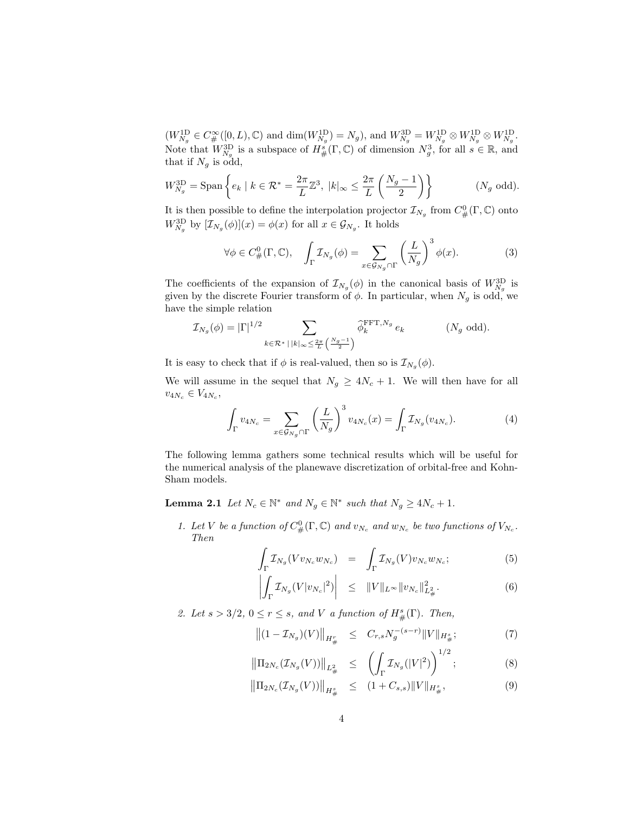$(W_{N_g}^{1D} \in C^{\infty}_{\#}([0,L), \mathbb{C})$  and  $\dim(W_{N_g}^{1D}) = N_g$ ), and  $W_{N_g}^{3D} = W_{N_g}^{1D} \otimes W_{N_g}^{1D} \otimes W_{N_g}^{1D}$ . Note that  $W_{N_g}^{\text{3D}}$  is a subspace of  $H^s_{\#}(\Gamma,\mathbb{C})$  of dimension  $N_g^3$ , for all  $s \in \mathbb{R}$ , and that if  $N_g$  is odd,

$$
W_{N_g}^{3D} = \text{Span}\left\{e_k \mid k \in \mathcal{R}^* = \frac{2\pi}{L} \mathbb{Z}^3, \ |k|_{\infty} \le \frac{2\pi}{L} \left(\frac{N_g - 1}{2}\right)\right\} \qquad (N_g \text{ odd}).
$$

It is then possible to define the interpolation projector  $\mathcal{I}_{N_g}$  from  $C^0_{\#}(\Gamma, \mathbb{C})$  onto  $W_{N_g}^{\text{3D}}$  by  $[\mathcal{I}_{N_g}(\phi)](x) = \phi(x)$  for all  $x \in \mathcal{G}_{N_g}$ . It holds

$$
\forall \phi \in C^0_\#(\Gamma, \mathbb{C}), \quad \int_{\Gamma} \mathcal{I}_{N_g}(\phi) = \sum_{x \in \mathcal{G}_{N_g} \cap \Gamma} \left(\frac{L}{N_g}\right)^3 \phi(x). \tag{3}
$$

The coefficients of the expansion of  $\mathcal{I}_{N_g}(\phi)$  in the canonical basis of  $W_{N_g}^{\mathrm{3D}}$  is given by the discrete Fourier transform of  $\phi$ . In particular, when  $N_g$  is odd, we have the simple relation

$$
\mathcal{I}_{N_g}(\phi) = |\Gamma|^{1/2} \sum_{k \in \mathcal{R}^* \, | \, |k|_{\infty} \leq \frac{2\pi}{L} \left(\frac{N_g - 1}{2}\right)} \widehat{\phi}_k^{\text{FFT}, N_g} e_k \qquad (N_g \text{ odd}).
$$

It is easy to check that if  $\phi$  is real-valued, then so is  $\mathcal{I}_{N_g}(\phi)$ .

We will assume in the sequel that  $N_g \geq 4N_c + 1$ . We will then have for all  $v_{4N_c} \in V_{4N_c},$ 

$$
\int_{\Gamma} v_{4N_c} = \sum_{x \in \mathcal{G}_{N_g} \cap \Gamma} \left(\frac{L}{N_g}\right)^3 v_{4N_c}(x) = \int_{\Gamma} \mathcal{I}_{N_g}(v_{4N_c}). \tag{4}
$$

The following lemma gathers some technical results which will be useful for the numerical analysis of the planewave discretization of orbital-free and Kohn-Sham models.

**Lemma 2.1** Let  $N_c \in \mathbb{N}^*$  and  $N_g \in \mathbb{N}^*$  such that  $N_g \geq 4N_c + 1$ .

1. Let V be a function of  $C^0_{\#}(\Gamma, \mathbb{C})$  and  $v_{N_c}$  and  $w_{N_c}$  be two functions of  $V_{N_c}$ . Then

$$
\int_{\Gamma} \mathcal{I}_{N_g}(V v_{N_c} w_{N_c}) = \int_{\Gamma} \mathcal{I}_{N_g}(V) v_{N_c} w_{N_c};\tag{5}
$$

$$
\left| \int_{\Gamma} \mathcal{I}_{N_g}(V|v_{N_c}|^2) \right| \leq \|V\|_{L^{\infty}} \|v_{N_c}\|_{L^2_{\#}}^2.
$$
 (6)

2. Let  $s > 3/2$ ,  $0 \le r \le s$ , and V a function of  $H^s_{\#}(\Gamma)$ . Then,

$$
\left\| (1 - \mathcal{I}_{N_g})(V) \right\|_{H^r_{\#}} \leq C_{r,s} N_g^{-(s-r)} \|V\|_{H^s_{\#}};
$$
\n(7)

$$
\left\| \Pi_{2N_c}(\mathcal{I}_{N_g}(V)) \right\|_{L^2_{\#}} \leq \left( \int_{\Gamma} \mathcal{I}_{N_g}(|V|^2) \right)^{1/2};
$$
 (8)

$$
\left\| \Pi_{2N_c}(\mathcal{I}_{N_g}(V)) \right\|_{H^s_{\#}} \leq (1 + C_{s,s}) \|V\|_{H^s_{\#}}, \tag{9}
$$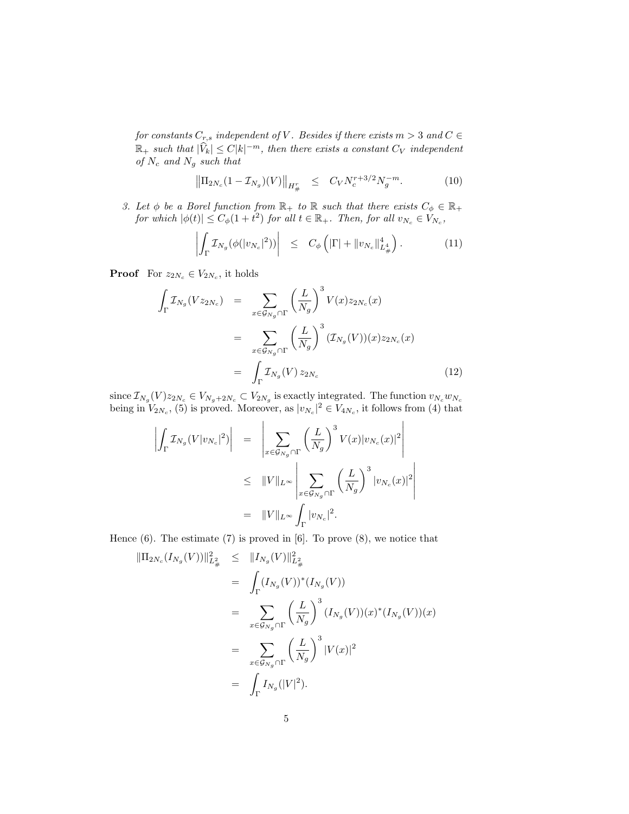for constants  $C_{r,s}$  independent of V. Besides if there exists  $m > 3$  and  $C \in$  $\mathbb{R}_+$  such that  $|\widehat{V}_k| \leq C|k|^{-m}$ , then there exists a constant  $C_V$  independent of  $N_c$  and  $N_g$  such that

$$
\left\| \Pi_{2N_c} (1 - \mathcal{I}_{N_g})(V) \right\|_{H^r_{\#}} \leq C_V N_c^{r+3/2} N_g^{-m}.
$$
 (10)

3. Let  $\phi$  be a Borel function from  $\mathbb{R}_+$  to  $\mathbb R$  such that there exists  $C_{\phi} \in \mathbb{R}_+$ for which  $|\phi(t)| \leq C_{\phi}(1+t^2)$  for all  $t \in \mathbb{R}_+$ . Then, for all  $v_{N_c} \in V_{N_c}$ ,

$$
\left| \int_{\Gamma} \mathcal{I}_{N_g}(\phi(|v_{N_c}|^2)) \right| \leq C_{\phi} \left( |\Gamma| + \|v_{N_c}\|_{L^4_{\#}}^4 \right). \tag{11}
$$

**Proof** For  $z_{2N_c} \in V_{2N_c}$ , it holds

$$
\int_{\Gamma} \mathcal{I}_{N_g}(Vz_{2N_c}) = \sum_{x \in \mathcal{G}_{N_g} \cap \Gamma} \left(\frac{L}{N_g}\right)^3 V(x) z_{2N_c}(x)
$$
\n
$$
= \sum_{x \in \mathcal{G}_{N_g} \cap \Gamma} \left(\frac{L}{N_g}\right)^3 (\mathcal{I}_{N_g}(V))(x) z_{2N_c}(x)
$$
\n
$$
= \int_{\Gamma} \mathcal{I}_{N_g}(V) z_{2N_c} \tag{12}
$$

since  $\mathcal{I}_{N_g}(V)z_{2N_c} \in V_{N_g+2N_c} \subset V_{2N_g}$  is exactly integrated. The function  $v_{N_c}w_{N_c}$ being in  $V_{2N_c}$ , (5) is proved. Moreover, as  $|v_{N_c}|^2 \in V_{4N_c}$ , it follows from (4) that

$$
\left| \int_{\Gamma} \mathcal{I}_{N_g}(V|v_{N_c}|^2) \right| = \left| \sum_{x \in \mathcal{G}_{N_g} \cap \Gamma} \left( \frac{L}{N_g} \right)^3 V(x) |v_{N_c}(x)|^2 \right|
$$
  
\n
$$
\leq \|V\|_{L^{\infty}} \left| \sum_{x \in \mathcal{G}_{N_g} \cap \Gamma} \left( \frac{L}{N_g} \right)^3 |v_{N_c}(x)|^2 \right|
$$
  
\n
$$
= \|V\|_{L^{\infty}} \int_{\Gamma} |v_{N_c}|^2.
$$

Hence  $(6)$ . The estimate  $(7)$  is proved in  $[6]$ . To prove  $(8)$ , we notice that

$$
\begin{split} \|\Pi_{2N_c}(I_{N_g}(V))\|_{L^2_{\#}}^2 &\leq \|I_{N_g}(V)\|_{L^2_{\#}}^2 \\ &= \int_{\Gamma} (I_{N_g}(V))^*(I_{N_g}(V)) \\ &= \sum_{x \in \mathcal{G}_{N_g} \cap \Gamma} \left(\frac{L}{N_g}\right)^3 (I_{N_g}(V))(x)^*(I_{N_g}(V))(x) \\ &= \sum_{x \in \mathcal{G}_{N_g} \cap \Gamma} \left(\frac{L}{N_g}\right)^3 |V(x)|^2 \\ &= \int_{\Gamma} I_{N_g}(|V|^2). \end{split}
$$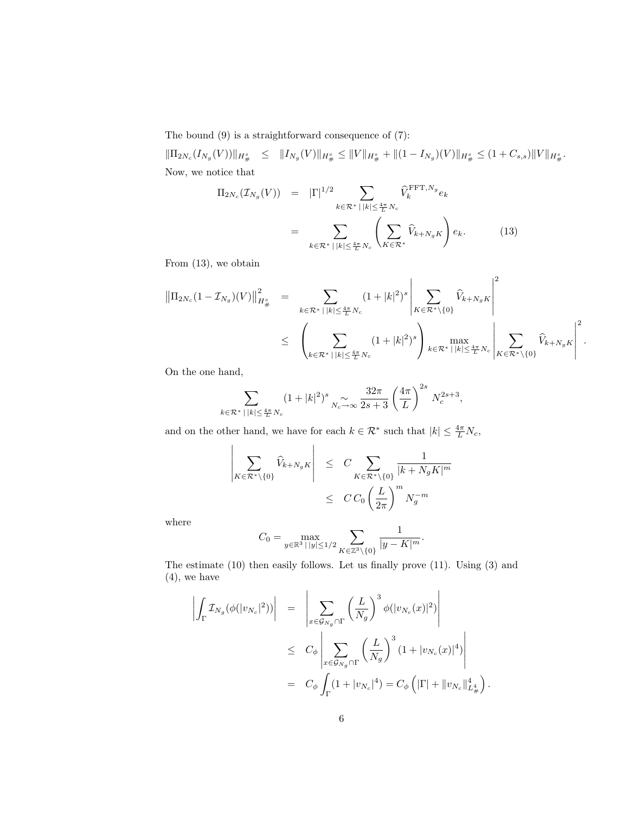The bound (9) is a straightforward consequence of (7):

 $\|\Pi_{2N_c}(I_{N_g}(V))\|_{H^s_{\#}} \leq \|I_{N_g}(V)\|_{H^s_{\#}} \leq \|V\|_{H^s_{\#}} + \|(1 - I_{N_g})(V)\|_{H^s_{\#}} \leq (1 + C_{s,s})\|V\|_{H^s_{\#}}.$ Now, we notice that

$$
\Pi_{2N_c}(\mathcal{I}_{N_g}(V)) = |\Gamma|^{1/2} \sum_{k \in \mathcal{R}^* \, | \, |k| \le \frac{4\pi}{L} N_c} \widehat{V}_k^{\text{FFT}, N_g} e_k
$$
\n
$$
= \sum_{k \in \mathcal{R}^* \, | \, |k| \le \frac{4\pi}{L} N_c} \left( \sum_{K \in \mathcal{R}^*} \widehat{V}_{k+N_g K} \right) e_k. \tag{13}
$$

From (13), we obtain

$$
\|\Pi_{2N_c}(1-\mathcal{I}_{N_g})(V)\|_{H^s_{\#}}^2 = \sum_{k \in \mathcal{R}^* \,|\, |k| \leq \frac{4\pi}{L}N_c} (1+|k|^2)^s \left|\sum_{K \in \mathcal{R}^* \setminus \{0\}} \widehat{V}_{k+N_gK}\right|^2 \leq \left(\sum_{k \in \mathcal{R}^* \,|\, |k| \leq \frac{4\pi}{L}N_c} (1+|k|^2)^s\right) \max_{k \in \mathcal{R}^* \,|\, |k| \leq \frac{4\pi}{L}N_c} \left|\sum_{K \in \mathcal{R}^* \setminus \{0\}} \widehat{V}_{k+N_gK}\right|^2.
$$

On the one hand,

$$
\sum_{k \in \mathcal{R}^* \, | \, |k| \le \frac{4\pi}{L} N_c} (1 + |k|^2)^s \sum_{N_c \to \infty} \frac{32\pi}{2s + 3} \left(\frac{4\pi}{L}\right)^{2s} N_c^{2s + 3},
$$

and on the other hand, we have for each  $k \in \mathcal{R}^*$  such that  $|k| \leq \frac{4\pi}{L} N_c$ ,

$$
\left| \sum_{K \in \mathcal{R}^* \setminus \{0\}} \widehat{V}_{k+N_g K} \right| \leq C \sum_{K \in \mathcal{R}^* \setminus \{0\}} \frac{1}{|k+N_g K|^m} \leq C C_0 \left(\frac{L}{2\pi}\right)^m N_g^{-m}
$$

where

$$
C_0 = \max_{y \in \mathbb{R}^3 \, | \, |y| \le 1/2} \sum_{K \in \mathbb{Z}^3 \backslash \{0\}} \frac{1}{|y - K|^m}.
$$

The estimate (10) then easily follows. Let us finally prove (11). Using (3) and (4), we have

$$
\left| \int_{\Gamma} \mathcal{I}_{N_g}(\phi(|v_{N_c}|^2)) \right| = \left| \sum_{x \in \mathcal{G}_{N_g} \cap \Gamma} \left( \frac{L}{N_g} \right)^3 \phi(|v_{N_c}(x)|^2) \right|
$$
  
\n
$$
\leq C_{\phi} \left| \sum_{x \in \mathcal{G}_{N_g} \cap \Gamma} \left( \frac{L}{N_g} \right)^3 (1 + |v_{N_c}(x)|^4) \right|
$$
  
\n
$$
= C_{\phi} \int_{\Gamma} (1 + |v_{N_c}|^4) = C_{\phi} \left( |\Gamma| + ||v_{N_c}||_{L^4_{\#}}^4 \right)
$$

.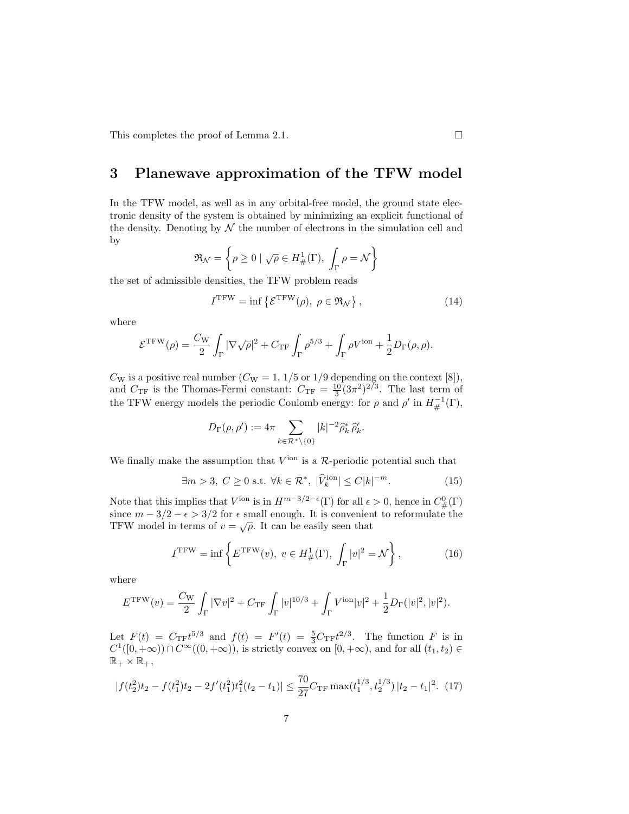This completes the proof of Lemma 2.1.

## 3 Planewave approximation of the TFW model

In the TFW model, as well as in any orbital-free model, the ground state electronic density of the system is obtained by minimizing an explicit functional of the density. Denoting by  $\mathcal N$  the number of electrons in the simulation cell and by

$$
\mathfrak{R}_{\mathcal{N}} = \left\{ \rho \ge 0 \mid \sqrt{\rho} \in H^1_{\#}(\Gamma), \int_{\Gamma} \rho = \mathcal{N} \right\}
$$

the set of admissible densities, the TFW problem reads

$$
I^{\text{TFW}} = \inf \left\{ \mathcal{E}^{\text{TFW}}(\rho), \ \rho \in \mathfrak{R}_{\mathcal{N}} \right\},\tag{14}
$$

where

$$
\mathcal{E}^{\text{TFW}}(\rho) = \frac{C_{\text{W}}}{2} \int_{\Gamma} |\nabla \sqrt{\rho}|^2 + C_{\text{TF}} \int_{\Gamma} \rho^{5/3} + \int_{\Gamma} \rho V^{\text{ion}} + \frac{1}{2} D_{\Gamma}(\rho, \rho).
$$

 $C_W$  is a positive real number  $(C_W = 1, 1/5 \text{ or } 1/9$  depending on the context [8]), and  $C_{\text{TF}}$  is the Thomas-Fermi constant:  $C_{\text{TF}} = \frac{10}{3} (3\pi^2)^{2/3}$ . The last term of the TFW energy models the periodic Coulomb energy: for  $\rho$  and  $\rho'$  in  $H^{-1}_{\#}(\Gamma)$ ,

$$
D_{\Gamma}(\rho,\rho') := 4\pi \sum_{k \in \mathcal{R}^* \setminus \{0\}} |k|^{-2} \widehat{\rho}_k^* \widehat{\rho}_k'.
$$

We finally make the assumption that  $V^{\text{ion}}$  is a  $\mathcal{R}\text{-periodic potential}$  such that

$$
\exists m > 3, C \ge 0 \text{ s.t. } \forall k \in \mathcal{R}^*, \ |\widehat{V}_k^{\text{ion}}| \le C|k|^{-m}.\tag{15}
$$

Note that this implies that  $V^{\text{ion}}$  is in  $H^{m-3/2-\epsilon}(\Gamma)$  for all  $\epsilon > 0$ , hence in  $C^0_{\#}(\Gamma)$ since  $m - 3/2 - \epsilon > 3/2$  for  $\epsilon$  small enough. It is convenient to reformulate the TFW model in terms of  $v = \sqrt{\rho}$ . It can be easily seen that

$$
I^{\text{TFW}} = \inf \left\{ E^{\text{TFW}}(v), \ v \in H^1_{\#}(\Gamma), \int_{\Gamma} |v|^2 = \mathcal{N} \right\},\tag{16}
$$

where

$$
E^{\text{TFW}}(v) = \frac{C_{\text{W}}}{2} \int_{\Gamma} |\nabla v|^2 + C_{\text{TF}} \int_{\Gamma} |v|^{10/3} + \int_{\Gamma} V^{\text{ion}} |v|^2 + \frac{1}{2} D_{\Gamma} (|v|^2, |v|^2).
$$

Let  $F(t) = C_{\text{TF}}t^{5/3}$  and  $f(t) = F'(t) = \frac{5}{3}C_{\text{TF}}t^{2/3}$ . The function F is in  $C^1([0, +\infty)) \cap C^{\infty}((0, +\infty))$ , is strictly convex on  $[0, +\infty)$ , and for all  $(t_1, t_2) \in$  $\mathbb{R}_+ \times \mathbb{R}_+,$ 

$$
|f(t_2^2)t_2 - f(t_1^2)t_2 - 2f'(t_1^2)t_1^2(t_2 - t_1)| \le \frac{70}{27}C_{\text{TF}} \max(t_1^{1/3}, t_2^{1/3}) |t_2 - t_1|^2. \tag{17}
$$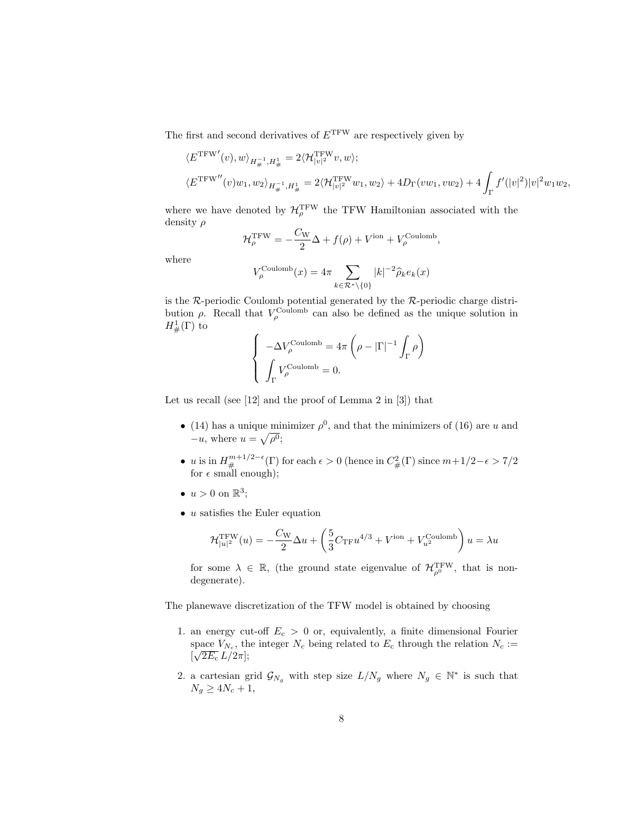The first and second derivatives of  $E^{\text{TFW}}$  are respectively given by

$$
\begin{aligned} &\langle E^{\rm TFW'}(v),w\rangle_{H^{-1}_\#,H^1_\#}=2\langle \mathcal{H}^{\rm TFW}_{|v|^2}v,w\rangle;\\ &\langle E^{\rm TFW''}(v)w_1,w_2\rangle_{H^{-1}_\#,H^1_\#}=2\langle \mathcal{H}^{\rm TFW}_{|v|^2}w_1,w_2\rangle+4D_\Gamma(vw_1,vw_2)+4\int_\Gamma f'(|v|^2)|v|^2w_1w_2, \end{aligned}
$$

where we have denoted by  $\mathcal{H}_\rho^{\rm TFW}$  the TFW Hamiltonian associated with the density ρ

$$
\mathcal{H}_{\rho}^{\text{TFW}} = -\frac{C_{\text{W}}}{2}\Delta + f(\rho) + V^{\text{ion}} + V_{\rho}^{\text{Coulomb}},
$$

where

$$
V_{\rho}^{\text{Coulomb}}(x) = 4\pi \sum_{k \in \mathcal{R}^* \setminus \{0\}} |k|^{-2} \widehat{\rho}_k e_k(x)
$$

is the  $\mathcal{R}$ -periodic Coulomb potential generated by the  $\mathcal{R}$ -periodic charge distribution  $\rho$ . Recall that  $V_{\rho}^{\text{Coulomb}}$  can also be defined as the unique solution in  $H^1_{\#}(\Gamma)$  to

$$
\left\{ \begin{array}{l} -\Delta V_\rho^{\rm Coulomb} = 4\pi\left(\rho - |\Gamma|^{-1}\int_\Gamma \rho\right) \\ \\ \int_\Gamma V_\rho^{\rm Coulomb} = 0. \end{array} \right.
$$

Let us recall (see [12] and the proof of Lemma 2 in [3]) that

- (14) has a unique minimizer  $\rho^0$ , and that the minimizers of (16) are u and  $-u$ , where  $u = \sqrt{\rho^0}$ ;
- u is in  $H^{m+1/2-\epsilon}_{\#}(\Gamma)$  for each  $\epsilon > 0$  (hence in  $C_{\#}^2(\Gamma)$  since  $m+1/2-\epsilon > 7/2$ for  $\epsilon$  small enough);
- $u > 0$  on  $\mathbb{R}^3$ ;
- $\bullet$  u satisfies the Euler equation

$$
\mathcal{H}_{|u|^2}^{\text{TFW}}(u) = -\frac{C_{\text{W}}}{2}\Delta u + \left(\frac{5}{3}C_{\text{TF}}u^{4/3} + V^{\text{ion}} + V^{\text{Coulomb}}_{u^2}\right)u = \lambda u
$$

for some  $\lambda \in \mathbb{R}$ , (the ground state eigenvalue of  $\mathcal{H}_{\rho^0}^{\text{TFW}}$ , that is nondegenerate).

The planewave discretization of the TFW model is obtained by choosing

- 1. an energy cut-off  $E_c > 0$  or, equivalently, a finite dimensional Fourier space  $V_{N_c}$ , the integer  $N_c$  being related to  $E_c$  through the relation  $N_c :=$  $[\sqrt{2E_{\rm c}} L/2\pi];$
- 2. a cartesian grid  $\mathcal{G}_{N_g}$  with step size  $L/N_g$  where  $N_g \in \mathbb{N}^*$  is such that  $N_q \geq 4N_c+1$ ,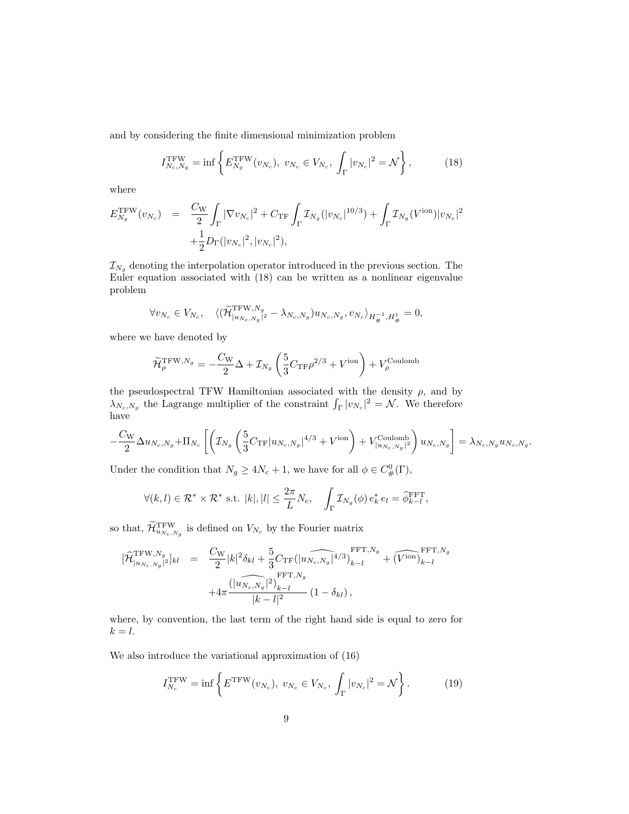and by considering the finite dimensional minimization problem

$$
I_{N_c,N_g}^{\text{TFW}} = \inf \left\{ E_{N_g}^{\text{TFW}}(v_{N_c}), \ v_{N_c} \in V_{N_c}, \ \int_{\Gamma} |v_{N_c}|^2 = \mathcal{N} \right\},\tag{18}
$$

where

$$
E_{N_g}^{\text{TFW}}(v_{N_c}) = \frac{C_{\text{W}}}{2} \int_{\Gamma} |\nabla v_{N_c}|^2 + C_{\text{TF}} \int_{\Gamma} \mathcal{I}_{N_g}(|v_{N_c}|^{10/3}) + \int_{\Gamma} \mathcal{I}_{N_g}(V^{\text{ion}})|v_{N_c}|^2
$$

$$
+ \frac{1}{2} D_{\Gamma}(|v_{N_c}|^2, |v_{N_c}|^2),
$$

 $\mathcal{I}_{N_g}$  denoting the interpolation operator introduced in the previous section. The Euler equation associated with (18) can be written as a nonlinear eigenvalue problem

$$
\forall v_{N_c} \in V_{N_c}, \quad \langle (\widetilde{\mathcal{H}}_{|u_{N_c,N_g}|^2}^{\text{TFW},N_g} - \lambda_{N_c,N_g}) u_{N_c,N_g}, v_{N_c} \rangle_{H_{\#}^{-1},H_{\#}^1} = 0,
$$

where we have denoted by

$$
\widetilde{\mathcal{H}}_{\rho}^{\text{TFW},N_g} = -\frac{C_{\text{W}}}{2}\Delta + \mathcal{I}_{N_g} \left( \frac{5}{3} C_{\text{TF}} \rho^{2/3} + V^{\text{ion}} \right) + V_{\rho}^{\text{Coulomb}}
$$

the pseudospectral TFW Hamiltonian associated with the density  $\rho$ , and by  $\lambda_{N_c,N_g}$  the Lagrange multiplier of the constraint  $\int_{\Gamma} |v_{N_c}|^2 = \mathcal{N}$ . We therefore have

$$
-\frac{C_{\rm W}}{2}\Delta u_{N_c,N_g}+\Pi_{N_c}\left[\left(\mathcal{I}_{N_g}\left(\frac{5}{3}C_{\rm TF}|u_{N_c,N_g}|^{4/3}+V^{\rm ion}\right)+V^{\rm Coulomb}_{|u_{N_c,N_g}|^2}\right)u_{N_c,N_g}\right]=\lambda_{N_c,N_g}u_{N_c,N_g}.
$$

Under the condition that  $N_g \ge 4N_c + 1$ , we have for all  $\phi \in C^0_{\#}(\Gamma)$ ,

$$
\forall (k,l) \in \mathcal{R}^* \times \mathcal{R}^* \text{ s.t. } |k|, |l| \leq \frac{2\pi}{L} N_c, \quad \int_{\Gamma} \mathcal{I}_{N_g}(\phi) \, e_k^* \, e_l = \widehat{\phi}_{k-l}^{\text{FFT}},
$$

so that,  $\widetilde{\mathcal{H}}_{u_{N_c,N_g}}^{\text{TFW}}$  is defined on  $V_{N_c}$  by the Fourier matrix

$$
\begin{array}{rcl} [\widehat{\mathcal{H}}^{\mathrm{TFW},N_{g}}_{|u_{N_{c},N_{g}}|^{2}}]_{kl} & = & \frac{C_{\mathrm{W}}}{2}|k|^{2}\delta_{kl}+\frac{5}{3}C_{\mathrm{TF}}\bigl(|u_{N_{c},N_{g}}|^{4/3}\bigr)_{k-l}^{\mathrm{FFT},N_{g}}+\widehat{(V^{\mathrm{ion}})}_{k-l}^{\mathrm{FFT},N_{g}} \\ & & +4\pi\frac{\bigl(|u_{N_{c},N_{g}}|^{2}\bigr)_{k-l}^{\mathrm{FFT},N_{g}}}{|k-l|^{2}}\left(1-\delta_{kl}\right), \end{array}
$$

where, by convention, the last term of the right hand side is equal to zero for  $k = l$ .

We also introduce the variational approximation of (16)

$$
I_{N_c}^{\text{TFW}} = \inf \left\{ E^{\text{TFW}}(v_{N_c}), \ v_{N_c} \in V_{N_c}, \ \int_{\Gamma} |v_{N_c}|^2 = \mathcal{N} \right\}.
$$
 (19)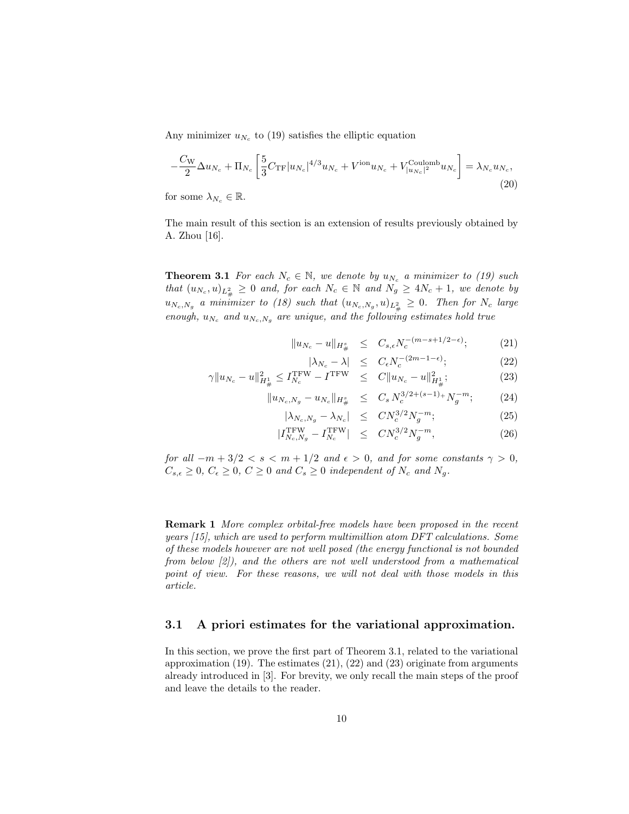Any minimizer  $u_{N_c}$  to (19) satisfies the elliptic equation

$$
-\frac{C_{\rm W}}{2}\Delta u_{N_c} + \Pi_{N_c} \left[ \frac{5}{3} C_{\rm TF} |u_{N_c}|^{4/3} u_{N_c} + V^{\rm ion} u_{N_c} + V^{\rm Coulomb}_{|u_{N_c}|^2} u_{N_c} \right] = \lambda_{N_c} u_{N_c},\tag{20}
$$

for some  $\lambda_{N_c} \in \mathbb{R}$ .

The main result of this section is an extension of results previously obtained by A. Zhou [16].

**Theorem 3.1** For each  $N_c \in \mathbb{N}$ , we denote by  $u_{N_c}$  a minimizer to (19) such that  $(u_{N_c}, u)_{L^2_{\#}} \geq 0$  and, for each  $N_c \in \mathbb{N}$  and  $N_g \geq 4N_c + 1$ , we denote by  $u_{N_c,N_g}$  a minimizer to (18) such that  $(u_{N_c,N_g},u)_{L^2_{\#}} \geq 0$ . Then for  $N_c$  large enough,  $u_{N_c}$  and  $u_{N_c,N_g}$  are unique, and the following estimates hold true

$$
||u_{N_c} - u||_{H^s_{\#}} \leq C_{s,\epsilon} N_c^{-(m-s+1/2-\epsilon)};
$$
 (21)

$$
|\lambda_{N_c} - \lambda| \le C_{\epsilon} N_c^{-(2m-1-\epsilon)};
$$
 (22)

$$
\gamma \|u_{N_c} - u\|_{H^4_{\#}}^2 \le I_{N_c}^{\text{TFW}} - I^{\text{TFW}} \le C \|u_{N_c} - u\|_{H^1_{\#}}^2; \tag{23}
$$

$$
||u_{N_c,N_g} - u_{N_c}||_{H^s_{\#}} \leq C_s N_c^{3/2 + (s-1)_+} N_g^{-m}; \tag{24}
$$

$$
|\lambda_{N_c,N_g} - \lambda_{N_c}| \leq CN_c^{3/2} N_g^{-m};\tag{25}
$$

$$
|I_{N_c,N_g}^{\text{TFW}} - I_{N_c}^{\text{TFW}}| \leq CN_c^{3/2} N_g^{-m}, \tag{26}
$$

for all  $-m+3/2 < s < m+1/2$  and  $\epsilon > 0$ , and for some constants  $\gamma > 0$ ,  $C_{s,\epsilon} \geq 0, C_{\epsilon} \geq 0, C \geq 0$  and  $C_s \geq 0$  independent of  $N_c$  and  $N_g$ .

Remark 1 More complex orbital-free models have been proposed in the recent years [15], which are used to perform multimillion atom DFT calculations. Some of these models however are not well posed (the energy functional is not bounded from below [2]), and the others are not well understood from a mathematical point of view. For these reasons, we will not deal with those models in this article.

#### 3.1 A priori estimates for the variational approximation.

In this section, we prove the first part of Theorem 3.1, related to the variational approximation  $(19)$ . The estimates  $(21)$ ,  $(22)$  and  $(23)$  originate from arguments already introduced in [3]. For brevity, we only recall the main steps of the proof and leave the details to the reader.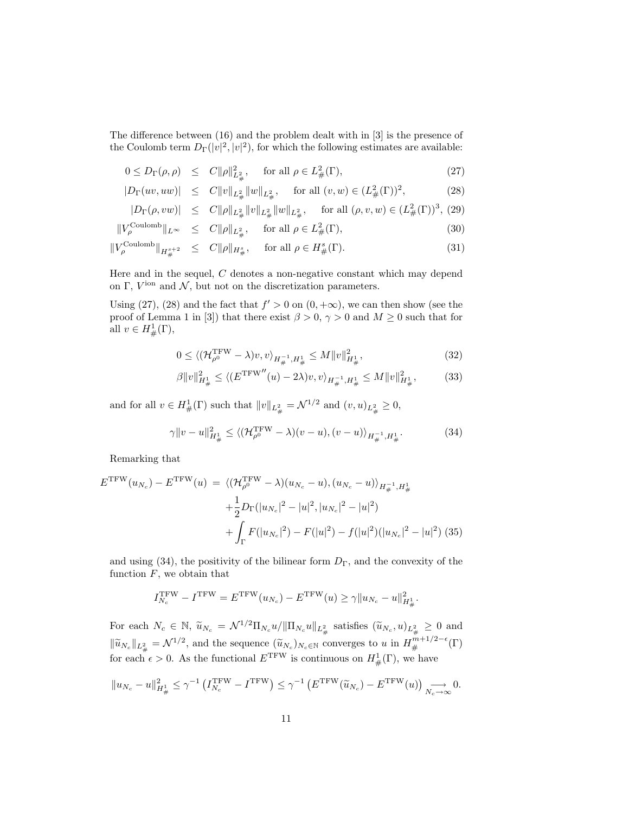The difference between (16) and the problem dealt with in [3] is the presence of the Coulomb term  $D_{\Gamma}(v^2, |v^2)$ , for which the following estimates are available:

$$
0 \le D_{\Gamma}(\rho, \rho) \le C \|\rho\|_{L^2_{\#}}, \quad \text{for all } \rho \in L^2_{\#}(\Gamma), \tag{27}
$$

$$
|D_{\Gamma}(uv, uw)| \leq C ||v||_{L^2_{\#}} ||w||_{L^2_{\#}}, \quad \text{for all } (v, w) \in (L^2_{\#}(\Gamma))^2,
$$
 (28)

$$
|D_{\Gamma}(\rho, vw)| \leq C \|\rho\|_{L^2_{\#}} \|v\|_{L^2_{\#}} \|w\|_{L^2_{\#}}, \quad \text{for all } (\rho, v, w) \in (L^2_{\#}(\Gamma))^3, (29)
$$

$$
||V_{\rho}^{\text{Coulomb}}||_{L^{\infty}} \leq C||\rho||_{L^{2}_{\#}}, \quad \text{for all } \rho \in L^{2}_{\#}(\Gamma), \tag{30}
$$

$$
\|V_{\rho}^{\text{Coulomb}}\|_{H^{s+2}_{\#}} \leq C\|\rho\|_{H^{s}_{\#}}, \quad \text{for all } \rho \in H^{s}_{\#}(\Gamma). \tag{31}
$$

Here and in the sequel, C denotes a non-negative constant which may depend on  $\Gamma$ ,  $V^{\text{ion}}$  and  $\mathcal{N}$ , but not on the discretization parameters.

Using (27), (28) and the fact that  $f' > 0$  on  $(0, +\infty)$ , we can then show (see the proof of Lemma 1 in [3]) that there exist  $\beta > 0$ ,  $\gamma > 0$  and  $M \ge 0$  such that for all  $v \in H^1_{\#}(\Gamma)$ ,

$$
0 \le \langle (\mathcal{H}_{\rho^0}^{\text{TFW}} - \lambda) v, v \rangle_{H^{-1}_\#, H^1_\#} \le M \|v\|_{H^1_\#}^2, \tag{32}
$$

$$
\beta \|v\|_{H^1_{\#}}^2 \le \langle (E^{\text{TFW}''}(u) - 2\lambda)v, v \rangle_{H^{-1}_{\#}, H^1_{\#}} \le M \|v\|_{H^1_{\#}}^2, \tag{33}
$$

and for all  $v \in H^1_{\#}(\Gamma)$  such that  $||v||_{L^2_{\#}} = \mathcal{N}^{1/2}$  and  $(v, u)_{L^2_{\#}} \geq 0$ ,

$$
\gamma \|v - u\|_{H^1_{\#}}^2 \le \langle (\mathcal{H}_{\rho^0}^{\text{TFW}} - \lambda)(v - u), (v - u) \rangle_{H^{-1}_{\#}, H^1_{\#}}. \tag{34}
$$

Remarking that

$$
E^{\text{TFW}}(u_{N_c}) - E^{\text{TFW}}(u) = \langle (\mathcal{H}_{\rho^0}^{\text{TFW}} - \lambda)(u_{N_c} - u), (u_{N_c} - u) \rangle_{H_{\#}^{-1}, H_{\#}^1}
$$
  
+ 
$$
\frac{1}{2} D_{\Gamma}(|u_{N_c}|^2 - |u|^2, |u_{N_c}|^2 - |u|^2)
$$
  
+ 
$$
\int_{\Gamma} F(|u_{N_c}|^2) - F(|u|^2) - f(|u|^2)(|u_{N_c}|^2 - |u|^2) (35)
$$

and using (34), the positivity of the bilinear form  $D_{\Gamma}$ , and the convexity of the function  $F$ , we obtain that

$$
I_{N_c}^{\rm TFW} - I^{\rm TFW} = E^{\rm TFW}(u_{N_c}) - E^{\rm TFW}(u) \geq \gamma \|u_{N_c} - u\|_{H^1_{\#}}^2.
$$

For each  $N_c \in \mathbb{N}$ ,  $\widetilde{u}_{N_c} = \mathcal{N}^{1/2} \Pi_{N_c} u / ||\Pi_{N_c} u||_{L^2_{\#}}$  satisfies  $(\widetilde{u}_{N_c}, u)_{L^2_{\#}} \geq 0$  and  $\|\widetilde{u}_{N_c}\|_{L^2_{\#}} = \mathcal{N}^{1/2}$ , and the sequence  $(\widetilde{u}_{N_c})_{N_c \in \mathbb{N}}$  converges to u in  $H^{m+1/2-\epsilon}_{\#}(\Gamma)$ for each  $\epsilon > 0$ . As the functional  $E^{\text{TFW}}$  is continuous on  $H^1_{\#}(\Gamma)$ , we have

$$
||u_{N_c} - u||_{H^1_{\#}}^2 \le \gamma^{-1} \left( I_{N_c}^{\text{TFW}} - I^{\text{TFW}} \right) \le \gamma^{-1} \left( E^{\text{TFW}}(\widetilde{u}_{N_c}) - E^{\text{TFW}}(u) \right) \underset{N_c \to \infty}{\longrightarrow} 0.
$$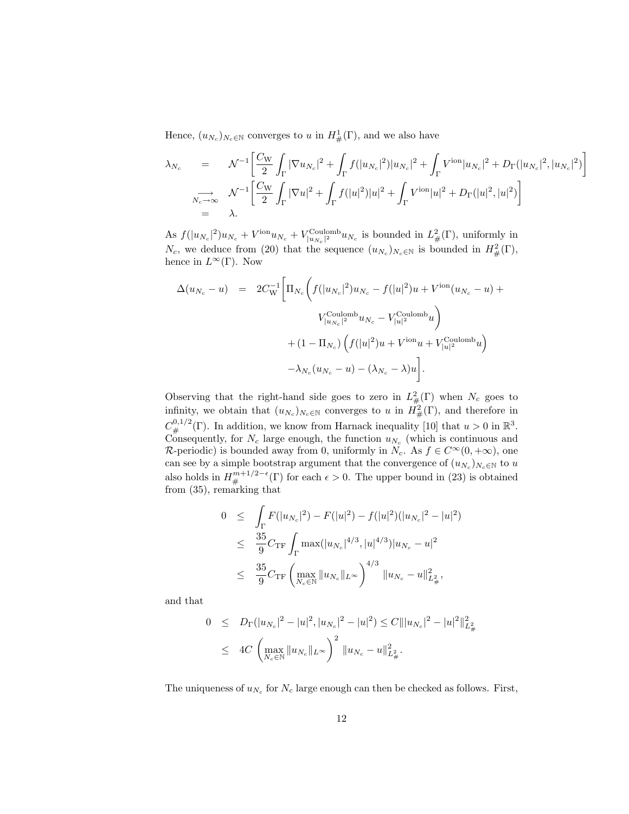Hence,  $(u_{N_c})_{N_c \in \mathbb{N}}$  converges to u in  $H^1_{\#}(\Gamma)$ , and we also have

$$
\lambda_{N_c} = \mathcal{N}^{-1} \left[ \frac{C_{\rm W}}{2} \int_{\Gamma} |\nabla u_{N_c}|^2 + \int_{\Gamma} f(|u_{N_c}|^2) |u_{N_c}|^2 + \int_{\Gamma} V^{\rm ion} |u_{N_c}|^2 + D_{\Gamma} (|u_{N_c}|^2, |u_{N_c}|^2) \right]
$$
  
\n
$$
\sum_{N_c \to \infty} \mathcal{N}^{-1} \left[ \frac{C_{\rm W}}{2} \int_{\Gamma} |\nabla u|^2 + \int_{\Gamma} f(|u|^2) |u|^2 + \int_{\Gamma} V^{\rm ion} |u|^2 + D_{\Gamma} (|u|^2, |u|^2) \right]
$$
  
\n
$$
= \lambda.
$$

As  $f(|u_{N_c}|^2)u_{N_c} + V^{\text{ion}}_{|u_{N_c}|^2}u_{N_c}$  is bounded in  $L^2_{\#}(\Gamma)$ , uniformly in  $N_c$ , we deduce from (20) that the sequence  $(u_{N_c})_{N_c \in \mathbb{N}}$  is bounded in  $H^2_{\#}(\Gamma)$ , hence in  $L^{\infty}(\Gamma)$ . Now

$$
\Delta(u_{N_c} - u) = 2C_{\rm W}^{-1} \Big[ \Pi_{N_c} \bigg( f(|u_{N_c}|^2) u_{N_c} - f(|u|^2)u + V^{\rm ion}(u_{N_c} - u) + V^{\rm Coulomb}_{|u_{N_c}|^2} u_{N_c} - V^{\rm Coulomb}_{|u|^2} u \bigg) + (1 - \Pi_{N_c}) \bigg( f(|u|^2)u + V^{\rm ion}u + V^{\rm Coulomb}_{|u|^2} u \bigg) - \lambda_{N_c}(u_{N_c} - u) - (\lambda_{N_c} - \lambda)u \Big].
$$

Observing that the right-hand side goes to zero in  $L^2_{\#}(\Gamma)$  when  $N_c$  goes to infinity, we obtain that  $(u_{N_c})_{N_c \in \mathbb{N}}$  converges to u in  $H^2_{\#}(\Gamma)$ , and therefore in  $C^{0,1/2}_{\#}(\Gamma)$ . In addition, we know from Harnack inequality [10] that  $u > 0$  in  $\mathbb{R}^3$ . Consequently, for  $N_c$  large enough, the function  $u_{N_c}$  (which is continuous and R-periodic) is bounded away from 0, uniformly in  $N_c$ . As  $f \in C^{\infty}(0, +\infty)$ , one can see by a simple bootstrap argument that the convergence of  $(u_{N_c})_{N_c \in \mathbb{N}}$  to u also holds in  $H_{\#}^{m+1/2-\epsilon}(\Gamma)$  for each  $\epsilon > 0$ . The upper bound in (23) is obtained from (35), remarking that

$$
0 \leq \int_{\Gamma} F(|u_{N_c}|^2) - F(|u|^2) - f(|u|^2)(|u_{N_c}|^2 - |u|^2)
$$
  
\n
$$
\leq \frac{35}{9} C_{\rm TF} \int_{\Gamma} \max(|u_{N_c}|^{4/3}, |u|^{4/3}) |u_{N_c} - u|^2
$$
  
\n
$$
\leq \frac{35}{9} C_{\rm TF} \left( \max_{N_c \in \mathbb{N}} \|u_{N_c}\|_{L^{\infty}} \right)^{4/3} \|u_{N_c} - u\|_{L^2_{\#}}^2,
$$

and that

$$
0 \leq D_{\Gamma}(|u_{N_c}|^2 - |u|^2, |u_{N_c}|^2 - |u|^2) \leq C |||u_{N_c}|^2 - |u|^2 ||_{L^2_{\#}}^2
$$
  

$$
\leq 4C \left( \max_{N_c \in \mathbb{N}} ||u_{N_c}||_{L^{\infty}} \right)^2 ||u_{N_c} - u||_{L^2_{\#}}^2.
$$

The uniqueness of  $u_{N_c}$  for  $N_c$  large enough can then be checked as follows. First,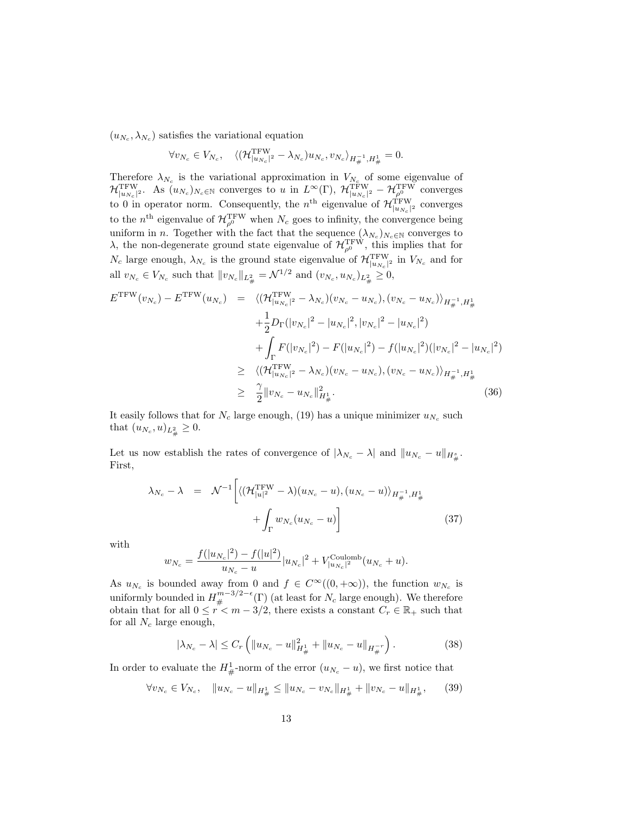$(u_{N_c}, \lambda_{N_c})$  satisfies the variational equation

$$
\forall v_{N_c} \in V_{N_c}, \quad \langle (\mathcal{H}_{|u_{N_c}|^2}^{\text{TFW}} - \lambda_{N_c}) u_{N_c}, v_{N_c} \rangle_{H_{\#}^{-1}, H_{\#}^1} = 0.
$$

Therefore  $\lambda_{N_c}$  is the variational approximation in  $V_{N_c}$  of some eigenvalue of  ${\cal H}^{\rm TFW}_{|u_{N_c}|^2}$ . As  $(u_{N_c})_{N_c \in \mathbb N}$  converges to u in  $L^{\infty}(\Gamma)$ ,  ${\cal H}^{\rm TFW}_{|u_{N_c}|^2}$  –  ${\cal H}^{\rm TFW}_{\rho^0}$  converges to 0 in operator norm. Consequently, the  $n<sup>th</sup>$  eigenvalue of  $\mathcal{H}_{|u_{N_c}|^2}^{TFW}$  converges to the  $n<sup>th</sup>$  eigenvalue of  $\mathcal{H}_{\rho^0}^{\text{TFW}}$  when  $N_c$  goes to infinity, the convergence being uniform in *n*. Together with the fact that the sequence  $(\lambda_{N_c})_{N_c \in \mathbb{N}}$  converges to  $\lambda$ , the non-degenerate ground state eigenvalue of  $\mathcal{H}_{\rho^0}^{\rm TFW}$ , this implies that for  $N_c$  large enough,  $\lambda_{N_c}$  is the ground state eigenvalue of  $\mathcal{H}^{\text{TFW}}_{|u_{N_c}|^2}$  in  $V_{N_c}$  and for all  $v_{N_c} \in V_{N_c}$  such that  $||v_{N_c}||_{L^2_{\#}} = \mathcal{N}^{1/2}$  and  $(v_{N_c}, u_{N_c})_{L^2_{\#}} \geq 0$ ,

$$
E^{\text{TFW}}(v_{N_c}) - E^{\text{TFW}}(u_{N_c}) = \langle (\mathcal{H}_{|u_{N_c}|^2}^{\text{TFW}} - \lambda_{N_c})(v_{N_c} - u_{N_c}), (v_{N_c} - u_{N_c}) \rangle_{H_{\#}^{-1}, H_{\#}^1}
$$
  
+ 
$$
\frac{1}{2} D_{\Gamma}(|v_{N_c}|^2 - |u_{N_c}|^2, |v_{N_c}|^2 - |u_{N_c}|^2)
$$
  
+ 
$$
\int_{\Gamma} F(|v_{N_c}|^2) - F(|u_{N_c}|^2) - f(|u_{N_c}|^2)(|v_{N_c}|^2 - |u_{N_c}|^2)
$$
  

$$
\geq \langle (\mathcal{H}_{|u_{N_c}|^2}^{\text{TFW}} - \lambda_{N_c})(v_{N_c} - u_{N_c}), (v_{N_c} - u_{N_c}) \rangle_{H_{\#}^{-1}, H_{\#}^1}
$$
  

$$
\geq \frac{\gamma}{2} ||v_{N_c} - u_{N_c}||_{H_{\#}^1}^2.
$$
 (36)

It easily follows that for  $N_c$  large enough, (19) has a unique minimizer  $u_{N_c}$  such that  $(u_{N_c}, u)_{L^2_{\#}} \geq 0$ .

Let us now establish the rates of convergence of  $|\lambda_{N_c} - \lambda|$  and  $||u_{N_c} - u||_{H^s_{\#}}$ . First,

$$
\lambda_{N_c} - \lambda = \mathcal{N}^{-1} \left[ \langle (\mathcal{H}_{|u|^2}^{\text{TFW}} - \lambda)(u_{N_c} - u), (u_{N_c} - u) \rangle_{H_{\#}^{-1}, H_{\#}^1} + \int_{\Gamma} w_{N_c} (u_{N_c} - u) \right]
$$
(37)

with

$$
w_{N_c} = \frac{f(|u_{N_c}|^2) - f(|u|^2)}{u_{N_c} - u} |u_{N_c}|^2 + V_{|u_{N_c}|^2}^{\text{Coulomb}}(u_{N_c} + u).
$$

As  $u_{N_c}$  is bounded away from 0 and  $f \in C^{\infty}((0, +\infty))$ , the function  $w_{N_c}$  is uniformly bounded in  $H_{\#}^{m-3/2-\epsilon}(\Gamma)$  (at least for  $N_c$  large enough). We therefore obtain that for all  $0 \leq r < m - 3/2$ , there exists a constant  $C_r \in \mathbb{R}_+$  such that for all  $N_c$  large enough,

$$
|\lambda_{N_c} - \lambda| \le C_r \left( \|u_{N_c} - u\|_{H^1_{\#}}^2 + \|u_{N_c} - u\|_{H^{-r}_{\#}} \right). \tag{38}
$$

In order to evaluate the  $H^1_{\#}$ -norm of the error  $(u_{N_c} - u)$ , we first notice that

$$
\forall v_{N_c} \in V_{N_c}, \quad \|u_{N_c} - u\|_{H^1_{\#}} \le \|u_{N_c} - v_{N_c}\|_{H^1_{\#}} + \|v_{N_c} - u\|_{H^1_{\#}}, \qquad (39)
$$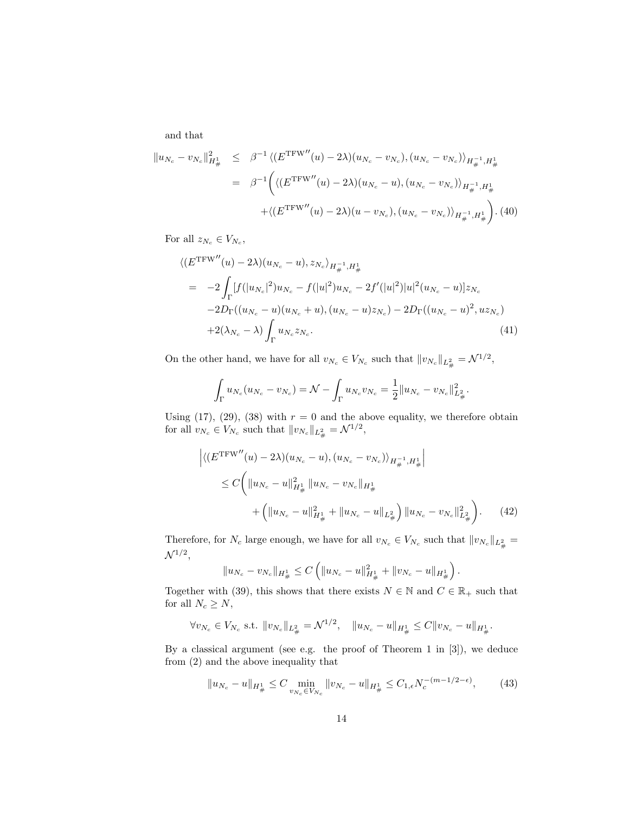and that

$$
\|u_{N_c} - v_{N_c}\|_{H^1_{\#}}^2 \leq \beta^{-1} \langle (E^{\text{TFW}''}(u) - 2\lambda)(u_{N_c} - v_{N_c}), (u_{N_c} - v_{N_c}) \rangle_{H^{-1}_{\#}, H^1_{\#}}
$$
  

$$
= \beta^{-1} \Big( \langle (E^{\text{TFW}''}(u) - 2\lambda)(u_{N_c} - u), (u_{N_c} - v_{N_c}) \rangle_{H^{-1}_{\#}, H^1_{\#}}
$$

$$
+ \langle (E^{\text{TFW}''}(u) - 2\lambda)(u - v_{N_c}), (u_{N_c} - v_{N_c}) \rangle_{H^{-1}_{\#}, H^1_{\#}} \Big). (40)
$$

For all  $z_{N_c} \in V_{N_c}$ ,

$$
\langle (E^{\text{TFW}''}(u) - 2\lambda)(u_{N_c} - u), z_{N_c} \rangle_{H_{\#}^{-1}, H_{\#}^1}
$$
  
= 
$$
-2 \int_{\Gamma} [f(|u_{N_c}|^2)u_{N_c} - f(|u|^2)u_{N_c} - 2f'(|u|^2)|u|^2(u_{N_c} - u)|z_{N_c} - 2D_{\Gamma}((u_{N_c} - u)(u_{N_c} + u), (u_{N_c} - u)z_{N_c}) - 2D_{\Gamma}((u_{N_c} - u)^2, uz_{N_c})
$$
  
+
$$
2(\lambda_{N_c} - \lambda) \int_{\Gamma} u_{N_c} z_{N_c}.
$$
 (41)

On the other hand, we have for all  $v_{N_c} \in V_{N_c}$  such that  $||v_{N_c}||_{L^2_{\#}} = \mathcal{N}^{1/2}$ ,

$$
\int_{\Gamma} u_{N_c}(u_{N_c} - v_{N_c}) = \mathcal{N} - \int_{\Gamma} u_{N_c} v_{N_c} = \frac{1}{2} ||u_{N_c} - v_{N_c}||_{L^2_{\#}}^2.
$$

Using (17), (29), (38) with  $r = 0$  and the above equality, we therefore obtain for all  $v_{N_c} \in V_{N_c}$  such that  $||v_{N_c}||_{L^2_{\#}} = \mathcal{N}^{1/2}$ ,

$$
\left| \langle (E^{\text{TFW}''}(u) - 2\lambda)(u_{N_c} - u), (u_{N_c} - v_{N_c}) \rangle_{H_{\#}^{-1}, H_{\#}^1} \right|
$$
  
\n
$$
\leq C \left( \|u_{N_c} - u\|_{H_{\#}^1}^2 \|u_{N_c} - v_{N_c}\|_{H_{\#}^1} + \|u_{N_c} - u\|_{L_{\#}^2} \right) \|u_{N_c} - v_{N_c}\|_{L_{\#}^2}^2 \right). \tag{42}
$$

Therefore, for  $N_c$  large enough, we have for all  $v_{N_c} \in V_{N_c}$  such that  $||v_{N_c}||_{L^2_{\#}} =$  $\mathcal{N}^{1/2},$ 

$$
||u_{N_c}-v_{N_c}||_{H^1_{\#}} \leq C \left( ||u_{N_c}-u||^2_{H^1_{\#}}+||v_{N_c}-u||_{H^1_{\#}} \right).
$$

Together with (39), this shows that there exists  $N \in \mathbb{N}$  and  $C \in \mathbb{R}_+$  such that for all  $N_c \geq N$ ,

$$
\forall v_{N_c} \in V_{N_c} \text{ s.t. } \|v_{N_c}\|_{L^2_{\#}} = \mathcal{N}^{1/2}, \quad \|u_{N_c} - u\|_{H^1_{\#}} \leq C \|v_{N_c} - u\|_{H^1_{\#}}.
$$

By a classical argument (see e.g. the proof of Theorem 1 in [3]), we deduce from (2) and the above inequality that

$$
||u_{N_c} - u||_{H^1_{\#}} \le C \min_{v_{N_c} \in V_{N_c}} ||v_{N_c} - u||_{H^1_{\#}} \le C_{1,\epsilon} N_c^{-(m-1/2-\epsilon)},\tag{43}
$$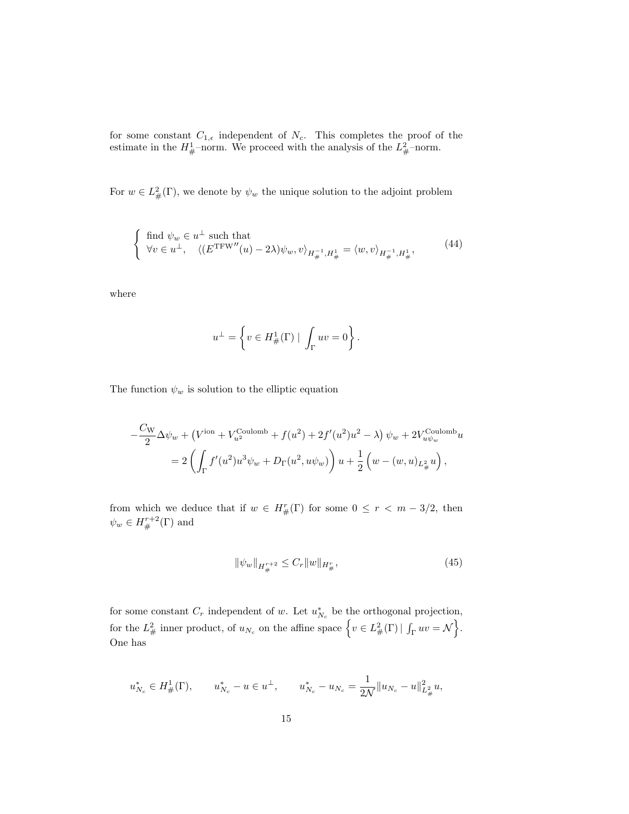for some constant  $C_{1,\epsilon}$  independent of  $N_c$ . This completes the proof of the estimate in the  $H^1_{\#}$ -norm. We proceed with the analysis of the  $L^2_{\#}$ -norm.

For  $w \in L^2_{\#}(\Gamma)$ , we denote by  $\psi_w$  the unique solution to the adjoint problem

$$
\begin{cases} \n\text{find } \psi_w \in u^{\perp} \text{ such that} \\ \n\forall v \in u^{\perp}, \quad \langle (E^{\text{TFW}''}(u) - 2\lambda)\psi_w, v \rangle_{H_{\#}^{-1}, H_{\#}^1} = \langle w, v \rangle_{H_{\#}^{-1}, H_{\#}^1}, \n\end{cases} \tag{44}
$$

where

$$
u^\perp = \left\{ v \in H^1_\#(\Gamma) \mid \, \int_\Gamma uv = 0 \right\}
$$

The function  $\psi_w$  is solution to the elliptic equation

$$
-\frac{C_{\rm W}}{2}\Delta\psi_w + (V^{\rm ion} + V^{\rm Coulomb}_{u^2} + f(u^2) + 2f'(u^2)u^2 - \lambda)\psi_w + 2V^{\rm Coulomb}_{u\psi_w}u
$$
  
= 
$$
2\left(\int_{\Gamma} f'(u^2)u^3\psi_w + D_{\Gamma}(u^2, u\psi_w)\right)u + \frac{1}{2}\left(w - (w, u)_{L^2_{\#}}u\right),
$$

from which we deduce that if  $w \in H^r_{\#}(\Gamma)$  for some  $0 \leq r < m-3/2$ , then  $\psi_w \in H^{r+2}_\#(\Gamma)$  and

$$
\|\psi_w\|_{H^{r+2}_\#} \le C_r \|w\|_{H^r_\#},\tag{45}
$$

.

for some constant  $C_r$  independent of w. Let  $u_{N_c}^*$  be the orthogonal projection, for the  $L^2_{\#}$  inner product, of  $u_{N_c}$  on the affine space  $\left\{v \in L^2_{\#}(\Gamma) \mid \int_{\Gamma} uv = \mathcal{N}\right\}$ . One has

$$
u_{N_c}^* \in H^1_{\#}(\Gamma), \qquad u_{N_c}^* - u \in u^{\perp}, \qquad u_{N_c}^* - u_{N_c} = \frac{1}{2\mathcal{N}} \|u_{N_c} - u\|_{L^2_{\#}}^2 u,
$$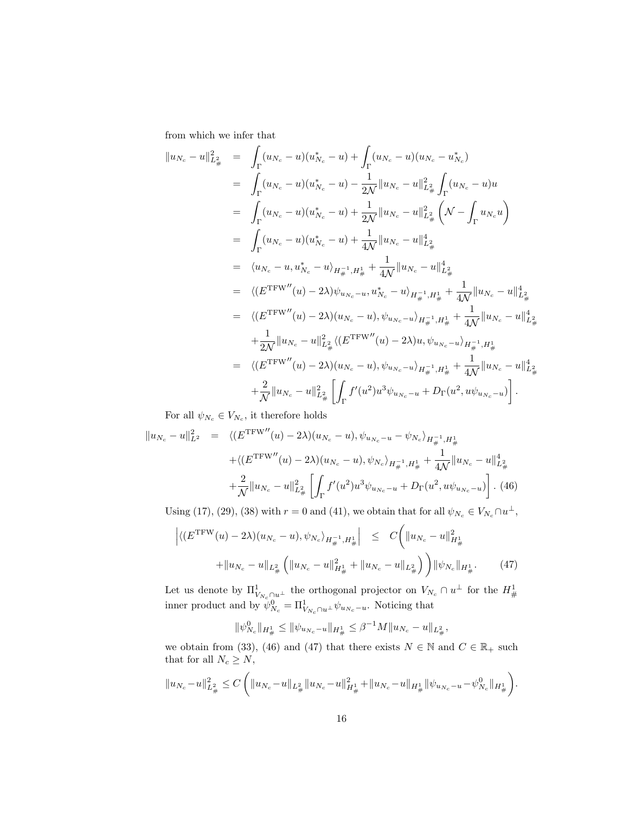from which we infer that

$$
||u_{N_c} - u||_{L^2_{\#}}^2 = \int_{\Gamma} (u_{N_c} - u)(u_{N_c}^* - u) + \int_{\Gamma} (u_{N_c} - u)(u_{N_c} - u_{N_c}^*)
$$
  
\n
$$
= \int_{\Gamma} (u_{N_c} - u)(u_{N_c}^* - u) - \frac{1}{2N} ||u_{N_c} - u||_{L^2_{\#}}^2 \int_{\Gamma} (u_{N_c} - u)u
$$
  
\n
$$
= \int_{\Gamma} (u_{N_c} - u)(u_{N_c}^* - u) + \frac{1}{2N} ||u_{N_c} - u||_{L^2_{\#}}^2 \left(\mathcal{N} - \int_{\Gamma} u_{N_c}u\right)
$$
  
\n
$$
= \int_{\Gamma} (u_{N_c} - u)(u_{N_c}^* - u) + \frac{1}{4N} ||u_{N_c} - u||_{L^2_{\#}}^4
$$
  
\n
$$
= \langle u_{N_c} - u, u_{N_c}^* - u \rangle_{H_{\#}^{-1}, H_{\#}^1} + \frac{1}{4N} ||u_{N_c} - u||_{L^2_{\#}}^4
$$
  
\n
$$
= \langle (E^{\text{TFW}}''(u) - 2\lambda) \psi_{u_{N_c} - u}, u_{N_c}^* - u \rangle_{H_{\#}^{-1}, H_{\#}^1} + \frac{1}{4N} ||u_{N_c} - u||_{L^2_{\#}}^4
$$
  
\n
$$
+ \frac{1}{2N} ||u_{N_c} - u||_{L^2_{\#}}^2 \langle (E^{\text{TFW}}''(u) - 2\lambda)u, \psi_{u_{N_c} - u} \rangle_{H_{\#}^{-1}, H_{\#}^1}
$$
  
\n
$$
= \langle (E^{\text{TFW}}''(u) - 2\lambda)(u_{N_c} - u), \psi_{u_{N_c} - u} \rangle_{H_{\#}^{-1}, H_{\#}^1} + \frac{1}{4N} ||u_{N_c} - u||_{L^2_{\#}}^4
$$
  
\n
$$
+ \frac{2}{N} ||u_{N_c} - u||_{L^2_{\#}}^2 \left[ \int_{\Gamma} f'(u^2)u^3 \psi_{u_{N_c} - u} + D_{\Gamma}(u^
$$

For all  $\psi_{N_c} \in V_{N_c}$ , it therefore holds

$$
||u_{N_c} - u||_{L^2}^2 = \langle (E^{\text{TFW}''}(u) - 2\lambda)(u_{N_c} - u), \psi_{u_{N_c} - u} - \psi_{N_c} \rangle_{H_{\#}^{-1}, H_{\#}^1}
$$
  
+  $\langle (E^{\text{TFW}''}(u) - 2\lambda)(u_{N_c} - u), \psi_{N_c} \rangle_{H_{\#}^{-1}, H_{\#}^1} + \frac{1}{4N} ||u_{N_c} - u||_{L_{\#}^2}^4$   
+  $\frac{2}{N} ||u_{N_c} - u||_{L_{\#}^2}^2 \left[ \int_{\Gamma} f'(u^2) u^3 \psi_{u_{N_c} - u} + D_{\Gamma}(u^2, u \psi_{u_{N_c} - u}) \right]. (46)$ 

Using (17), (29), (38) with  $r = 0$  and (41), we obtain that for all  $\psi_{N_c} \in V_{N_c} \cap u^{\perp}$ ,

$$
\left| \langle (E^{\text{TFW}}(u) - 2\lambda)(u_{N_c} - u), \psi_{N_c} \rangle_{H_{\#}^{-1}, H_{\#}^1} \right| \leq C \left( \|u_{N_c} - u\|_{H_{\#}^1}^2 + \|u_{N_c} - u\|_{L_{\#}^2} \right) \left\| \psi_{N_c} \|_{H_{\#}^1} \right. \tag{47}
$$

Let us denote by  $\Pi^1_{V_{N_c} \cap u^\perp}$  the orthogonal projector on  $V_{N_c} \cap u^\perp$  for the  $H^1_{\#}$ inner product and by  $\psi_{N_c}^0 = \Pi_{V_{N_c} \cap u^\perp}^1 \psi_{u_{N_c} - u}$ . Noticing that

$$
\|\psi_{N_c}^0\|_{H^1_{\#}} \le \|\psi_{u_{N_c}-u}\|_{H^1_{\#}} \le \beta^{-1}M\|u_{N_c}-u\|_{L^2_{\#}},
$$

we obtain from (33), (46) and (47) that there exists  $N \in \mathbb{N}$  and  $C \in \mathbb{R}_+$  such that for all  $N_c\geq N,$ 

$$
||u_{N_c}-u||_{L^2_{\#}}^2 \leq C \left(||u_{N_c}-u||_{L^2_{\#}}||u_{N_c}-u||_{H^1_{\#}}^2+||u_{N_c}-u||_{H^1_{\#}}||\psi_{u_{N_c}-u}-\psi_{N_c}^0||_{H^1_{\#}}\right).
$$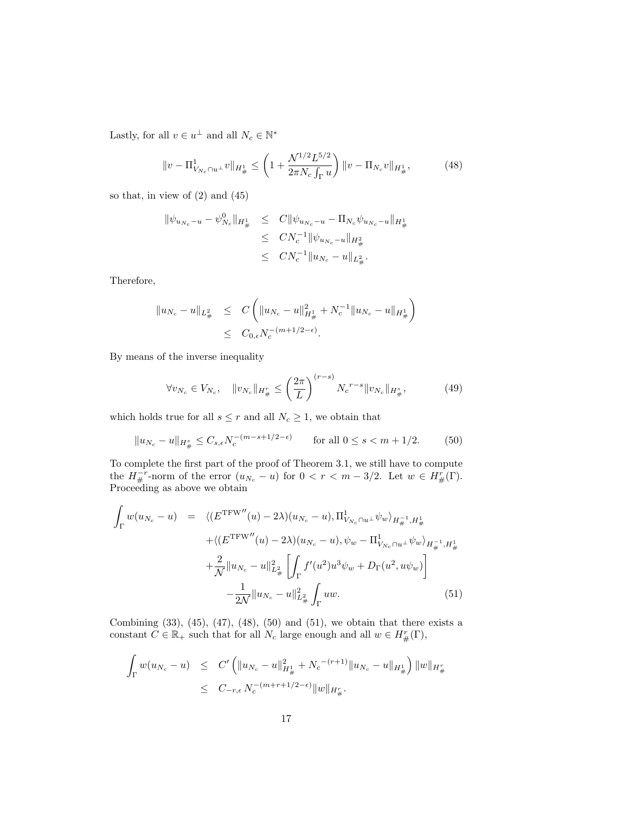Lastly, for all  $v \in u^{\perp}$  and all  $N_c \in \mathbb{N}^*$ 

$$
||v - \Pi_{V_{N_c} \cap u^\perp}^1 v||_{H^1_\#} \le \left(1 + \frac{\mathcal{N}^{1/2} L^{5/2}}{2\pi N_c \int_{\Gamma} u}\right) ||v - \Pi_{N_c} v||_{H^1_\#},\tag{48}
$$

so that, in view of  $(2)$  and  $(45)$ 

$$
\begin{array}{rcl}\|\psi_{u_{N_c}-u}-\psi_{N_c}^0\|_{H^1_{\#}}&\leq& C\|\psi_{u_{N_c}-u}-\Pi_{N_c}\psi_{u_{N_c}-u}\|_{H^1_{\#}}\\&\leq& CN_c^{-1}\|\psi_{u_{N_c}-u}\|_{H^2_{\#}}\\&\leq& CN_c^{-1}\|u_{N_c}-u\|_{L^2_{\#}}.\end{array}
$$

Therefore,

$$
\|u_{N_c} - u\|_{L^2_{\#}} \leq C \left( \|u_{N_c} - u\|_{H^1_{\#}}^2 + N_c^{-1} \|u_{N_c} - u\|_{H^1_{\#}} \right)
$$
  

$$
\leq C_{0,\epsilon} N_c^{-(m+1/2-\epsilon)}.
$$

By means of the inverse inequality

$$
\forall v_{N_c} \in V_{N_c}, \quad \|v_{N_c}\|_{H^r_{\#}} \le \left(\frac{2\pi}{L}\right)^{(r-s)} N_c^{r-s} \|v_{N_c}\|_{H^s_{\#}},\tag{49}
$$

which holds true for all  $s\leq r$  and all  $N_c\geq 1,$  we obtain that

$$
||u_{N_c} - u||_{H^s_{\#}} \le C_{s,\epsilon} N_c^{-(m-s+1/2-\epsilon)} \qquad \text{for all } 0 \le s < m+1/2.
$$
 (50)

To complete the first part of the proof of Theorem 3.1, we still have to compute the  $H_{\#}^{-r}$ -norm of the error  $(u_{N_c}-u)$  for  $0 < r < m-3/2$ . Let  $w \in H_{\#}^{r}(\Gamma)$ . Proceeding as above we obtain

$$
\int_{\Gamma} w(u_{N_c} - u) = \langle (E^{\text{TFW}''}(u) - 2\lambda)(u_{N_c} - u), \Pi^1_{V_{N_c} \cap u^{\perp}} \psi_w \rangle_{H_{\#}^{-1}, H_{\#}^1}
$$
\n
$$
+ \langle (E^{\text{TFW}''}(u) - 2\lambda)(u_{N_c} - u), \psi_w - \Pi^1_{V_{N_c} \cap u^{\perp}} \psi_w \rangle_{H_{\#}^{-1}, H_{\#}^1}
$$
\n
$$
+ \frac{2}{\mathcal{N}} ||u_{N_c} - u||_{L_{\#}^2}^2 \left[ \int_{\Gamma} f'(u^2) u^3 \psi_w + D_{\Gamma}(u^2, u\psi_w) \right]
$$
\n
$$
- \frac{1}{2\mathcal{N}} ||u_{N_c} - u||_{L_{\#}^2}^2 \int_{\Gamma} u w. \tag{51}
$$

Combining  $(33)$ ,  $(45)$ ,  $(47)$ ,  $(48)$ ,  $(50)$  and  $(51)$ , we obtain that there exists a constant  $C \in \mathbb{R}_+$  such that for all  $N_c$  large enough and all  $w \in H^r_{\#}(\Gamma)$ ,

$$
\int_{\Gamma} w(u_{N_c} - u) \leq C' \left( \|u_{N_c} - u\|_{H^1_{\#}}^2 + N_c^{-(r+1)} \|u_{N_c} - u\|_{H^1_{\#}} \right) \|w\|_{H^r_{\#}} \leq C_{-r,\epsilon} N_c^{-(m+r+1/2-\epsilon)} \|w\|_{H^r_{\#}}.
$$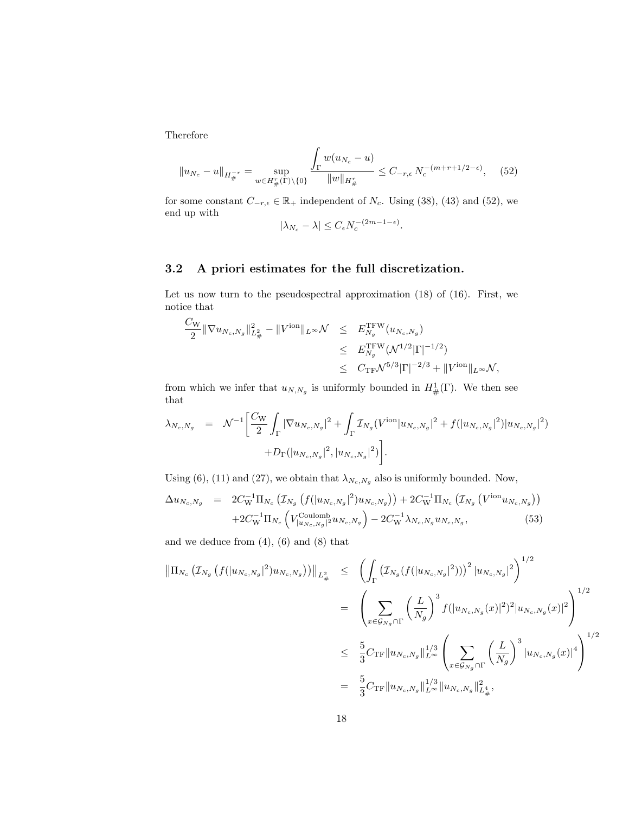Therefore

$$
||u_{N_c} - u||_{H_{\#}^{-r}} = \sup_{w \in H_{\#}^r(\Gamma) \backslash \{0\}} \frac{\int_{\Gamma} w(u_{N_c} - u)}{||w||_{H_{\#}^r}} \le C_{-r,\epsilon} N_c^{-(m+r+1/2-\epsilon)}, \quad (52)
$$

for some constant  $C_{-r, \epsilon} \in \mathbb{R}_+$  independent of  $N_c$ . Using (38), (43) and (52), we end up with  $(2)$ 

$$
|\lambda_{N_c} - \lambda| \le C_{\epsilon} N_c^{-(2m-1-\epsilon)}.
$$

### 3.2 A priori estimates for the full discretization.

Let us now turn to the pseudospectral approximation (18) of (16). First, we notice that

$$
\frac{C_{\rm W}}{2} \|\nabla u_{N_c,N_g}\|_{L^2_{\#}}^2 - \|V^{\rm ion}\|_{L^\infty} \mathcal{N} \leq E_{N_g}^{\rm TFW}(u_{N_c,N_g})
$$
\n
$$
\leq E_{N_g}^{\rm TFW}(\mathcal{N}^{1/2}|\Gamma|^{-1/2})
$$
\n
$$
\leq C_{\rm TF}\mathcal{N}^{5/3}|\Gamma|^{-2/3} + \|V^{\rm ion}\|_{L^\infty} \mathcal{N},
$$

from which we infer that  $u_{N,N_g}$  is uniformly bounded in  $H^1_{\#}(\Gamma)$ . We then see that

$$
\lambda_{N_c,N_g} = \mathcal{N}^{-1} \bigg[ \frac{C_{\rm W}}{2} \int_{\Gamma} |\nabla u_{N_c,N_g}|^2 + \int_{\Gamma} \mathcal{I}_{N_g}(V^{\rm ion}|u_{N_c,N_g}|^2 + f(|u_{N_c,N_g}|^2)|u_{N_c,N_g}|^2) + D_{\Gamma}(|u_{N_c,N_g}|^2, |u_{N_c,N_g}|^2) \bigg].
$$

Using (6), (11) and (27), we obtain that  $\lambda_{N_c,N_g}$  also is uniformly bounded. Now,

$$
\Delta u_{N_c, N_g} = 2C_{\rm W}^{-1} \Pi_{N_c} \left( \mathcal{I}_{N_g} \left( f(|u_{N_c, N_g}|^2) u_{N_c, N_g} \right) \right) + 2C_{\rm W}^{-1} \Pi_{N_c} \left( \mathcal{I}_{N_g} \left( V^{\rm ion} u_{N_c, N_g} \right) \right) + 2C_{\rm W}^{-1} \Pi_{N_c} \left( V^{\rm Coulomb}_{|u_{N_c, N_g}|^2} u_{N_c, N_g} \right) - 2C_{\rm W}^{-1} \lambda_{N_c, N_g} u_{N_c, N_g}, \tag{53}
$$

and we deduce from  $(4)$ ,  $(6)$  and  $(8)$  that

$$
\|\Pi_{N_c} (I_{N_g} (f(|u_{N_c,N_g}|^2)u_{N_c,N_g}))\|_{L^2_{\#}} \leq \left(\int_{\Gamma} \left(\mathcal{I}_{N_g} (f(|u_{N_c,N_g}|^2))\right)^2 |u_{N_c,N_g}|^2\right)^{1/2} \n= \left(\sum_{x \in \mathcal{G}_{N_g} \cap \Gamma} \left(\frac{L}{N_g}\right)^3 f(|u_{N_c,N_g}(x)|^2)^2 |u_{N_c,N_g}(x)|^2\right)^{1/2} \n\leq \frac{5}{3} C_{\text{TF}} \|u_{N_c,N_g}\|_{L^{\infty}}^{1/3} \left(\sum_{x \in \mathcal{G}_{N_g} \cap \Gamma} \left(\frac{L}{N_g}\right)^3 |u_{N_c,N_g}(x)|^4\right)^{1/2} \n= \frac{5}{3} C_{\text{TF}} \|u_{N_c,N_g}\|_{L^{\infty}}^{1/3} \|u_{N_c,N_g}\|_{L^4}^{1/3},
$$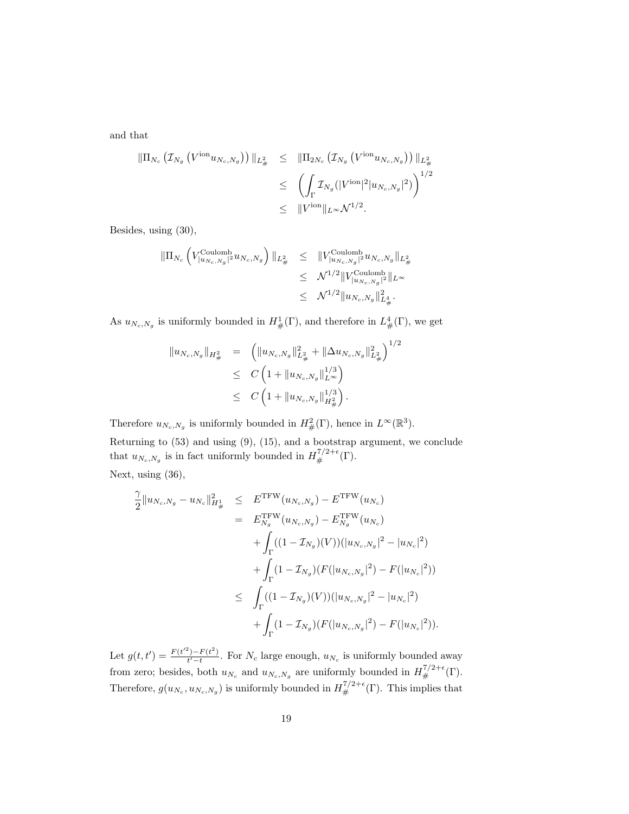and that

$$
\begin{array}{rcl}\n\|\Pi_{N_c} \left( \mathcal{I}_{N_g} \left( V^{\text{ion}} u_{N_c, N_g} \right) \right)\|_{L^2_{\#}} & \leq & \|\Pi_{2N_c} \left( \mathcal{I}_{N_g} \left( V^{\text{ion}} u_{N_c, N_g} \right) \right) \|_{L^2_{\#}} \\
& \leq & \left( \int_{\Gamma} \mathcal{I}_{N_g} (|V^{\text{ion}}|^2 |u_{N_c, N_g}|^2) \right)^{1/2} \\
& \leq & \|V^{\text{ion}}\|_{L^\infty} \mathcal{N}^{1/2}.\n\end{array}
$$

Besides, using (30),

$$
\begin{array}{lcl} \|\Pi_{N_c}\left(V_{|u_{N_c,N_g}|^2}^{\rm Coulomb}u_{N_c,N_g}\right)\|_{L^2_\#} & \leq & \displaystyle \|V_{|u_{N_c,N_g}|^2}^{\rm Coulomb}u_{N_c,N_g}\|_{L^2_\#} \\ & \leq & \displaystyle \mathcal{N}^{1/2}\|V_{|u_{N_c,N_g}|^2}^{\rm Coulomb}\|_{L^\infty} \\ & \leq & \displaystyle \mathcal{N}^{1/2}\|u_{N_c,N_g}\|_{L^4_\#}^2. \end{array}
$$

As  $u_{N_c,N_g}$  is uniformly bounded in  $H^1_{\#}(\Gamma)$ , and therefore in  $L^4_{\#}(\Gamma)$ , we get

$$
\|u_{N_c,N_g}\|_{H^2_{\#}} = \left(\|u_{N_c,N_g}\|_{L^2_{\#}}^2 + \|\Delta u_{N_c,N_g}\|_{L^2_{\#}}^2\right)^{1/2}
$$
  
\n
$$
\leq C\left(1 + \|u_{N_c,N_g}\|_{L^{\infty}}^{1/3}\right)
$$
  
\n
$$
\leq C\left(1 + \|u_{N_c,N_g}\|_{H^2_{\#}}^{1/3}\right).
$$

Therefore  $u_{N_c,N_g}$  is uniformly bounded in  $H^2_{\#}(\Gamma)$ , hence in  $L^{\infty}(\mathbb{R}^3)$ .

Returning to  $(53)$  and using  $(9)$ ,  $(15)$ , and a bootstrap argument, we conclude that  $u_{N_c,N_g}$  is in fact uniformly bounded in  $H^{7/2+\epsilon}_{\#}(\Gamma)$ .

Next, using (36),

$$
\frac{\gamma}{2} ||u_{N_c,N_g} - u_{N_c}||_{H^1_{\#}}^2 \leq E^{\text{TFW}}(u_{N_c,N_g}) - E^{\text{TFW}}(u_{N_c})
$$
\n
$$
= E_{N_g}^{\text{TFW}}(u_{N_c,N_g}) - E_{N_g}^{\text{TFW}}(u_{N_c})
$$
\n
$$
+ \int_{\Gamma} ((1 - \mathcal{I}_{N_g})(V)) (|u_{N_c,N_g}|^2 - |u_{N_c}|^2)
$$
\n
$$
+ \int_{\Gamma} (1 - \mathcal{I}_{N_g})(F(|u_{N_c,N_g}|^2) - F(|u_{N_c}|^2))
$$
\n
$$
\leq \int_{\Gamma} ((1 - \mathcal{I}_{N_g})(V)) (|u_{N_c,N_g}|^2 - |u_{N_c}|^2)
$$
\n
$$
+ \int_{\Gamma} (1 - \mathcal{I}_{N_g})(F(|u_{N_c,N_g}|^2) - F(|u_{N_c}|^2)).
$$

Let  $g(t, t') = \frac{F(t'^2) - F(t^2)}{t'-t}$  $\frac{1-F(t)}{t'-t}$ . For  $N_c$  large enough,  $u_{N_c}$  is uniformly bounded away from zero; besides, both  $u_{N_c}$  and  $u_{N_c,N_g}$  are uniformly bounded in  $H^{7/2+\epsilon}_{\#}(\Gamma)$ . Therefore,  $g(u_{N_c}, u_{N_c,N_g})$  is uniformly bounded in  $H^{7/2+\epsilon}_{\#}(\Gamma)$ . This implies that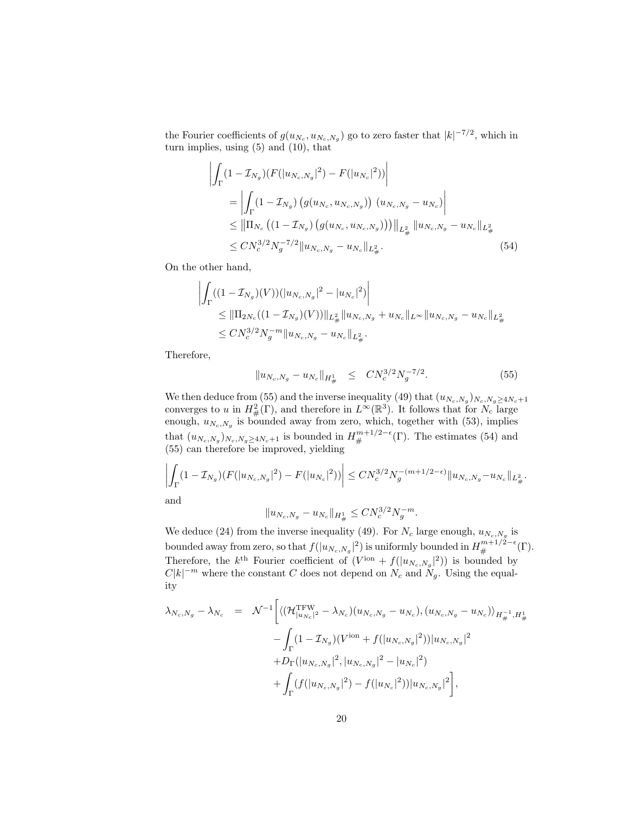the Fourier coefficients of  $g(u_{N_c}, u_{N_c,N_g})$  go to zero faster that  $|k|^{-7/2}$ , which in turn implies, using (5) and (10), that

$$
\int_{\Gamma} (1 - \mathcal{I}_{N_g})(F(|u_{N_c, N_g}|^2) - F(|u_{N_c}|^2))\Big|
$$
\n
$$
= \left| \int_{\Gamma} (1 - \mathcal{I}_{N_g})(g(u_{N_c}, u_{N_c, N_g})) (u_{N_c, N_g} - u_{N_c}) \right|
$$
\n
$$
\leq ||\Pi_{N_c} ((1 - \mathcal{I}_{N_g})(g(u_{N_c}, u_{N_c, N_g})))||_{L^2_{\#}} ||u_{N_c, N_g} - u_{N_c}||_{L^2_{\#}} \leq CN_c^{3/2} N_g^{-7/2} ||u_{N_c, N_g} - u_{N_c}||_{L^2_{\#}}.
$$
\n(54)

On the other hand,

 $\overline{\phantom{a}}$  $\overline{\phantom{a}}$  $\overline{\phantom{a}}$  $\mid$ 

$$
\left| \int_{\Gamma} ((1 - \mathcal{I}_{N_g})(V)) (|u_{N_c, N_g}|^2 - |u_{N_c}|^2) \right|
$$
  
\n
$$
\leq ||\Pi_{2N_c}((1 - \mathcal{I}_{N_g})(V))||_{L^2_{\#}} ||u_{N_c, N_g} + u_{N_c}||_{L^\infty} ||u_{N_c, N_g} - u_{N_c}||_{L^2_{\#}}\n\leq CN_c^{3/2} N_g^{-m} ||u_{N_c, N_g} - u_{N_c}||_{L^2_{\#}}.
$$

Therefore,

$$
||u_{N_c,N_g} - u_{N_c}||_{H^1_{\#}} \leq CN_c^{3/2} N_g^{-7/2}.
$$
\n(55)

We then deduce from (55) and the inverse inequality (49) that  $(u_{N_c,N_g})_{N_c,N_g \geq 4N_c+1}$ converges to u in  $H^2_{\#}(\Gamma)$ , and therefore in  $L^{\infty}(\mathbb{R}^3)$ . It follows that for  $N_c$  large enough,  $u_{N_c,N_g}$  is bounded away from zero, which, together with (53), implies that  $(u_{N_c,N_g})_{N_c,N_g\geq 4N_c+1}$  is bounded in  $H^{m+1/2-\epsilon}_{\#}(\Gamma)$ . The estimates (54) and (55) can therefore be improved, yielding

$$
\left| \int_{\Gamma} (1 - \mathcal{I}_{N_g})(F(|u_{N_c,N_g}|^2) - F(|u_{N_c}|^2)) \right| \leq C N_c^{3/2} N_g^{-(m+1/2-\epsilon)} \|u_{N_c,N_g} - u_{N_c}\|_{L^2_{\#}}.
$$

and

$$
||u_{N_c,N_g} - u_{N_c}||_{H^1_{\#}} \leq C N_c^{3/2} N_g^{-m}.
$$

We deduce (24) from the inverse inequality (49). For  $N_c$  large enough,  $u_{N_c,N_g}$  is bounded away from zero, so that  $f(|u_{N_c,N_g}|^2)$  is uniformly bounded in  $H^{m+1/2-\epsilon}_{\#}(\Gamma)$ . Therefore, the k<sup>th</sup> Fourier coefficient of  $(V^{\text{ion}} + f(|u_{N_c,N_g}|^2))$  is bounded by  $C|k|^{-m}$  where the constant C does not depend on  $N_c$  and  $N_g$ . Using the equality

$$
\lambda_{N_c,N_g} - \lambda_{N_c} = \mathcal{N}^{-1} \bigg[ \langle (\mathcal{H}_{|u_{N_c}|^2}^{\text{TFW}} - \lambda_{N_c})(u_{N_c,N_g} - u_{N_c}), (u_{N_c,N_g} - u_{N_c}) \rangle_{H_{\#}^{-1}, H_{\#}^1} - \int_{\Gamma} (1 - \mathcal{I}_{N_g})(V^{\text{ion}} + f(|u_{N_c,N_g}|^2)) |u_{N_c,N_g}|^2 + D_{\Gamma} (|u_{N_c,N_g}|^2, |u_{N_c,N_g}|^2 - |u_{N_c}|^2) + \int_{\Gamma} (f(|u_{N_c,N_g}|^2) - f(|u_{N_c}|^2)) |u_{N_c,N_g}|^2 \bigg],
$$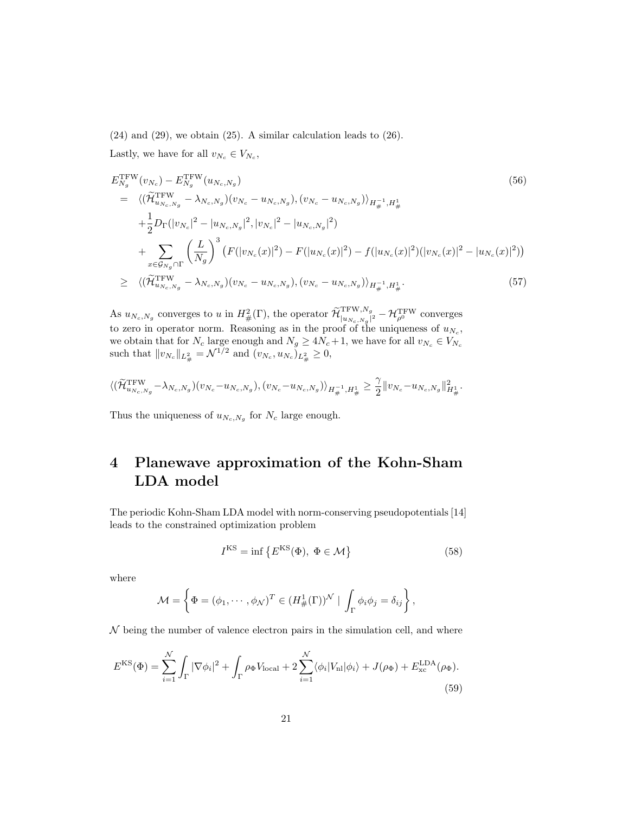$(24)$  and  $(29)$ , we obtain  $(25)$ . A similar calculation leads to  $(26)$ . Lastly, we have for all  $v_{N_c} \in V_{N_c}$ ,

$$
E_{N_g}^{\text{TFW}}(v_{N_c}) - E_{N_g}^{\text{TFW}}(u_{N_c, N_g})
$$
\n
$$
= \langle (\widetilde{H}_{u_{N_c, N_g}}^{\text{TFW}} - \lambda_{N_c, N_g})(v_{N_c} - u_{N_c, N_g}), (v_{N_c} - u_{N_c, N_g}) \rangle_{H_{\#}^{-1}, H_{\#}^1}
$$
\n
$$
+ \frac{1}{2} D_{\Gamma}(|v_{N_c}|^2 - |u_{N_c, N_g}|^2, |v_{N_c}|^2 - |u_{N_c, N_g}|^2)
$$
\n
$$
+ \sum_{x \in \mathcal{G}_{N_g} \cap \Gamma} \left(\frac{L}{N_g}\right)^3 \left(F(|v_{N_c}(x)|^2) - F(|u_{N_c}(x)|^2) - f(|u_{N_c}(x)|^2)(|v_{N_c}(x)|^2 - |u_{N_c}(x)|^2)\right)
$$
\n
$$
\geq \langle (\widetilde{H}_{u_{N_c, N_g}}^{\text{TFW}} - \lambda_{N_c, N_g})(v_{N_c} - u_{N_c, N_g}), (v_{N_c} - u_{N_c, N_g}) \rangle_{H_{\#}^{-1}, H_{\#}^1}. \tag{57}
$$

As  $u_{N_c,N_g}$  converges to u in  $H^2_{\#}(\Gamma)$ , the operator  $\widetilde{\mathcal{H}}_{|u_{N_c,N_g}|}^{\text{TFW},N_g}$  $\frac{1}{|u_{N_c,N_g}|^2}-\mathcal{H}^{\rm TFW}_{\rho^0}$  converges to zero in operator norm. Reasoning as in the proof of the uniqueness of  $u_{N_c}$ , we obtain that for  $N_c$  large enough and  $N_g \geq 4N_c+1$ , we have for all  $v_{N_c} \in V_{N_c}$ such that  $||v_{N_c}||_{L^2_{\#}} = \mathcal{N}^{1/2}$  and  $(v_{N_c}, u_{N_c})_{L^2_{\#}} \geq 0$ ,

$$
\langle (\widetilde{\mathcal{H}}^{\rm TFW}_{u_{N_c,N_g}} - \lambda_{N_c,N_g})(v_{N_c}-u_{N_c,N_g}), (v_{N_c}-u_{N_c,N_g}) \rangle_{H^{-1}_\#, H^1_\#} \geq \frac{\gamma}{2} \|v_{N_c}-u_{N_c,N_g}\|^2_{H^1_\#}.
$$

Thus the uniqueness of  $u_{N_c,N_g}$  for  $N_c$  large enough.

# 4 Planewave approximation of the Kohn-Sham LDA model

The periodic Kohn-Sham LDA model with norm-conserving pseudopotentials [14] leads to the constrained optimization problem

$$
I^{KS} = \inf \left\{ E^{KS}(\Phi), \ \Phi \in \mathcal{M} \right\} \tag{58}
$$

where

$$
\mathcal{M} = \left\{ \Phi = (\phi_1, \cdots, \phi_{\mathcal{N}})^T \in (H^1_{\#}(\Gamma))^{\mathcal{N}} \mid \int_{\Gamma} \phi_i \phi_j = \delta_{ij} \right\},\
$$

 $\mathcal N$  being the number of valence electron pairs in the simulation cell, and where

$$
E^{\rm KS}(\Phi) = \sum_{i=1}^{\mathcal{N}} \int_{\Gamma} |\nabla \phi_i|^2 + \int_{\Gamma} \rho_{\Phi} V_{\rm local} + 2 \sum_{i=1}^{\mathcal{N}} \langle \phi_i | V_{\rm nl} | \phi_i \rangle + J(\rho_{\Phi}) + E_{\rm xc}^{\rm LDA}(\rho_{\Phi}).
$$
\n(59)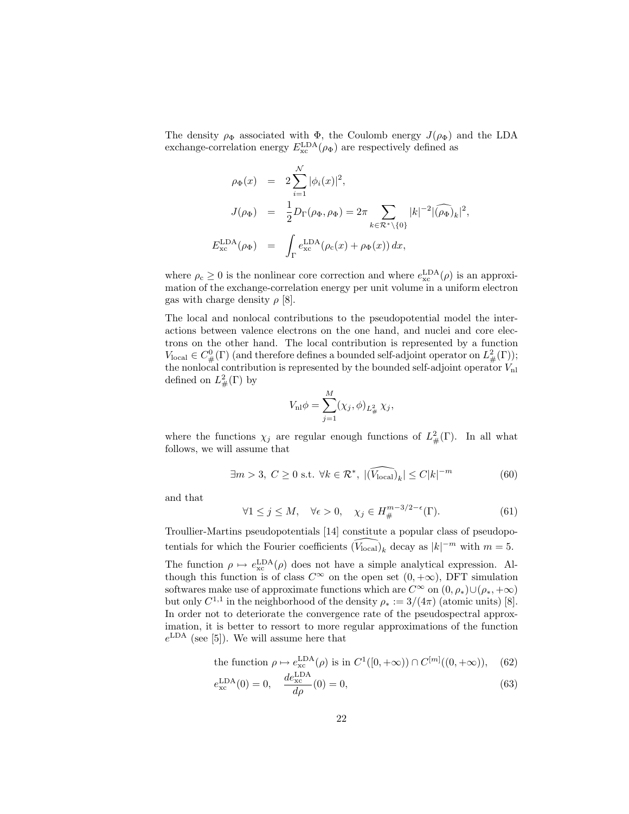The density  $\rho_{\Phi}$  associated with  $\Phi$ , the Coulomb energy  $J(\rho_{\Phi})$  and the LDA exchange-correlation energy  $E_{\text{xc}}^{\text{LDA}}(\rho_{\Phi})$  are respectively defined as

$$
\rho_{\Phi}(x) = 2 \sum_{i=1}^{N} |\phi_i(x)|^2,
$$
  
\n
$$
J(\rho_{\Phi}) = \frac{1}{2} D_{\Gamma}(\rho_{\Phi}, \rho_{\Phi}) = 2\pi \sum_{k \in \mathcal{R}^* \setminus \{0\}} |k|^{-2} |(\widehat{\rho_{\Phi}})_k|^2,
$$
  
\n
$$
E_{\text{xc}}^{\text{LDA}}(\rho_{\Phi}) = \int_{\Gamma} e_{\text{xc}}^{\text{LDA}}(\rho_{\text{c}}(x) + \rho_{\Phi}(x)) dx,
$$

where  $\rho_c \ge 0$  is the nonlinear core correction and where  $e_{\rm xc}^{\rm LDA}(\rho)$  is an approximation of the exchange-correlation energy per unit volume in a uniform electron gas with charge density  $\rho$  [8].

The local and nonlocal contributions to the pseudopotential model the interactions between valence electrons on the one hand, and nuclei and core electrons on the other hand. The local contribution is represented by a function  $V_{\text{local}} \in C^0_{\#}(\Gamma)$  (and therefore defines a bounded self-adjoint operator on  $L^2_{\#}(\Gamma)$ ); the nonlocal contribution is represented by the bounded self-adjoint operator  $V_{\text{nl}}$ defined on  $L^2_{\#}(\Gamma)$  by

$$
V_{\rm nl}\phi = \sum_{j=1}^{M} (\chi_j, \phi)_{L^2_{\#}} \chi_j,
$$

where the functions  $\chi_j$  are regular enough functions of  $L^2_{\#}(\Gamma)$ . In all what follows, we will assume that

$$
\exists m > 3, C \ge 0 \text{ s.t. } \forall k \in \mathcal{R}^*, \ |\widehat{(V_{\text{local}})}_k| \le C|k|^{-m} \tag{60}
$$

and that

E

$$
\forall 1 \le j \le M, \quad \forall \epsilon > 0, \quad \chi_j \in H^{m-3/2-\epsilon}_{\#}(\Gamma). \tag{61}
$$

Troullier-Martins pseudopotentials [14] constitute a popular class of pseudopotentials for which the Fourier coefficients  $(\widehat{V_{\text{local}}})_k$  decay as  $|k|^{-m}$  with  $m = 5$ . The function  $\rho \mapsto e_{\rm xc}^{\rm LDA}(\rho)$  does not have a simple analytical expression. Although this function is of class  $C^{\infty}$  on the open set  $(0, +\infty)$ , DFT simulation softwares make use of approximate functions which are  $C^{\infty}$  on  $(0, \rho_*)\cup (\rho_*, +\infty)$ but only  $C^{1,1}$  in the neighborhood of the density  $\rho_* := 3/(4\pi)$  (atomic units) [8]. In order not to deteriorate the convergence rate of the pseudospectral approximation, it is better to ressort to more regular approximations of the function  $e^{\text{LDA}}$  (see [5]). We will assume here that

the function 
$$
\rho \mapsto e_{\text{xc}}^{\text{LDA}}(\rho)
$$
 is in  $C^1([0, +\infty)) \cap C^{[m]}((0, +\infty))$ , (62)

$$
e_{\text{xc}}^{\text{LDA}}(0) = 0, \quad \frac{de_{\text{xc}}^{\text{LDA}}}{d\rho}(0) = 0,
$$
 (63)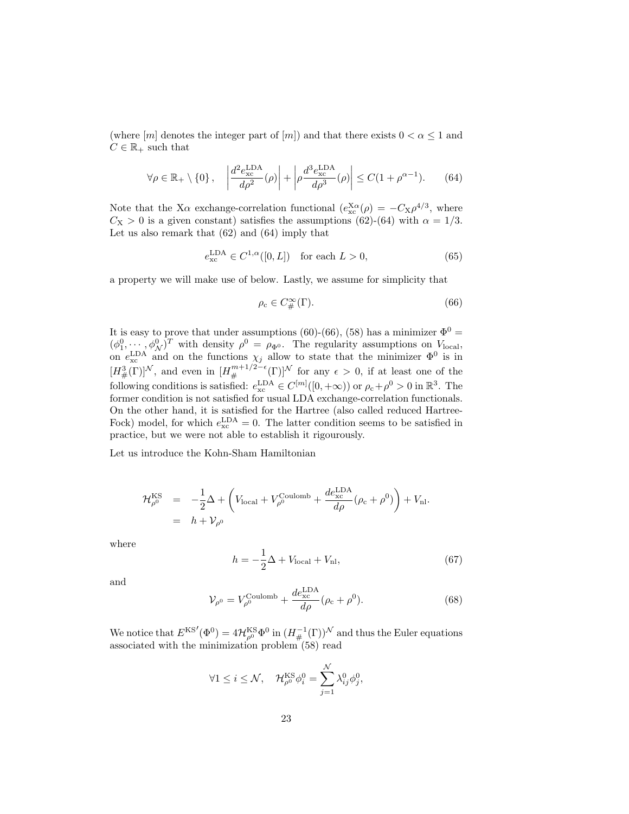(where  $[m]$  denotes the integer part of  $[m]$ ) and that there exists  $0 < \alpha \leq 1$  and  $C \in \mathbb{R}_+$  such that

$$
\forall \rho \in \mathbb{R}_+ \setminus \{0\}, \quad \left| \frac{d^2 e_{\text{xc}}^{\text{LDA}}}{d\rho^2}(\rho) \right| + \left| \rho \frac{d^3 e_{\text{xc}}^{\text{LDA}}}{d\rho^3}(\rho) \right| \le C(1 + \rho^{\alpha - 1}). \tag{64}
$$

Note that the X $\alpha$  exchange-correlation functional  $(e_{\text{xc}}^{X\alpha}(\rho) = -C_X \rho^{4/3}$ , where  $C_X > 0$  is a given constant) satisfies the assumptions (62)-(64) with  $\alpha = 1/3$ . Let us also remark that (62) and (64) imply that

$$
e_{\rm xc}^{\rm LDA} \in C^{1,\alpha}([0,L]) \quad \text{for each } L > 0,
$$
\n
$$
(65)
$$

a property we will make use of below. Lastly, we assume for simplicity that

$$
\rho_{\rm c} \in C^{\infty}_{\#}(\Gamma). \tag{66}
$$

It is easy to prove that under assumptions (60)-(66), (58) has a minimizer  $\Phi^0 =$  $(\phi_1^0, \dots, \phi_N^0)^T$  with density  $\rho^0 = \rho_{\Phi^0}$ . The regularity assumptions on  $V_{\text{local}}$ , on  $e_{\rm xc}^{\rm LDA}$  and on the functions  $\chi_j$  allow to state that the minimizer  $\Phi^0$  is in  $[H^3_{\#}(\Gamma)]^{\mathcal{N}}$ , and even in  $[H^{m+1/2-\epsilon}_{\#}(\Gamma)]^{\mathcal{N}}$  for any  $\epsilon > 0$ , if at least one of the following conditions is satisfied:  $e_{\text{xc}}^{\text{LDA}} \in C^{[m]}([0, +\infty))$  or  $\rho_c + \rho^0 > 0$  in  $\mathbb{R}^3$ . The former condition is not satisfied for usual LDA exchange-correlation functionals. On the other hand, it is satisfied for the Hartree (also called reduced Hartree-Fock) model, for which  $e_{\text{xc}}^{\text{LDA}} = 0$ . The latter condition seems to be satisfied in practice, but we were not able to establish it rigourously.

Let us introduce the Kohn-Sham Hamiltonian

$$
\mathcal{H}_{\rho^0}^{\text{KS}} = -\frac{1}{2}\Delta + \left(V_{\text{local}} + V_{\rho^0}^{\text{Coulomb}} + \frac{de_{\text{xc}}^{\text{LDA}}}{d\rho}(\rho_{\text{c}} + \rho^0)\right) + V_{\text{nl}}.
$$
  
=  $h + V_{\rho^0}$ 

where

$$
h = -\frac{1}{2}\Delta + V_{\text{local}} + V_{\text{nl}},\tag{67}
$$

and

$$
\mathcal{V}_{\rho^0} = V_{\rho^0}^{\text{Coulomb}} + \frac{de_{\text{xc}}^{\text{LDA}}}{d\rho} (\rho_{\text{c}} + \rho^0). \tag{68}
$$

We notice that  $E^{KS'}(\Phi^0) = 4\mathcal{H}_{\rho^0}^{KS}\Phi^0$  in  $(H_{\#}^{-1}(\Gamma))^{\mathcal{N}}$  and thus the Euler equations associated with the minimization problem (58) read

$$
\forall 1 \leq i \leq \mathcal{N}, \quad \mathcal{H}^{\text{KS}}_{\rho^0} \phi^0_i = \sum_{j=1}^{\mathcal{N}} \lambda^0_{ij} \phi^0_j,
$$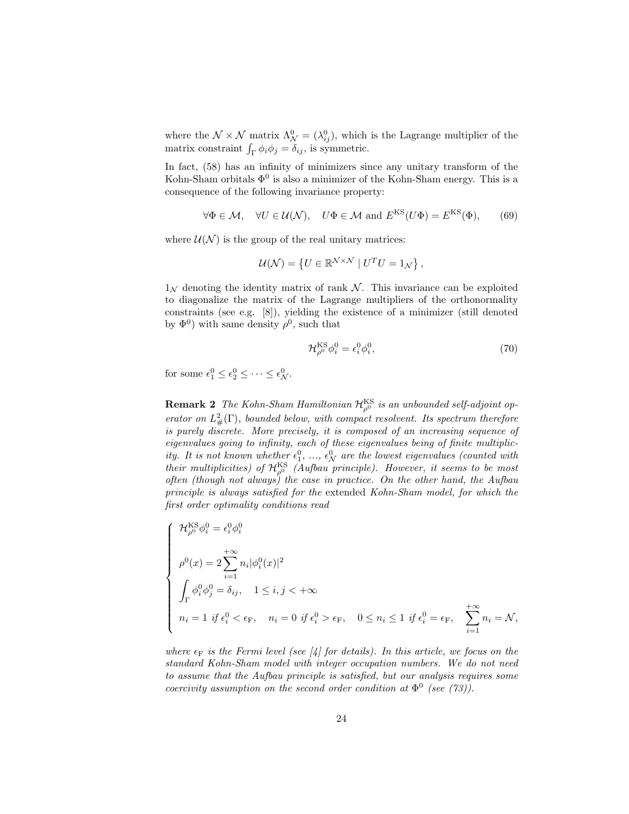where the  $\mathcal{N} \times \mathcal{N}$  matrix  $\Lambda_{\mathcal{N}}^0 = (\lambda_{ij}^0)$ , which is the Lagrange multiplier of the matrix constraint  $\int_{\Gamma} \phi_i \phi_j = \delta_{ij}$ , is symmetric.

In fact, (58) has an infinity of minimizers since any unitary transform of the Kohn-Sham orbitals  $\Phi^0$  is also a minimizer of the Kohn-Sham energy. This is a consequence of the following invariance property:

$$
\forall \Phi \in \mathcal{M}, \quad \forall U \in \mathcal{U}(\mathcal{N}), \quad U\Phi \in \mathcal{M} \text{ and } E^{\text{KS}}(U\Phi) = E^{\text{KS}}(\Phi), \tag{69}
$$

where  $\mathcal{U}(\mathcal{N})$  is the group of the real unitary matrices:

$$
\mathcal{U}(\mathcal{N}) = \{ U \in \mathbb{R}^{\mathcal{N} \times \mathcal{N}} \mid U^T U = 1_{\mathcal{N}} \},
$$

 $1_N$  denoting the identity matrix of rank N. This invariance can be exploited to diagonalize the matrix of the Lagrange multipliers of the orthonormality constraints (see e.g. [8]), yielding the existence of a minimizer (still denoted by  $\Phi^0$ ) with same density  $\rho^0$ , such that

$$
\mathcal{H}_{\rho^0}^{\text{KS}} \phi_i^0 = \epsilon_i^0 \phi_i^0,\tag{70}
$$

for some  $\epsilon_1^0 \leq \epsilon_2^0 \leq \cdots \leq \epsilon_N^0$ .

**Remark 2** The Kohn-Sham Hamiltonian  $\mathcal{H}_{\rho^0}^{\text{KS}}$  is an unbounded self-adjoint operator on  $L^2_{\#}(\Gamma)$ , bounded below, with compact resolvent. Its spectrum therefore is purely discrete. More precisely, it is composed of an increasing sequence of eigenvalues going to infinity, each of these eigenvalues being of finite multiplicity. It is not known whether  $\epsilon_1^0$ , ...,  $\epsilon_N^0$  are the lowest eigenvalues (counted with their multiplicities) of  $\mathcal{H}_{\rho^0}^{\text{KS}}$  (Aufbau principle). However, it seems to be most often (though not always) the case in practice. On the other hand, the Aufbau principle is always satisfied for the extended Kohn-Sham model, for which the first order optimality conditions read

$$
\left\{\begin{array}{l} \mathcal{H}^{\text{KS}}_{\rho^0}\phi^0_i=\epsilon^0_i\phi^0_i\\ \rho^0(x)=2\sum_{i=1}^{+\infty}n_i|\phi^0_i(x)|^2\\ \int_{\Gamma}\phi^0_i\phi^0_j=\delta_{ij},\quad 1\leq i,j<+\infty\\ n_i=1\ \text{if}\ \epsilon^0_i<\epsilon_{\text{F}},\quad n_i=0\ \text{if}\ \epsilon^0_i>\epsilon_{\text{F}},\quad 0\leq n_i\leq 1\ \text{if}\ \epsilon^0_i=\epsilon_{\text{F}},\quad \sum_{i=1}^{+\infty}n_i=\mathcal{N}, \end{array}\right.
$$

where  $\epsilon_F$  is the Fermi level (see [4] for details). In this article, we focus on the standard Kohn-Sham model with integer occupation numbers. We do not need to assume that the Aufbau principle is satisfied, but our analysis requires some coercivity assumption on the second order condition at  $\Phi^0$  (see (73)).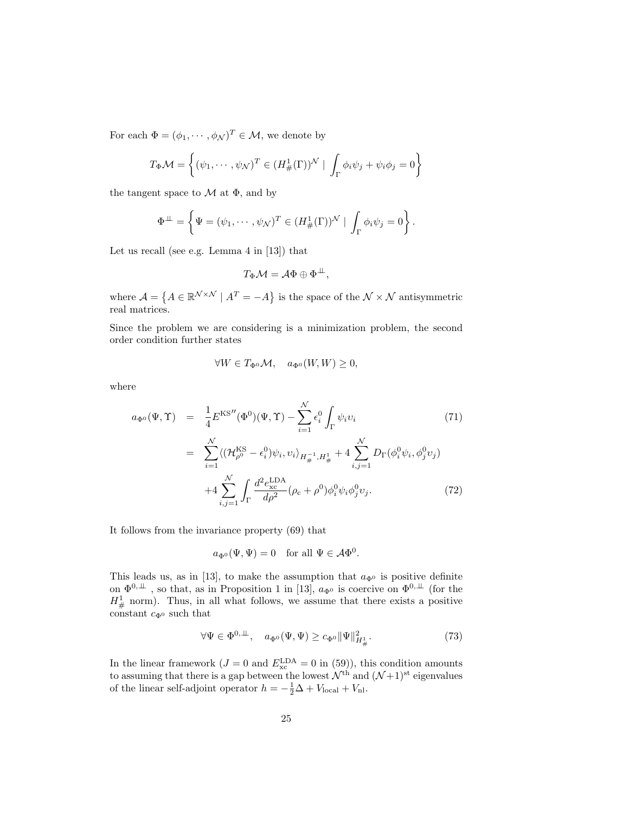For each  $\Phi = (\phi_1, \dots, \phi_N)^T \in \mathcal{M}$ , we denote by

$$
T_{\Phi} \mathcal{M} = \left\{ (\psi_1, \cdots, \psi_{\mathcal{N}})^T \in (H^1_{\#}(\Gamma))^{\mathcal{N}} \mid \int_{\Gamma} \phi_i \psi_j + \psi_i \phi_j = 0 \right\}
$$

the tangent space to  $\mathcal M$  at  $\Phi$ , and by

$$
\Phi^{\perp\!\!\!\perp} = \left\{ \Psi = (\psi_1, \cdots, \psi_{\mathcal{N}})^T \in (H^1_{\#}(\Gamma))^{\mathcal{N}} \mid \int_{\Gamma} \phi_i \psi_j = 0 \right\}.
$$

Let us recall (see e.g. Lemma 4 in [13]) that

$$
T_{\Phi}\mathcal{M}=\mathcal{A}\Phi\oplus\Phi^{\perp\!\!\!\perp},
$$

where  $A = \{A \in \mathbb{R}^{\mathcal{N} \times \mathcal{N}} \mid A^T = -A\}$  is the space of the  $\mathcal{N} \times \mathcal{N}$  antisymmetric real matrices.

Since the problem we are considering is a minimization problem, the second order condition further states

$$
\forall W \in T_{\Phi^0} \mathcal{M}, \quad a_{\Phi^0}(W, W) \ge 0,
$$

where

$$
a_{\Phi^{0}}(\Psi, \Upsilon) = \frac{1}{4} E^{KS''}(\Phi^{0})(\Psi, \Upsilon) - \sum_{i=1}^{N} \epsilon_{i}^{0} \int_{\Gamma} \psi_{i} v_{i}
$$
(71)  

$$
= \sum_{i=1}^{N} \langle (\mathcal{H}_{\rho^{0}}^{KS} - \epsilon_{i}^{0}) \psi_{i}, v_{i} \rangle_{H_{\#}^{-1}, H_{\#}^{1}} + 4 \sum_{i,j=1}^{N} D_{\Gamma}(\phi_{i}^{0} \psi_{i}, \phi_{j}^{0} v_{j})
$$

$$
+ 4 \sum_{i,j=1}^{N} \int_{\Gamma} \frac{d^{2} e_{\text{xc}}^{\text{LDA}}}{d\rho^{2}} (\rho_{c} + \rho^{0}) \phi_{i}^{0} \psi_{i} \phi_{j}^{0} v_{j}. \qquad (72)
$$

It follows from the invariance property (69) that

$$
a_{\Phi^0}(\Psi, \Psi) = 0
$$
 for all  $\Psi \in \mathcal{A}\Phi^0$ .

This leads us, as in [13], to make the assumption that  $a_{\Phi}$  is positive definite on  $\Phi^{0,\perp\!\!\!\perp}$ , so that, as in Proposition 1 in [13],  $a_{\Phi^0}$  is coercive on  $\Phi^{0,\perp\!\!\!\perp}$  (for the  $H^1_{\#}$  norm). Thus, in all what follows, we assume that there exists a positive constant  $c_{\Phi^0}$  such that

$$
\forall \Psi \in \Phi^{0,\perp\!\!\!\perp}, \quad a_{\Phi^0}(\Psi, \Psi) \ge c_{\Phi^0} \|\Psi\|_{H^1_{\#}}^2. \tag{73}
$$

In the linear framework ( $J = 0$  and  $E_{\text{xc}}^{\text{LDA}} = 0$  in (59)), this condition amounts to assuming that there is a gap between the lowest  $\mathcal{N}^{\text{th}}$  and  $(\mathcal{N}+1)^{\text{st}}$  eigenvalues of the linear self-adjoint operator  $h = -\frac{1}{2}\Delta + V_{\text{local}} + V_{\text{nl}}$ .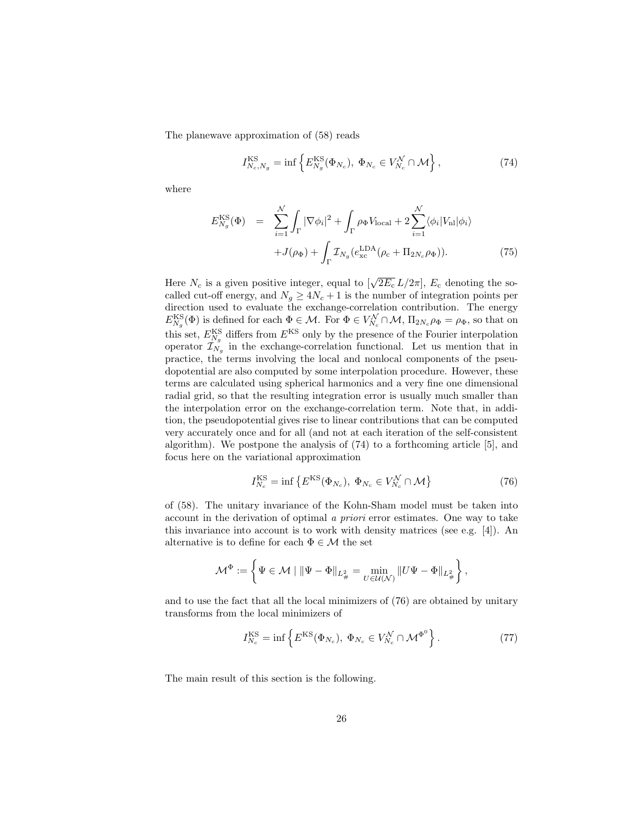The planewave approximation of (58) reads

$$
I_{N_c,N_g}^{\text{KS}} = \inf \left\{ E_{N_g}^{\text{KS}}(\Phi_{N_c}), \ \Phi_{N_c} \in V_{N_c}^{\mathcal{N}} \cap \mathcal{M} \right\},\tag{74}
$$

where

$$
E_{N_g}^{\text{KS}}(\Phi) = \sum_{i=1}^{N} \int_{\Gamma} |\nabla \phi_i|^2 + \int_{\Gamma} \rho_{\Phi} V_{\text{local}} + 2 \sum_{i=1}^{N} \langle \phi_i | V_{\text{nl}} | \phi_i \rangle
$$

$$
+ J(\rho_{\Phi}) + \int_{\Gamma} \mathcal{I}_{N_g} (e_{\text{xc}}^{\text{LDA}}(\rho_{\text{c}} + \Pi_{2N_c} \rho_{\Phi})). \tag{75}
$$

Here  $N_c$  is a given positive integer, equal to  $[\sqrt{2E_c} L/2\pi]$ ,  $E_c$  denoting the socalled cut-off energy, and  $N_g \geq 4N_c + 1$  is the number of integration points per direction used to evaluate the exchange-correlation contribution. The energy  $E_{N_g}^{\text{KS}}(\Phi)$  is defined for each  $\Phi \in \mathcal{M}$ . For  $\Phi \in V_{N_c}^{\mathcal{N}} \cap \mathcal{M}$ ,  $\Pi_{2N_c}\rho_{\Phi} = \rho_{\Phi}$ , so that on this set,  $E_{N_g}^{\text{KS}}$  differs from  $E^{\text{KS}}$  only by the presence of the Fourier interpolation operator  $\mathcal{I}_{N_g}$  in the exchange-correlation functional. Let us mention that in practice, the terms involving the local and nonlocal components of the pseudopotential are also computed by some interpolation procedure. However, these terms are calculated using spherical harmonics and a very fine one dimensional radial grid, so that the resulting integration error is usually much smaller than the interpolation error on the exchange-correlation term. Note that, in addition, the pseudopotential gives rise to linear contributions that can be computed very accurately once and for all (and not at each iteration of the self-consistent algorithm). We postpone the analysis of (74) to a forthcoming article [5], and focus here on the variational approximation

$$
I_{N_c}^{\text{KS}} = \inf \left\{ E^{\text{KS}}(\Phi_{N_c}), \ \Phi_{N_c} \in V_{N_c}^{\mathcal{N}} \cap \mathcal{M} \right\} \tag{76}
$$

of (58). The unitary invariance of the Kohn-Sham model must be taken into account in the derivation of optimal a priori error estimates. One way to take this invariance into account is to work with density matrices (see e.g. [4]). An alternative is to define for each  $\Phi \in \mathcal{M}$  the set

$$
\mathcal{M}^\Phi:=\left\{\Psi\in\mathcal{M}\mid \|\Psi-\Phi\|_{L^2_\#}=\min_{U\in\mathcal{U}(\mathcal{N})}\|U\Psi-\Phi\|_{L^2_\#}\right\},
$$

and to use the fact that all the local minimizers of (76) are obtained by unitary transforms from the local minimizers of

$$
I_{N_c}^{\text{KS}} = \inf \left\{ E^{\text{KS}}(\Phi_{N_c}), \ \Phi_{N_c} \in V_{N_c}^{\mathcal{N}} \cap \mathcal{M}^{\Phi^0} \right\}.
$$
 (77)

The main result of this section is the following.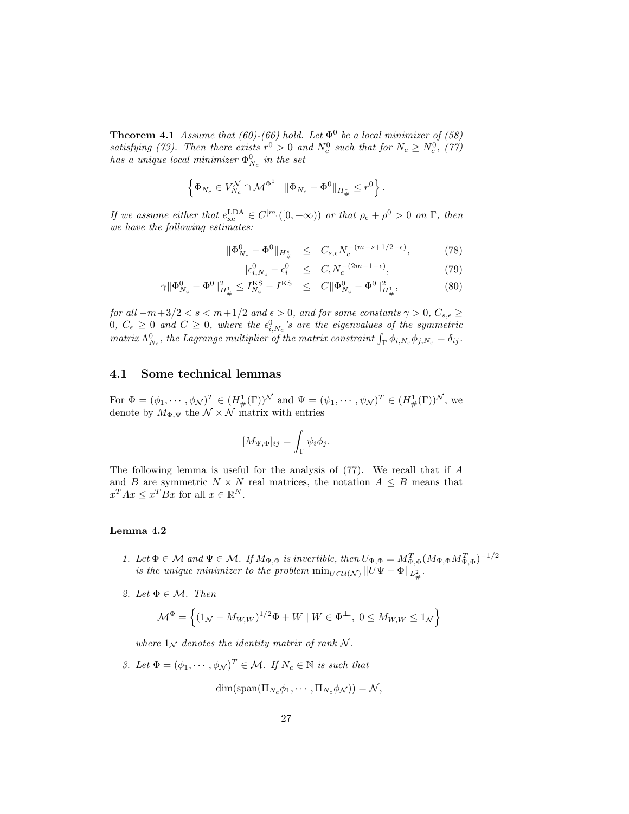**Theorem 4.1** Assume that (60)-(66) hold. Let  $\Phi^0$  be a local minimizer of (58) satisfying (73). Then there exists  $r^0 > 0$  and  $N_c^0$  such that for  $N_c \ge N_c^0$ , (77) has a unique local minimizer  $\Phi_{N_c}^0$  in the set

$$
\left\{\Phi_{N_c} \in V_{N_c}^{\mathcal{N}} \cap \mathcal{M}^{\Phi^0} \mid \|\Phi_{N_c} - \Phi^0\|_{H^1_{\#}} \leq r^0\right\}.
$$

If we assume either that  $e_{\text{xc}}^{\text{LDA}} \in C^{[m]}([0, +\infty))$  or that  $\rho_c + \rho^0 > 0$  on  $\Gamma$ , then we have the following estimates:

$$
\|\Phi_{N_c}^0 - \Phi^0\|_{H^s_{\#}} \leq C_{s,\epsilon} N_c^{-(m-s+1/2-\epsilon)}, \tag{78}
$$

$$
|\epsilon_{i,N_c}^0 - \epsilon_i^0| \le C_{\epsilon} N_c^{-(2m-1-\epsilon)}, \tag{79}
$$

$$
\gamma \|\Phi_{N_c}^0 - \Phi^0\|_{H^1_{\#}}^2 \le I_{N_c}^{\text{KS}} - I^{\text{KS}} \le C \|\Phi_{N_c}^0 - \Phi^0\|_{H^1_{\#}}^2, \tag{80}
$$

for all  $-m+3/2 < s < m+1/2$  and  $\epsilon > 0$ , and for some constants  $\gamma > 0$ ,  $C_{s,\epsilon} \ge$  $0, C_{\epsilon} \geq 0$  and  $C \geq 0$ , where the  $\epsilon_{i,N_c}^0$ 's are the eigenvalues of the symmetric matrix  $\Lambda_{N_c}^0$ , the Lagrange multiplier of the matrix constraint  $\int_{\Gamma} \phi_{i,N_c} \phi_{j,N_c} = \delta_{ij}$ .

#### 4.1 Some technical lemmas

For  $\Phi = (\phi_1, \cdots, \phi_{\mathcal{N}})^T \in (H^1_{\#}(\Gamma))^{\mathcal{N}}$  and  $\Psi = (\psi_1, \cdots, \psi_{\mathcal{N}})^T \in (H^1_{\#}(\Gamma))^{\mathcal{N}}$ , we denote by  $M_{\Phi,\Psi}$  the  $\mathcal{N} \times \mathcal{N}$  matrix with entries

$$
[M_{\Psi,\Phi}]_{ij} = \int_{\Gamma} \psi_i \phi_j.
$$

The following lemma is useful for the analysis of (77). We recall that if A and B are symmetric  $N \times N$  real matrices, the notation  $A \leq B$  means that  $x^T A x \leq x^T B x$  for all  $x \in \mathbb{R}^N$ .

#### Lemma 4.2

- 1. Let  $\Phi \in \mathcal{M}$  and  $\Psi \in \mathcal{M}$ . If  $M_{\Psi,\Phi}$  is invertible, then  $U_{\Psi,\Phi} = M_{\Psi,\Phi}^T (M_{\Psi,\Phi} M_{\Psi,\Phi}^T)^{-1/2}$ is the unique minimizer to the problem  $\min_{U \in \mathcal{U}(\mathcal{N})} \| U \Psi - \Phi \|_{L^2_{\#}}$ .
- 2. Let  $\Phi \in \mathcal{M}$ . Then

$$
\mathcal{M}^{\Phi} = \left\{ (\mathbb{1}_{\mathcal{N}} - M_{W,W})^{1/2} \Phi + W \mid W \in \Phi^{\perp\!\!\!\perp}, \ 0 \le M_{W,W} \le \mathbb{1}_{\mathcal{N}} \right\}
$$

where  $1_N$  denotes the identity matrix of rank N.

3. Let  $\Phi = (\phi_1, \cdots, \phi_N)^T \in \mathcal{M}$ . If  $N_c \in \mathbb{N}$  is such that

$$
\dim(\mathrm{span}(\Pi_{N_c}\phi_1,\cdots,\Pi_{N_c}\phi_{\mathcal{N}}))=\mathcal{N},
$$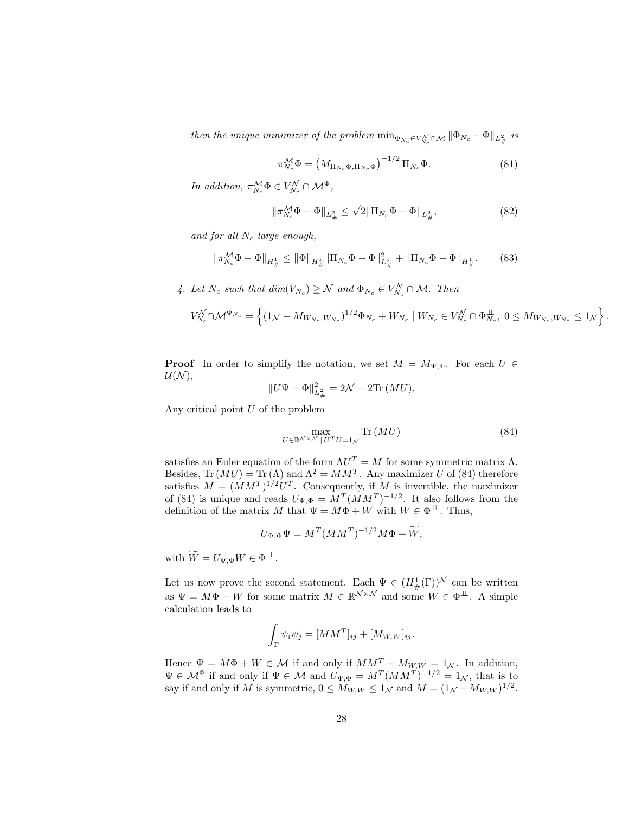then the unique minimizer of the problem  $\min_{\Phi_{N_c} \in V_{N_c}^N \cap \mathcal{M}} \|\Phi_{N_c} - \Phi\|_{L^2_{\#}}$  is

$$
\pi_{N_c}^{\mathcal{M}} \Phi = \left( M_{\Pi_{N_c} \Phi, \Pi_{N_c} \Phi} \right)^{-1/2} \Pi_{N_c} \Phi.
$$
\n(81)

In addition,  $\pi_{N_c}^{\mathcal{M}} \Phi \in V_{N_c}^{\mathcal{N}} \cap \mathcal{M}^{\Phi}$ ,

$$
\|\pi_{N_c}^{\mathcal{M}}\Phi - \Phi\|_{L^2_{\#}} \le \sqrt{2} \|\Pi_{N_c}\Phi - \Phi\|_{L^2_{\#}},
$$
\n(82)

and for all  $N_c$  large enough,

$$
\|\pi_{N_c}^{\mathcal{M}}\Phi - \Phi\|_{H^1_{\#}} \le \|\Phi\|_{H^1_{\#}} \|\Pi_{N_c}\Phi - \Phi\|_{L^2_{\#}}^2 + \|\Pi_{N_c}\Phi - \Phi\|_{H^1_{\#}}.\tag{83}
$$

4. Let  $N_c$  such that  $dim(V_{N_c}) \geq \mathcal{N}$  and  $\Phi_{N_c} \in V_{N_c}^{\mathcal{N}} \cap \mathcal{M}$ . Then

$$
V_{N_c}^{\mathcal{N}} \cap \mathcal{M}^{\Phi_{N_c}} = \left\{ (1_{\mathcal{N}} - M_{W_{N_c}, W_{N_c}})^{1/2} \Phi_{N_c} + W_{N_c} \mid W_{N_c} \in V_{N_c}^{\mathcal{N}} \cap \Phi_{N_c}^{\perp}, \ 0 \leq M_{W_{N_c}, W_{N_c}} \leq 1_{\mathcal{N}} \right\}.
$$

**Proof** In order to simplify the notation, we set  $M = M_{\Psi,\Phi}$ . For each  $U \in$  $\mathcal{U}(\mathcal{N}),$ 

$$
||U\Psi - \Phi||_{L^2_{\#}}^2 = 2\mathcal{N} - 2\text{Tr}(MU).
$$

Any critical point  $U$  of the problem

$$
\max_{U \in \mathbb{R}^{N \times N} \mid U^T U = 1_N} \text{Tr}\left(MU\right) \tag{84}
$$

satisfies an Euler equation of the form  $\Lambda U^T = M$  for some symmetric matrix  $\Lambda$ . Besides,  $\text{Tr}(MU) = \text{Tr}(\Lambda)$  and  $\Lambda^2 = MM^T$ . Any maximizer U of (84) therefore satisfies  $M = (MM^T)^{1/2}U^T$ . Consequently, if M is invertible, the maximizer of (84) is unique and reads  $U_{\Psi,\Phi} = M^{T} (M M^{T})^{-1/2}$ . It also follows from the definition of the matrix M that  $\Psi = M\Phi + W$  with  $W \in \Phi^{\perp\!\!\!\perp}$ . Thus,

$$
U_{\Psi,\Phi}\Psi = M^T (MM^T)^{-1/2} M\Phi + \widetilde{W},
$$

with  $\widetilde{W} = U_{\Psi, \Phi} W \in \Phi^{\perp \perp}$ .

Let us now prove the second statement. Each  $\Psi \in (H^1_{\#}(\Gamma))^{\mathcal{N}}$  can be written as  $\Psi = M\Phi + W$  for some matrix  $M \in \mathbb{R}^{\mathcal{N} \times \mathcal{N}}$  and some  $W \in \Phi^{\perp\!\!\!\perp}$ . A simple calculation leads to

$$
\int_{\Gamma} \psi_i \psi_j = [MM^T]_{ij} + [M_{W,W}]_{ij}.
$$

Hence  $\Psi = M\Phi + W \in \mathcal{M}$  if and only if  $MM^T + M_{W,W} = 1_{\mathcal{N}}$ . In addition,  $\Psi \in \mathcal{M}^{\Phi}$  if and only if  $\Psi \in \mathcal{M}$  and  $U_{\Psi,\Phi} = M^{T}(MM^{T})^{-1/2} = 1_{\mathcal{N}}$ , that is to say if and only if M is symmetric,  $0 \le M_{W,W} \le 1_{\mathcal{N}}$  and  $M = (1_{\mathcal{N}} - M_{W,W})^{1/2}$ .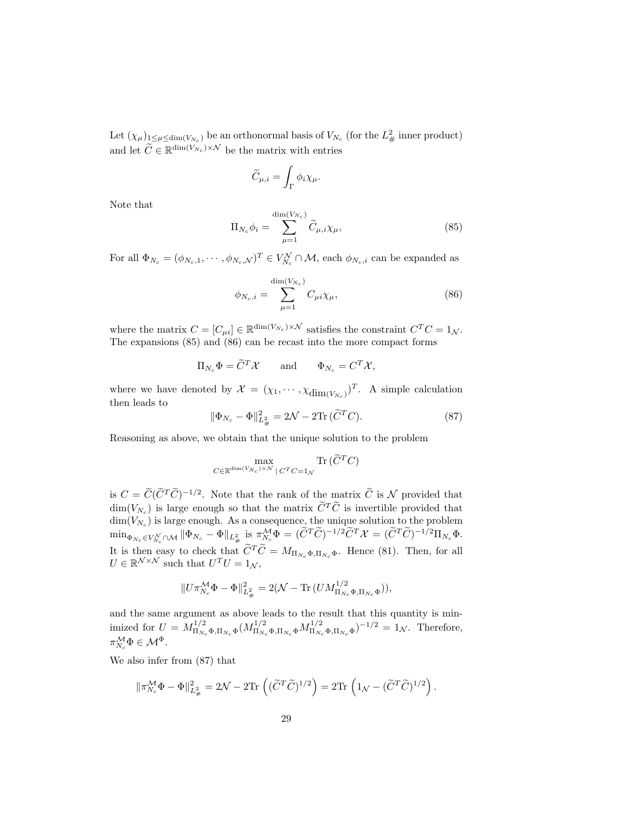Let  $(\chi_{\mu})_{1 \leq \mu \leq \dim(V_{N_c})}$  be an orthonormal basis of  $V_{N_c}$  (for the  $L^2_{\#}$  inner product) and let  $\widetilde{C} \in \mathbb{R}^{\dim(V_{N_c}) \times \mathcal{N}}$  be the matrix with entries

$$
\widetilde{C}_{\mu,i} = \int_{\Gamma} \phi_i \chi_{\mu}.
$$

Note that

$$
\Pi_{N_c} \phi_i = \sum_{\mu=1}^{\dim(V_{N_c})} \widetilde{C}_{\mu,i} \chi_{\mu}, \tag{85}
$$

For all  $\Phi_{N_c} = (\phi_{N_c,1}, \cdots, \phi_{N_c,N})^T \in V_{N_c}^N \cap M$ , each  $\phi_{N_c,i}$  can be expanded as

$$
\phi_{N_c,i} = \sum_{\mu=1}^{\dim(V_{N_c})} C_{\mu i} \chi_{\mu},
$$
\n(86)

where the matrix  $C = [C_{\mu i}] \in \mathbb{R}^{\dim(V_{N_c}) \times \mathcal{N}}$  satisfies the constraint  $C^T C = 1_{\mathcal{N}}$ . The expansions (85) and (86) can be recast into the more compact forms

$$
\Pi_{N_c} \Phi = \widetilde{C}^T \mathcal{X}
$$
 and  $\Phi_{N_c} = C^T \mathcal{X},$ 

where we have denoted by  $\mathcal{X} = (\chi_1, \dots, \chi_{\dim(V_{N_c})})^T$ . A simple calculation then leads to

$$
\|\Phi_{N_c} - \Phi\|_{L^2_{\#}}^2 = 2\mathcal{N} - 2\text{Tr}\,(\widetilde{C}^T C). \tag{87}
$$

Reasoning as above, we obtain that the unique solution to the problem

$$
\max_{C \in \mathbb{R}^{\dim(V_{N_c}) \times \mathcal{N}} | C^T C = 1_{\mathcal{N}}} \text{Tr}(\widetilde{C}^T C)
$$

is  $C = \widetilde{C}(\widetilde{C}^T\widetilde{C})^{-1/2}$ . Note that the rank of the matrix  $\widetilde{C}$  is N provided that  $\dim(V_{N_c})$  is large enough so that the matrix  $\widetilde{C}^T\widetilde{C}$  is invertible provided that  $\dim(V_{N_c})$  is large enough. As a consequence, the unique solution to the problem  $\min_{\Phi_{N_c}\in V_{N_c}^{\mathcal{N}}\cap\mathcal{M}}\|\Phi_{N_c}-\Phi\|_{L^2_{\#}}\ \text{is}\ \pi^{\mathcal{M}}_{N_c}\Phi=(\widetilde{C}^T\widetilde{C})^{-1/2}\widetilde{C}^T\mathcal{X}=(\widetilde{C}^T\widetilde{C})^{-1/2}\Pi_{N_c}\Phi.$ It is then easy to check that  $\widetilde{C}^T \widetilde{C} = M_{\Pi_{N_c} \Phi, \Pi_{N_c} \Phi}$ . Hence (81). Then, for all  $U \in \mathbb{R}^{\mathcal{N} \times \mathcal{N}}$  such that  $U^T U = 1_{\mathcal{N}}$ ,

$$
||U \pi_{N_c}^{\mathcal{M}} \Phi - \Phi||_{L^2_{\#}}^2 = 2(\mathcal{N} - \text{Tr}(U M_{\Pi_{N_c} \Phi, \Pi_{N_c} \Phi}^{1/2})),
$$

and the same argument as above leads to the result that this quantity is minimized for  $U = M_{\Pi_N}^{1/2}$  $\frac{1}{2}\Pi_{N_c}\Phi,\Pi_{N_c}\Phi}(M^{1/2}_{\Pi_{N_c}\Phi,\Pi_{N_c}\Phi}M^{1/2}_{\Pi_{N_c}\Phi})$  $(\Pi_{N_c} \Phi, \Pi_{N_c} \Phi)^{-1/2} = 1_{\mathcal{N}}$ . Therefore,  $\pi_{N_c}^{\mathcal{M}} \Phi \in \mathcal{M}^{\Phi}.$ 

We also infer from (87) that

$$
\|\pi_{N_c}^{\mathcal{M}} \Phi - \Phi\|_{L^2_{\#}}^2 = 2\mathcal{N} - 2\text{Tr}\left( (\widetilde{C}^T \widetilde{C})^{1/2} \right) = 2\text{Tr}\left(1_{\mathcal{N}} - (\widetilde{C}^T \widetilde{C})^{1/2}\right).
$$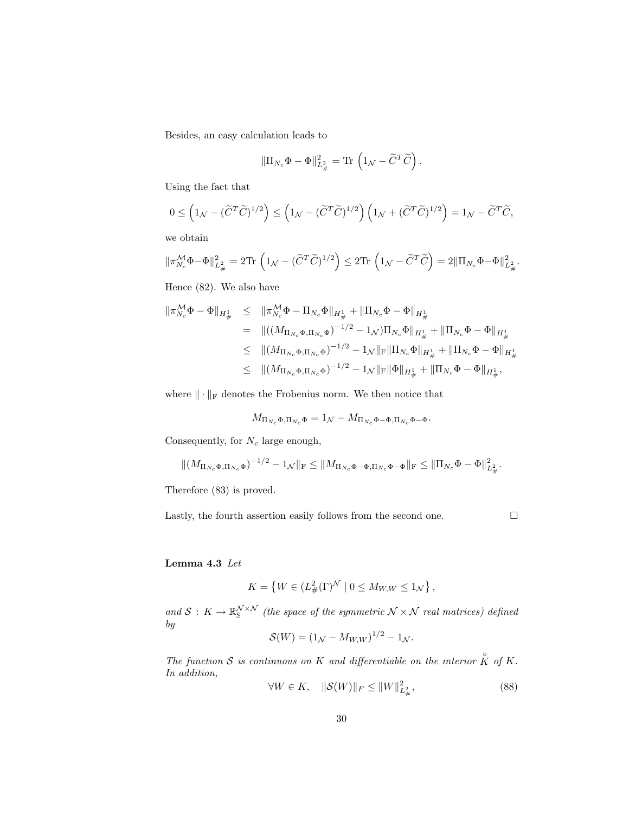Besides, an easy calculation leads to

$$
\|\Pi_{N_c}\Phi-\Phi\|_{L^2_\#}^2=\text{Tr}\,\left(\mathbf{1}_{\mathcal{N}}-\widetilde{C}^T\widetilde{C}\right).
$$

Using the fact that

$$
0 \leq \left(1_{\mathcal{N}} - (\widetilde{C}^T \widetilde{C})^{1/2}\right) \leq \left(1_{\mathcal{N}} - (\widetilde{C}^T \widetilde{C})^{1/2}\right) \left(1_{\mathcal{N}} + (\widetilde{C}^T \widetilde{C})^{1/2}\right) = 1_{\mathcal{N}} - \widetilde{C}^T \widetilde{C},
$$

we obtain

$$
\|\pi_{N_c}^{\mathcal{M}}\Phi-\Phi\|_{L^2_{\#}}^2=2\text{Tr}\,\left(\mathbf{1}_{\mathcal{N}}-(\widetilde{C}^T\widetilde{C})^{1/2}\right)\leq 2\text{Tr}\,\left(\mathbf{1}_{\mathcal{N}}-\widetilde{C}^T\widetilde{C}\right)=2\|\Pi_{N_c}\Phi-\Phi\|_{L^2_{\#}}^2.
$$

Hence (82). We also have

$$
\begin{array}{lcl} \|\pi^{\mathcal{M}}_{N_c}\Phi-\Phi\|_{H^1_{\#}} & \leq & \|\pi^{\mathcal{M}}_{N_c}\Phi-\Pi_{N_c}\Phi\|_{H^1_{\#}}+\|\Pi_{N_c}\Phi-\Phi\|_{H^1_{\#}}\\ \\ & = & \Vert ((M_{\Pi_{N_c}\Phi,\Pi_{N_c}\Phi})^{-1/2}-1_{\mathcal{N}})\Pi_{N_c}\Phi\|_{H^1_{\#}}+\|\Pi_{N_c}\Phi-\Phi\|_{H^1_{\#}}\\ \\ & \leq & \Vert (M_{\Pi_{N_c}\Phi,\Pi_{N_c}\Phi})^{-1/2}-1_{\mathcal{N}}\|_{\mathrm{F}}\|\Pi_{N_c}\Phi\|_{H^1_{\#}}+\|\Pi_{N_c}\Phi-\Phi\|_{H^1_{\#}}\\ \\ & \leq & \Vert (M_{\Pi_{N_c}\Phi,\Pi_{N_c}\Phi})^{-1/2}-1_{\mathcal{N}}\|_{\mathrm{F}}\|\Phi\|_{H^1_{\#}}+\|\Pi_{N_c}\Phi-\Phi\|_{H^1_{\#}}, \end{array}
$$

where  $\|\cdot\|_{\mathrm{F}}$  denotes the Frobenius norm. We then notice that

$$
M_{\Pi_{N_c}\Phi,\Pi_{N_c}\Phi} = 1_{\mathcal{N}} - M_{\Pi_{N_c}\Phi - \Phi,\Pi_{N_c}\Phi - \Phi}.
$$

Consequently, for  $N_c$  large enough,

$$
\|(M_{\Pi_{N_c}\Phi,\Pi_{N_c}\Phi})^{-1/2} - 1_{\mathcal{N}}\|_{\mathcal{F}} \le \|M_{\Pi_{N_c}\Phi - \Phi,\Pi_{N_c}\Phi - \Phi}\|_{\mathcal{F}} \le \|\Pi_{N_c}\Phi - \Phi\|_{L^2_{\#}}^2.
$$

Therefore (83) is proved.

Lastly, the fourth assertion easily follows from the second one.  $\Box$ 

#### Lemma 4.3 Let

$$
K = \left\{ W \in (L^2_{\#}(\Gamma)^{\mathcal{N}} \mid 0 \le M_{W,W} \le 1_{\mathcal{N}} \right\},\
$$

and  $S: K \to \mathbb{R}_S^{N \times N}$  (the space of the symmetric  $N \times N$  real matrices) defined by

$$
S(W) = (1_{\mathcal{N}} - M_{W,W})^{1/2} - 1_{\mathcal{N}}.
$$

The function S is continuous on K and differentiable on the interior  $\hat{K}$  of K. In addition,

$$
\forall W \in K, \quad \|\mathcal{S}(W)\|_{F} \le \|W\|_{L^{2}_{\#}}^{2}, \tag{88}
$$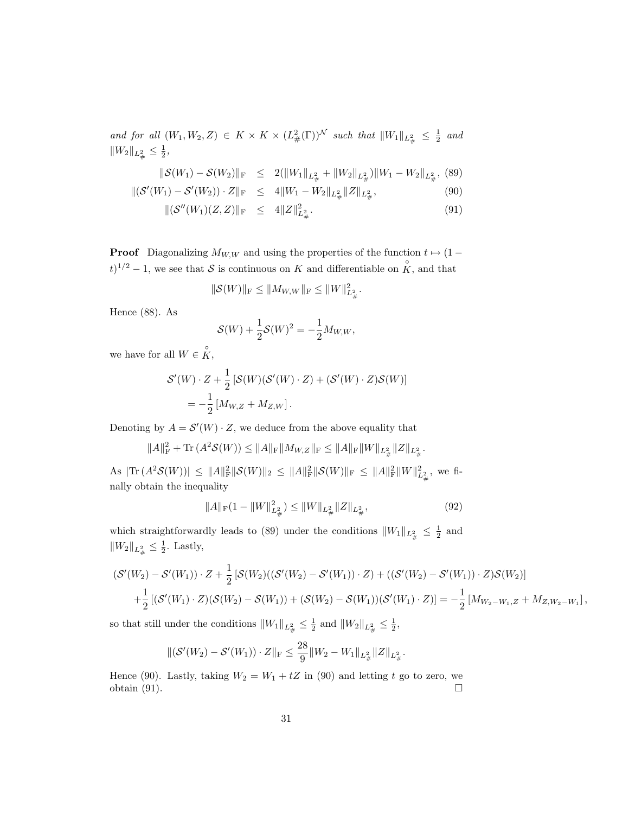and for all  $(W_1, W_2, Z) \in K \times K \times (L^2_{\#}(\Gamma))^N$  such that  $||W_1||_{L^2_{\#}} \leq \frac{1}{2}$  and  $||W_2||_{L^2_{\#}} \leq \frac{1}{2},$ 

$$
\|\mathcal{S}(W_1) - \mathcal{S}(W_2)\|_{\mathrm{F}} \le 2(\|W_1\|_{L^2_{\#}} + \|W_2\|_{L^2_{\#}})\|W_1 - W_2\|_{L^2_{\#}},
$$
 (89)

$$
\|(\mathcal{S}'(W_1) - \mathcal{S}'(W_2)) \cdot Z\|_{\mathcal{F}} \le 4\|W_1 - W_2\|_{L^2_{\#}} \|Z\|_{L^2_{\#}},\tag{90}
$$

$$
\|(\mathcal{S}''(W_1)(Z,Z)\|_{\mathcal{F}} \le 4\|Z\|_{L^2_{\#}}^2. \tag{91}
$$

**Proof** Diagonalizing  $M_{W,W}$  and using the properties of the function  $t \mapsto (1 (t)^{1/2} - 1$ , we see that S is continuous on K and differentiable on  $\hat{K}$ , and that

$$
\|\mathcal{S}(W)\|_{\mathrm{F}} \le \|M_{W,W}\|_{\mathrm{F}} \le \|W\|_{L^2_{\#}}^2.
$$

Hence (88). As

$$
S(W) + \frac{1}{2}S(W)^{2} = -\frac{1}{2}M_{W,W},
$$

we have for all  $W \in \overset{\circ}{K}$ ,

$$
\mathcal{S}'(W) \cdot Z + \frac{1}{2} \left[ \mathcal{S}(W)(\mathcal{S}'(W) \cdot Z) + (\mathcal{S}'(W) \cdot Z)\mathcal{S}(W) \right]
$$
  
= 
$$
-\frac{1}{2} \left[ M_{W,Z} + M_{Z,W} \right].
$$

Denoting by  $A = \mathcal{S}'(W) \cdot Z$ , we deduce from the above equality that

$$
||A||_{\mathrm{F}}^2 + \mathrm{Tr}\,(A^2\mathcal{S}(W)) \leq ||A||_{\mathrm{F}}||M_{W,Z}||_{\mathrm{F}} \leq ||A||_{\mathrm{F}}||W||_{L^2_{\#}}||Z||_{L^2_{\#}}.
$$

 $\text{As } |\text{Tr} (A^2 \mathcal{S}(W))| \leq ||A||_F^2 ||\mathcal{S}(W)||_2 \leq ||A||_F^2 ||\mathcal{S}(W)||_F \leq ||A||_F^2 ||W||_{L^2_{\#}}^2$ , we finally obtain the inequality

$$
||A||_{\mathcal{F}}(1 - ||W||_{L^2_{\#}}^2) \le ||W||_{L^2_{\#}} ||Z||_{L^2_{\#}},
$$
\n(92)

which straightforwardly leads to (89) under the conditions  $||W_1||_{L^2_{\#}} \leq \frac{1}{2}$  and  $||W_2||_{L^2_{\#}} \leq \frac{1}{2}$ . Lastly,

$$
\begin{aligned} & (\mathcal{S}'(W_2) - \mathcal{S}'(W_1)) \cdot Z + \frac{1}{2} \left[ \mathcal{S}(W_2)((\mathcal{S}'(W_2) - \mathcal{S}'(W_1)) \cdot Z) + ((\mathcal{S}'(W_2) - \mathcal{S}'(W_1)) \cdot Z) \mathcal{S}(W_2) \right] \\ & + \frac{1}{2} \left[ (\mathcal{S}'(W_1) \cdot Z)(\mathcal{S}(W_2) - \mathcal{S}(W_1)) + (\mathcal{S}(W_2) - \mathcal{S}(W_1))(\mathcal{S}'(W_1) \cdot Z) \right] = -\frac{1}{2} \left[ M_{W_2 - W_1, Z} + M_{Z, W_2 - W_1} \right], \end{aligned}
$$

so that still under the conditions  $||W_1||_{L^2_{\#}} \leq \frac{1}{2}$  and  $||W_2||_{L^2_{\#}} \leq \frac{1}{2}$ ,

$$
\|(\mathcal{S}'(W_2) - \mathcal{S}'(W_1)) \cdot Z\|_{\mathrm{F}} \le \frac{28}{9} \|W_2 - W_1\|_{L^2_{\#}} \|Z\|_{L^2_{\#}}.
$$

Hence (90). Lastly, taking  $W_2 = W_1 + tZ$  in (90) and letting t go to zero, we obtain  $(91)$ .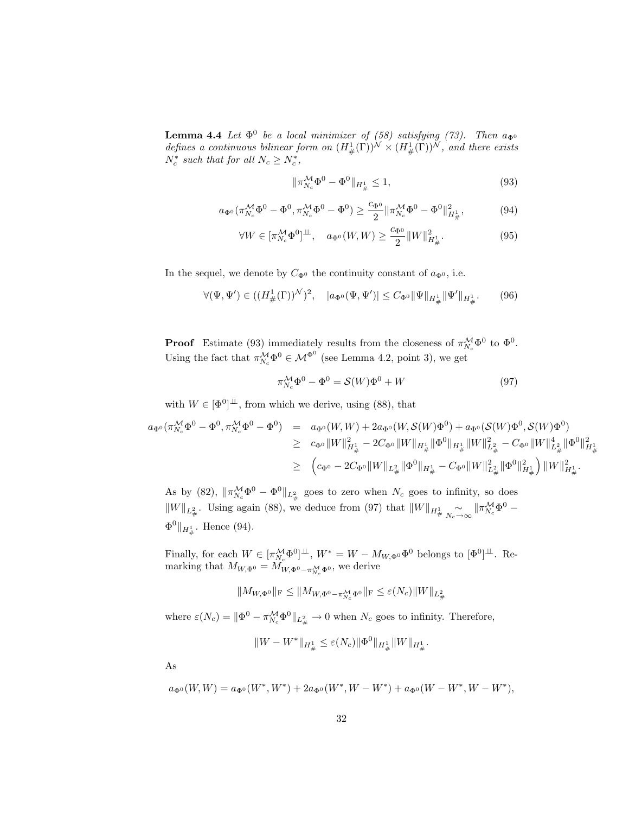**Lemma 4.4** Let  $\Phi^0$  be a local minimizer of (58) satisfying (73). Then  $a_{\Phi^0}$ defines a continuous bilinear form on  $(H^1_{\#}(\Gamma))^{\mathcal{N}} \times (H^1_{\#}(\Gamma))^{\mathcal{N}}$ , and there exists  $N_c^*$  such that for all  $N_c \ge N_c^*$ ,

$$
\|\pi_{N_c}^{\mathcal{M}}\Phi^0 - \Phi^0\|_{H^1_{\#}} \le 1,\tag{93}
$$

$$
a_{\Phi^0}(\pi_{N_c}^{\mathcal{M}} \Phi^0 - \Phi^0, \pi_{N_c}^{\mathcal{M}} \Phi^0 - \Phi^0) \ge \frac{c_{\Phi^0}}{2} \|\pi_{N_c}^{\mathcal{M}} \Phi^0 - \Phi^0\|_{H^1_{\#}}^2, \tag{94}
$$

$$
\forall W \in [\pi_{N_c}^{\mathcal{M}} \Phi^0]^{\perp\!\!\!\perp}, \quad a_{\Phi^0}(W, W) \ge \frac{c_{\Phi^0}}{2} ||W||^2_{H^1_{\#}}.
$$
 (95)

In the sequel, we denote by  $C_{\Phi^0}$  the continuity constant of  $a_{\Phi^0}$ , i.e.

$$
\forall (\Psi, \Psi') \in ((H^1_{\#}(\Gamma))^{\mathcal{N}})^2, \quad |a_{\Phi^0}(\Psi, \Psi')| \leq C_{\Phi^0} \|\Psi\|_{H^1_{\#}} \|\Psi'\|_{H^1_{\#}}.
$$
 (96)

**Proof** Estimate (93) immediately results from the closeness of  $\pi_{N_c}^{\mathcal{M}}\Phi^0$  to  $\Phi^0$ . Using the fact that  $\pi_{N_c}^{\mathcal{M}} \Phi^0 \in \mathcal{M}^{\Phi^0}$  (see Lemma 4.2, point 3), we get

$$
\pi_{N_c}^{\mathcal{M}} \Phi^0 - \Phi^0 = \mathcal{S}(W) \Phi^0 + W \tag{97}
$$

.

with  $W \in [\Phi^0]^{\perp\!\!\!\perp}$ , from which we derive, using (88), that

$$
a_{\Phi^0}(\pi_{N_c}^{\mathcal{M}}\Phi^0 - \Phi^0, \pi_{N_c}^{\mathcal{M}}\Phi^0 - \Phi^0) = a_{\Phi^0}(W, W) + 2a_{\Phi^0}(W, \mathcal{S}(W)\Phi^0) + a_{\Phi^0}(\mathcal{S}(W)\Phi^0, \mathcal{S}(W)\Phi^0)
$$
  
\n
$$
\geq c_{\Phi^0} \|W\|_{H^1_{\#}}^2 - 2C_{\Phi^0} \|W\|_{H^1_{\#}} \|\Phi^0\|_{H^1_{\#}} \|W\|_{L^2_{\#}}^2 - C_{\Phi^0} \|W\|_{L^2_{\#}}^4 \|\Phi^0\|_{H^1_{\#}}^2
$$
  
\n
$$
\geq (c_{\Phi^0} - 2C_{\Phi^0} \|W\|_{L^2_{\#}} \|\Phi^0\|_{H^1_{\#}} - C_{\Phi^0} \|W\|_{L^2_{\#}}^2 \|\Phi^0\|_{H^1_{\#}}^2) \|W\|_{H^1_{\#}}^2.
$$

As by (82),  $\|\pi_{N_c}^{\mathcal{M}}\Phi^0 - \Phi^0\|_{L^2_{\#}}$  goes to zero when  $N_c$  goes to infinity, so does  $||W||_{L^2_{\#}}$ . Using again (88), we deduce from (97) that  $||W||_{H^1_{\#}} \underset{N_c \to \infty}{\sim} ||\pi^{\mathcal{M}}_{N_c} \Phi^0 \Phi^0 \Vert_{H^1_{\#}}$ . Hence (94).

Finally, for each  $W \in [\pi_{N_c}^{\mathcal{M}} \Phi^0]^{\perp \perp}$ ,  $W^* = W - M_{W,\Phi^0} \Phi^0$  belongs to  $[\Phi^0]^{\perp \perp}$ . Remarking that  $M_{W,\Phi^0} = M_{W,\Phi^0 - \pi_{N_c}^{\mathcal{M}} \Phi^0}$ , we derive

$$
\|M_{W,\Phi^0}\|_{\rm F}\leq \|M_{W,\Phi^0-\pi_{N_c}^{\mathcal{M}}\Phi^0}\|_{\rm F}\leq \varepsilon(N_c)\|W\|_{L^2_\#}
$$

where  $\varepsilon(N_c) = \|\Phi^0 - \pi_{N_c}^{\mathcal{M}} \Phi^0\|_{L^2_{\#}} \to 0$  when  $N_c$  goes to infinity. Therefore,

$$
||W - W^*||_{H^1_{\#}} \le \varepsilon(N_c) ||\Phi^0||_{H^1_{\#}} ||W||_{H^1_{\#}}
$$

As

$$
a_{\Phi^0}(W,W) = a_{\Phi^0}(W^*,W^*) + 2a_{\Phi^0}(W^*,W-W^*) + a_{\Phi^0}(W-W^*,W-W^*),
$$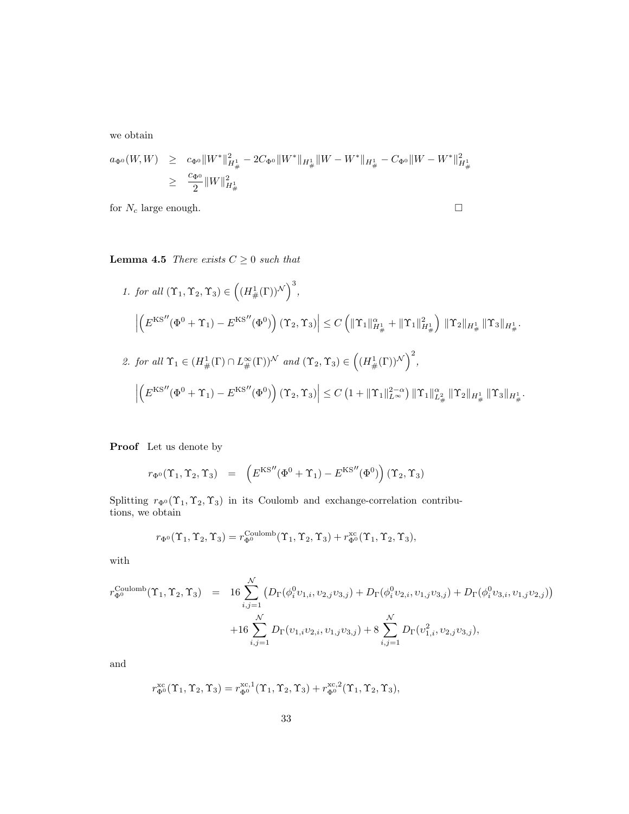we obtain

$$
a_{\Phi^0}(W,W) \geq c_{\Phi^0} \|W^*\|_{H^1_{\#}}^2 - 2C_{\Phi^0} \|W^*\|_{H^1_{\#}} \|W - W^*\|_{H^1_{\#}} - C_{\Phi^0} \|W - W^*\|_{H^1_{\#}}^2
$$
  

$$
\geq \frac{c_{\Phi^0}}{2} \|W\|_{H^1_{\#}}^2
$$

for  $N_c$  large enough.  $\Box$ 

**Lemma 4.5** There exists  $C \geq 0$  such that

1. for all 
$$
(\Upsilon_1, \Upsilon_2, \Upsilon_3) \in ((H^1_{\#}(\Gamma))^{\mathcal{N}})^3
$$
,  
\n
$$
\left| \left( E^{KS''}(\Phi^0 + \Upsilon_1) - E^{KS''}(\Phi^0) \right) (\Upsilon_2, \Upsilon_3) \right| \leq C \left( \|\Upsilon_1\|_{H^1_{\#}}^{\alpha} + \|\Upsilon_1\|_{H^1_{\#}}^2 \right) \|\Upsilon_2\|_{H^1_{\#}} \|\Upsilon_3\|_{H^1_{\#}}.
$$
\n2. for all  $\Upsilon_1 \in (H^1_{\#}(\Gamma) \cap L^{\infty}_{\#}(\Gamma))^{\mathcal{N}}$  and  $(\Upsilon_2, \Upsilon_3) \in ((H^1_{\#}(\Gamma))^{\mathcal{N}})^2$ ,  
\n
$$
\left| \left( E^{KS''}(\Phi^0 + \Upsilon_1) - E^{KS''}(\Phi^0) \right) (\Upsilon_2, \Upsilon_3) \right| \leq C \left( 1 + \|\Upsilon_1\|_{L^{\infty}}^{2-\alpha} \right) \|\Upsilon_1\|_{L^2_{\#}}^{\alpha} \|\Upsilon_2\|_{H^1_{\#}} \|\Upsilon_3\|_{H^1_{\#}}.
$$

Proof Let us denote by

$$
r_{\Phi^0}(\Upsilon_1, \Upsilon_2, \Upsilon_3) = \left( E^{KS''}(\Phi^0 + \Upsilon_1) - E^{KS''}(\Phi^0) \right) (\Upsilon_2, \Upsilon_3)
$$

Splitting  $r_{\Phi}(\Upsilon_1, \Upsilon_2, \Upsilon_3)$  in its Coulomb and exchange-correlation contributions, we obtain

$$
r_{\Phi^0}(\Upsilon_1, \Upsilon_2, \Upsilon_3) = r_{\Phi^0}^{\text{Coulomb}}(\Upsilon_1, \Upsilon_2, \Upsilon_3) + r_{\Phi^0}^{\text{xc}}(\Upsilon_1, \Upsilon_2, \Upsilon_3),
$$

with

$$
r_{\Phi^0}^{\text{Coulomb}}(\Upsilon_1, \Upsilon_2, \Upsilon_3) = 16 \sum_{i,j=1}^{\mathcal{N}} \left( D_{\Gamma}(\phi_i^0 v_{1,i}, v_{2,j} v_{3,j}) + D_{\Gamma}(\phi_i^0 v_{2,i}, v_{1,j} v_{3,j}) + D_{\Gamma}(\phi_i^0 v_{3,i}, v_{1,j} v_{2,j}) \right)
$$
  
+16 
$$
\sum_{i,j=1}^{\mathcal{N}} D_{\Gamma}(v_{1,i} v_{2,i}, v_{1,j} v_{3,j}) + 8 \sum_{i,j=1}^{\mathcal{N}} D_{\Gamma}(v_{1,i}^2, v_{2,j} v_{3,j}),
$$

and

$$
r^{\mathrm{xc}}_{\Phi^0}(\Upsilon_1,\Upsilon_2,\Upsilon_3)=r^{\mathrm{xc},1}_{\Phi^0}(\Upsilon_1,\Upsilon_2,\Upsilon_3)+r^{\mathrm{xc},2}_{\Phi^0}(\Upsilon_1,\Upsilon_2,\Upsilon_3),
$$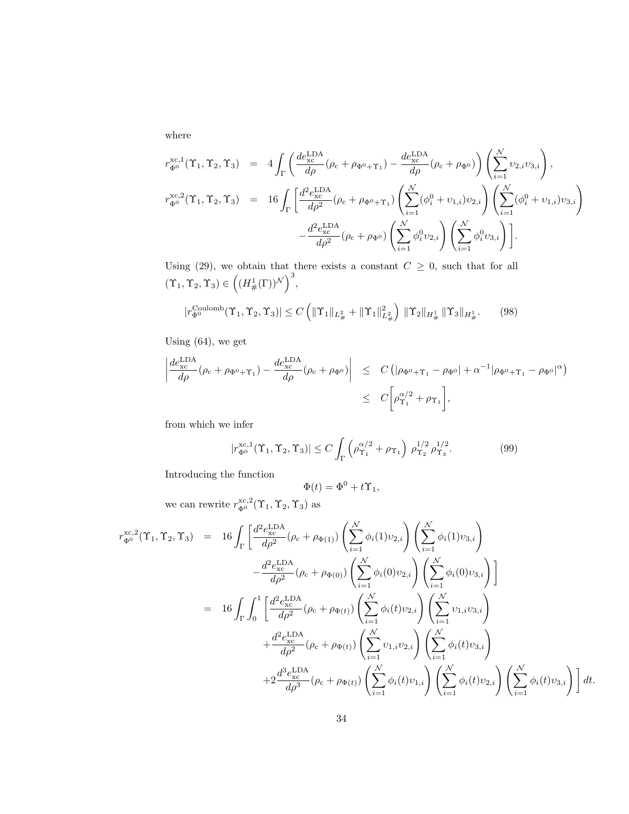where

$$
r_{\Phi^0}^{\text{xc},1}(\Upsilon_1, \Upsilon_2, \Upsilon_3) = 4 \int_{\Gamma} \left( \frac{de_{\text{xc}}^{\text{LDA}}}{d\rho} (\rho_c + \rho_{\Phi^0 + \Upsilon_1}) - \frac{de_{\text{xc}}^{\text{LDA}}}{d\rho} (\rho_c + \rho_{\Phi^0}) \right) \left( \sum_{i=1}^N v_{2,i} v_{3,i} \right),
$$
  

$$
r_{\Phi^0}^{\text{xc},2}(\Upsilon_1, \Upsilon_2, \Upsilon_3) = 16 \int_{\Gamma} \left[ \frac{d^2 e_{\text{xc}}^{\text{LDA}}}{d\rho^2} (\rho_c + \rho_{\Phi^0 + \Upsilon_1}) \left( \sum_{i=1}^N (\phi_i^0 + v_{1,i}) v_{2,i} \right) \left( \sum_{i=1}^N (\phi_i^0 + v_{1,i}) v_{3,i} \right) \right.
$$
  

$$
- \frac{d^2 e_{\text{xc}}^{\text{LDA}}}{d\rho^2} (\rho_c + \rho_{\Phi^0}) \left( \sum_{i=1}^N \phi_i^0 v_{2,i} \right) \left( \sum_{i=1}^N \phi_i^0 v_{3,i} \right) \right].
$$

Using (29), we obtain that there exists a constant  $C \geq 0$ , such that for all  $(\Upsilon_1, \Upsilon_2, \Upsilon_3) \in \left( (H^1_{\#}(\Gamma))^{\mathcal{N}} \right)^3,$ 

$$
|r_{\Phi^0}^{\text{Coulomb}}(\Upsilon_1, \Upsilon_2, \Upsilon_3)| \le C \left( \|\Upsilon_1\|_{L^2_{\#}} + \|\Upsilon_1\|_{L^2_{\#}}^2 \right) \|\Upsilon_2\|_{H^1_{\#}} \|\Upsilon_3\|_{H^1_{\#}}. \tag{98}
$$

Using (64), we get

$$
\left| \frac{de_{\rm xc}^{\rm LDA}}{d\rho} (\rho_{\rm c} + \rho_{\Phi^0 + \Upsilon_1}) - \frac{de_{\rm xc}^{\rm LDA}}{d\rho} (\rho_{\rm c} + \rho_{\Phi^0}) \right| \leq C \left( |\rho_{\Phi^0 + \Upsilon_1} - \rho_{\Phi^0}| + \alpha^{-1} |\rho_{\Phi^0 + \Upsilon_1} - \rho_{\Phi^0}|^{\alpha} \right)
$$
  

$$
\leq C \left[ \rho_{\Upsilon_1}^{\alpha/2} + \rho_{\Upsilon_1} \right],
$$

from which we infer

$$
|r_{\Phi^0}^{\text{xc},1}(\Upsilon_1, \Upsilon_2, \Upsilon_3)| \le C \int_{\Gamma} \left( \rho_{\Upsilon_1}^{\alpha/2} + \rho_{\Upsilon_1} \right) \, \rho_{\Upsilon_2}^{1/2} \, \rho_{\Upsilon_3}^{1/2}.
$$
 (99)

Introducing the function

$$
\Phi(t) = \Phi^0 + t\Upsilon_1,
$$

we can rewrite  $r_{\Phi^0}^{\text{xc},2}(\Upsilon_1, \Upsilon_2, \Upsilon_3)$  as

$$
r_{\Phi^0}^{\text{xc},2}(\Upsilon_1, \Upsilon_2, \Upsilon_3) = 16 \int_{\Gamma} \left[ \frac{d^2 e_{\text{xc}}^{\text{LDA}}}{d\rho^2} (\rho_c + \rho_{\Phi(1)}) \left( \sum_{i=1}^N \phi_i(1) v_{2,i} \right) \left( \sum_{i=1}^N \phi_i(1) v_{3,i} \right) \right. \\
\left. - \frac{d^2 e_{\text{xc}}^{\text{LDA}}}{d\rho^2} (\rho_c + \rho_{\Phi(0)}) \left( \sum_{i=1}^N \phi_i(0) v_{2,i} \right) \left( \sum_{i=1}^N \phi_i(0) v_{3,i} \right) \right]
$$
\n
$$
= 16 \int_{\Gamma} \int_0^1 \left[ \frac{d^2 e_{\text{xc}}^{\text{LDA}}}{d\rho^2} (\rho_c + \rho_{\Phi(t)}) \left( \sum_{i=1}^N \phi_i(t) v_{2,i} \right) \left( \sum_{i=1}^N v_{1,i} v_{3,i} \right) \right. \\
\left. + \frac{d^2 e_{\text{xc}}^{\text{LDA}}}{d\rho^2} (\rho_c + \rho_{\Phi(t)}) \left( \sum_{i=1}^N v_{1,i} v_{2,i} \right) \left( \sum_{i=1}^N \phi_i(t) v_{3,i} \right) \right.
$$
\n
$$
+ 2 \frac{d^3 e_{\text{xc}}^{\text{LDA}}}{d\rho^3} (\rho_c + \rho_{\Phi(t)}) \left( \sum_{i=1}^N \phi_i(t) v_{1,i} \right) \left( \sum_{i=1}^N \phi_i(t) v_{2,i} \right) \left( \sum_{i=1}^N \phi_i(t) v_{3,i} \right) \right] dt.
$$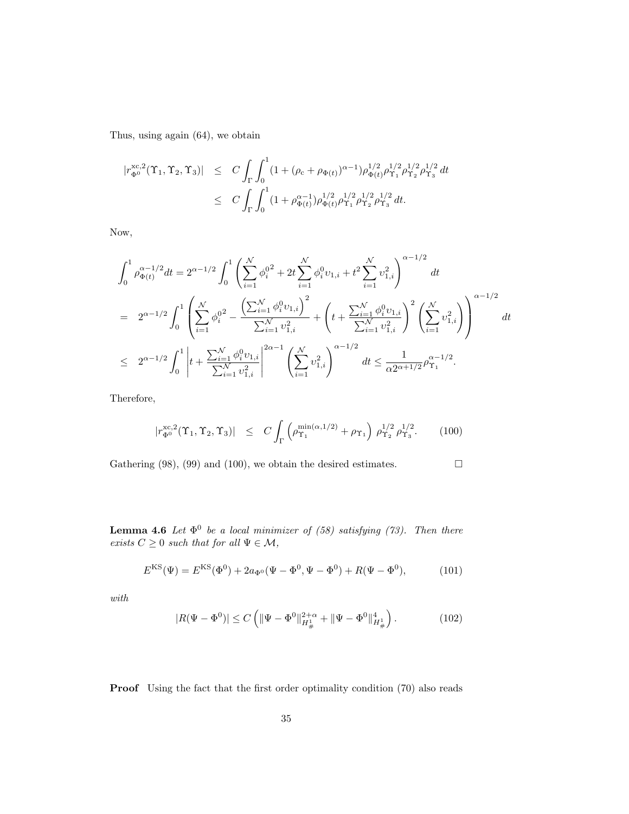Thus, using again (64), we obtain

$$
\begin{array}{rcl} |r^{\text{xc},2}_{\Phi^0}(\Upsilon_1,\Upsilon_2,\Upsilon_3)| & \leq & C\int_{\Gamma}\int_0^1(1+(\rho_{\text{c}}+\rho_{\Phi(t)})^{\alpha-1})\rho_{\Phi(t)}^{1/2}\rho_{\Upsilon_1}^{1/2}\rho_{\Upsilon_2}^{1/2}\rho_{\Upsilon_3}^{1/2}\,dt \\ \\ & \leq & C\int_{\Gamma}\int_0^1(1+\rho_{\Phi(t)}^{\alpha-1})\rho_{\Phi(t)}^{1/2}\rho_{\Upsilon_1}^{1/2}\rho_{\Upsilon_2}^{1/2}\rho_{\Upsilon_3}^{1/2}\,dt. \end{array}
$$

Now,

$$
\int_{0}^{1} \rho_{\Phi(t)}^{\alpha-1/2} dt = 2^{\alpha-1/2} \int_{0}^{1} \left( \sum_{i=1}^{N} \phi_{i}^{0}^{2} + 2t \sum_{i=1}^{N} \phi_{i}^{0} v_{1,i} + t^{2} \sum_{i=1}^{N} v_{1,i}^{2} \right)^{\alpha-1/2} dt
$$
  
\n
$$
= 2^{\alpha-1/2} \int_{0}^{1} \left( \sum_{i=1}^{N} \phi_{i}^{0}^{2} - \frac{\left( \sum_{i=1}^{N} \phi_{i}^{0} v_{1,i} \right)^{2}}{\sum_{i=1}^{N} v_{1,i}^{2}} + \left( t + \frac{\sum_{i=1}^{N} \phi_{i}^{0} v_{1,i}}{\sum_{i=1}^{N} v_{1,i}^{2}} \right)^{2} \left( \sum_{i=1}^{N} v_{1,i}^{2} \right) \right)^{\alpha-1/2} dt
$$
  
\n
$$
\leq 2^{\alpha-1/2} \int_{0}^{1} \left| t + \frac{\sum_{i=1}^{N} \phi_{i}^{0} v_{1,i}}{\sum_{i=1}^{N} v_{1,i}^{2}} \right|^{2\alpha-1} \left( \sum_{i=1}^{N} v_{1,i}^{2} \right)^{\alpha-1/2} dt \leq \frac{1}{\alpha 2^{\alpha+1/2}} \rho_{\Upsilon_{1}}^{\alpha-1/2}.
$$

Therefore,

$$
|r_{\Phi^0}^{\text{xc},2}(\Upsilon_1,\Upsilon_2,\Upsilon_3)| \leq C \int_{\Gamma} \left( \rho_{\Upsilon_1}^{\min(\alpha,1/2)} + \rho_{\Upsilon_1} \right) \rho_{\Upsilon_2}^{1/2} \rho_{\Upsilon_3}^{1/2}. \tag{100}
$$

Gathering (98), (99) and (100), we obtain the desired estimates.  $\Box$ 

**Lemma 4.6** Let  $\Phi^0$  be a local minimizer of (58) satisfying (73). Then there exists  $C \geq 0$  such that for all  $\Psi \in \mathcal{M}$ ,

$$
E^{\text{KS}}(\Psi) = E^{\text{KS}}(\Phi^0) + 2a_{\Phi^0}(\Psi - \Phi^0, \Psi - \Phi^0) + R(\Psi - \Phi^0), \tag{101}
$$

 $with\;$ 

$$
|R(\Psi - \Phi^0)| \le C \left( \|\Psi - \Phi^0\|_{H^1_{\#}}^{2+\alpha} + \|\Psi - \Phi^0\|_{H^1_{\#}}^4 \right). \tag{102}
$$

Proof Using the fact that the first order optimality condition  $(70)$  also reads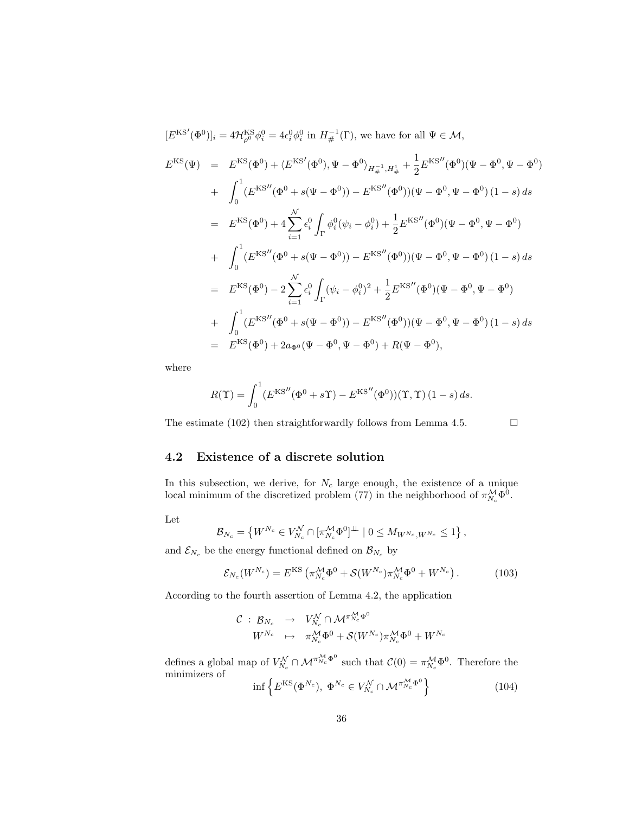$$
[E^{KS'}(\Phi^0)]_i = 4\mathcal{H}_{\rho^0}^{KS}\phi_i^0 = 4\epsilon_i^0\phi_i^0 \text{ in } H_{\#}^{-1}(\Gamma), \text{ we have for all } \Psi \in \mathcal{M},
$$
  
\n
$$
E^{KS}(\Psi) = E^{KS}(\Phi^0) + \langle E^{KS'}(\Phi^0), \Psi - \Phi^0 \rangle_{H_{\#}^{-1}, H_{\#}^1} + \frac{1}{2}E^{KS''}(\Phi^0)(\Psi - \Phi^0, \Psi - \Phi^0)
$$
  
\n+ 
$$
\int_0^1 (E^{KS''}(\Phi^0 + s(\Psi - \Phi^0)) - E^{KS''}(\Phi^0))(\Psi - \Phi^0, \Psi - \Phi^0)(1 - s) ds
$$
  
\n= 
$$
E^{KS}(\Phi^0) + 4\sum_{i=1}^N \epsilon_i^0 \int_{\Gamma} \phi_i^0(\psi_i - \phi_i^0) + \frac{1}{2}E^{KS''}(\Phi^0)(\Psi - \Phi^0, \Psi - \Phi^0)
$$
  
\n+ 
$$
\int_0^1 (E^{KS''}(\Phi^0 + s(\Psi - \Phi^0)) - E^{KS''}(\Phi^0))(\Psi - \Phi^0, \Psi - \Phi^0)(1 - s) ds
$$
  
\n= 
$$
E^{KS}(\Phi^0) - 2\sum_{i=1}^N \epsilon_i^0 \int_{\Gamma} (\psi_i - \phi_i^0)^2 + \frac{1}{2}E^{KS''}(\Phi^0)(\Psi - \Phi^0, \Psi - \Phi^0)
$$
  
\n+ 
$$
\int_0^1 (E^{KS''}(\Phi^0 + s(\Psi - \Phi^0)) - E^{KS''}(\Phi^0))(\Psi - \Phi^0, \Psi - \Phi^0)(1 - s) ds
$$
  
\n= 
$$
E^{KS}(\Phi^0) + 2a_{\Phi^0}(\Psi - \Phi^0, \Psi - \Phi^0) + R(\Psi - \Phi^0),
$$

where

$$
R(\Upsilon) = \int_0^1 (E^{KS''}(\Phi^0 + s\Upsilon) - E^{KS''}(\Phi^0))(\Upsilon, \Upsilon) (1 - s) ds.
$$

The estimate (102) then straightforwardly follows from Lemma 4.5.  $\Box$ 

#### 4.2 Existence of a discrete solution

In this subsection, we derive, for  $N_c$  large enough, the existence of a unique local minimum of the discretized problem (77) in the neighborhood of  $\pi_{N_c}^{\mathcal{M}} \Phi^0$ .

Let

$$
\mathcal{B}_{N_c} = \left\{ W^{N_c} \in V_{N_c}^{\mathcal{N}} \cap [\pi_{N_c}^{\mathcal{M}} \Phi^0]^{\perp \!\! \perp} \mid 0 \leq M_{W^{N_c}, W^{N_c}} \leq 1 \right\},\
$$

and  $\mathcal{E}_{N_c}$  be the energy functional defined on  $\mathcal{B}_{N_c}$  by

$$
\mathcal{E}_{N_c}(W^{N_c}) = E^{KS} \left( \pi_{N_c}^{\mathcal{M}} \Phi^0 + \mathcal{S}(W^{N_c}) \pi_{N_c}^{\mathcal{M}} \Phi^0 + W^{N_c} \right). \tag{103}
$$

According to the fourth assertion of Lemma 4.2, the application

$$
\begin{array}{ccccc}\n\mathcal{C} & : & \mathcal{B}_{N_c} & \rightarrow & V_{N_c}^{\mathcal{N}} \cap \mathcal{M}^{\pi_{N_c}^{\mathcal{M}} \Phi^0} \\
& W^{N_c} & \mapsto & \pi_{N_c}^{\mathcal{M}} \Phi^0 + \mathcal{S}(W^{N_c}) \pi_{N_c}^{\mathcal{M}} \Phi^0 + W^{N_c}\n\end{array}
$$

defines a global map of  $V_{N_c}^{\mathcal{N}} \cap \mathcal{M}^{\pi_{N_c}^{\mathcal{M}} \Phi^0}$  such that  $\mathcal{C}(0) = \pi_{N_c}^{\mathcal{M}} \Phi^0$ . Therefore the minimizers of

$$
\inf \left\{ E^{\text{KS}}(\Phi^{N_c}), \ \Phi^{N_c} \in V_{N_c}^{\mathcal{N}} \cap \mathcal{M}^{\pi_{N_c}^{\mathcal{M}} \Phi^0} \right\} \tag{104}
$$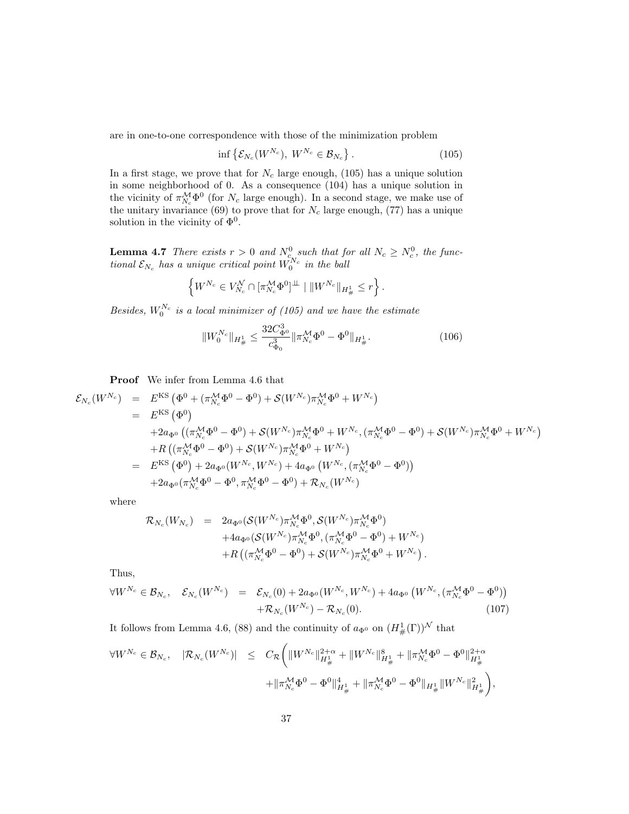are in one-to-one correspondence with those of the minimization problem

$$
\inf \left\{ \mathcal{E}_{N_c}(W^{N_c}), \ W^{N_c} \in \mathcal{B}_{N_c} \right\}.
$$
\n(105)

In a first stage, we prove that for  $N_c$  large enough, (105) has a unique solution in some neighborhood of 0. As a consequence (104) has a unique solution in the vicinity of  $\pi_{N_c}^{\mathcal{M}} \Phi^0$  (for  $N_c$  large enough). In a second stage, we make use of the unitary invariance (69) to prove that for  $N_c$  large enough, (77) has a unique solution in the vicinity of  $\Phi^0$ .

**Lemma 4.7** There exists  $r > 0$  and  $N_c^0$  such that for all  $N_c \ge N_c^0$ , the functional  $\mathcal{E}_{N_c}$  has a unique critical point  $\tilde{W_0^{N_c}}$  in the ball

$$
\left\{W^{N_c}\in V_{N_c}^{\mathcal{N}}\cap [\pi_{N_c}^{\mathcal{M}}\Phi^0]^{\perp\!\!\!\perp} \mid \Vert W^{N_c}\Vert_{H^1_{\#}}\leq r\right\}.
$$

Besides,  $W_0^{N_c}$  is a local minimizer of (105) and we have the estimate

$$
||W_0^{N_c}||_{H^1_{\#}} \le \frac{32C_{\Phi_0}^3}{c_{\Phi_0}^3} ||\pi_{N_c}^{\mathcal{M}}\Phi^0 - \Phi^0||_{H^1_{\#}}.
$$
\n(106)

Proof We infer from Lemma 4.6 that

$$
\mathcal{E}_{N_c}(W^{N_c}) = E^{KS} (\Phi^0 + (\pi_{N_c}^{\mathcal{M}} \Phi^0 - \Phi^0) + \mathcal{S}(W^{N_c}) \pi_{N_c}^{\mathcal{M}} \Phi^0 + W^{N_c}) \n= E^{KS} (\Phi^0) \n+ 2a_{\Phi^0} ((\pi_{N_c}^{\mathcal{M}} \Phi^0 - \Phi^0) + \mathcal{S}(W^{N_c}) \pi_{N_c}^{\mathcal{M}} \Phi^0 + W^{N_c}, (\pi_{N_c}^{\mathcal{M}} \Phi^0 - \Phi^0) + \mathcal{S}(W^{N_c}) \pi_{N_c}^{\mathcal{M}} \Phi^0 + W^{N_c}) \n+ R ((\pi_{N_c}^{\mathcal{M}} \Phi^0 - \Phi^0) + \mathcal{S}(W^{N_c}) \pi_{N_c}^{\mathcal{M}} \Phi^0 + W^{N_c}) \n= E^{KS} (\Phi^0) + 2a_{\Phi^0} (W^{N_c}, W^{N_c}) + 4a_{\Phi^0} (W^{N_c}, (\pi_{N_c}^{\mathcal{M}} \Phi^0 - \Phi^0)) \n+ 2a_{\Phi^0} (\pi_{N_c}^{\mathcal{M}} \Phi^0 - \Phi^0, \pi_{N_c}^{\mathcal{M}} \Phi^0 - \Phi^0) + \mathcal{R}_{N_c}(W^{N_c})
$$

where

$$
\mathcal{R}_{N_c}(W_{N_c}) = 2a_{\Phi^0}(\mathcal{S}(W^{N_c})\pi_{N_c}^{\mathcal{M}}\Phi^0, \mathcal{S}(W^{N_c})\pi_{N_c}^{\mathcal{M}}\Phi^0) \n+ 4a_{\Phi^0}(\mathcal{S}(W^{N_c})\pi_{N_c}^{\mathcal{M}}\Phi^0, (\pi_{N_c}^{\mathcal{M}}\Phi^0 - \Phi^0) + W^{N_c}) \n+ R((\pi_{N_c}^{\mathcal{M}}\Phi^0 - \Phi^0) + \mathcal{S}(W^{N_c})\pi_{N_c}^{\mathcal{M}}\Phi^0 + W^{N_c}).
$$

Thus,

$$
\forall W^{N_c} \in \mathcal{B}_{N_c}, \quad \mathcal{E}_{N_c}(W^{N_c}) = \mathcal{E}_{N_c}(0) + 2a_{\Phi^0}(W^{N_c}, W^{N_c}) + 4a_{\Phi^0}(W^{N_c}, (\pi_{N_c}^{\mathcal{M}} \Phi^0 - \Phi^0)) + \mathcal{R}_{N_c}(W^{N_c}) - \mathcal{R}_{N_c}(0).
$$
\n(107)

It follows from Lemma 4.6, (88) and the continuity of  $a_{\Phi^0}$  on  $(H^1_{\#}(\Gamma))^{\mathcal{N}}$  that

$$
\begin{array}{rcl} \forall W^{N_c} \in \mathcal{B}_{N_c}, \quad |\mathcal{R}_{N_c}(W^{N_c})| & \leq & C_{\mathcal{R}} \bigg( \|W^{N_c}\|^{2+\alpha}_{H^1_{\#}} + \|W^{N_c}\|^{8}_{H^1_{\#}} + \|\pi^{\mathcal{M}}_{N_c}\Phi^0 - \Phi^0\|^{2+\alpha}_{H^1_{\#}} \\ & & \qquad \qquad + \|\pi^{\mathcal{M}}_{N_c}\Phi^0 - \Phi^0\|^{4}_{H^1_{\#}} + \|\pi^{\mathcal{M}}_{N_c}\Phi^0 - \Phi^0\|_{H^1_{\#}} \|W^{N_c}\|^{2}_{H^1_{\#}} \bigg), \end{array}
$$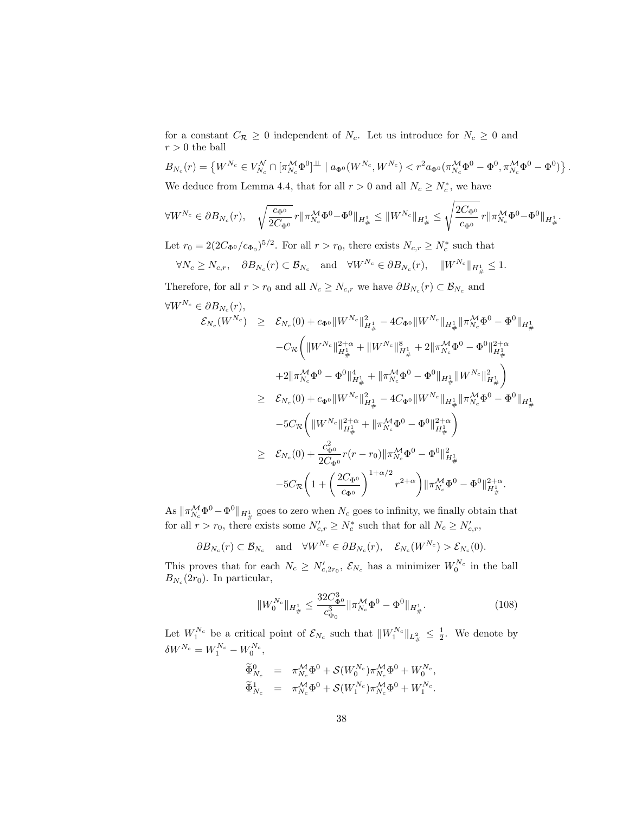for a constant  $C_{\mathcal{R}} \geq 0$  independent of  $N_c$ . Let us introduce for  $N_c \geq 0$  and  $r>0$  the ball

$$
B_{N_c}(r) = \left\{ W^{N_c} \in V_{N_c}^{\mathcal{N}} \cap [\pi_{N_c}^{\mathcal{M}} \Phi^0]^{\perp \perp} \mid a_{\Phi^0}(W^{N_c}, W^{N_c}) < r^2 a_{\Phi^0}(\pi_{N_c}^{\mathcal{M}} \Phi^0 - \Phi^0, \pi_{N_c}^{\mathcal{M}} \Phi^0 - \Phi^0) \right\}.
$$

We deduce from Lemma 4.4, that for all  $r > 0$  and all  $N_c \ge N_c^*$ , we have

$$
\forall W^{N_c} \in \partial B_{N_c}(r), \quad \sqrt{\frac{c_{\Phi^0}}{2C_{\Phi^0}}} \, r \|\pi^{\mathcal{M}}_{N_c} \Phi^0 - \Phi^0 \|_{H^1_{\#}} \leq \|W^{N_c}\|_{H^1_{\#}} \leq \sqrt{\frac{2C_{\Phi^0}}{c_{\Phi^0}}} \, r \|\pi^{\mathcal{M}}_{N_c} \Phi^0 - \Phi^0 \|_{H^1_{\#}}.
$$

Let  $r_0 = 2(2C_{\Phi^0}/c_{\Phi_0})^{5/2}$ . For all  $r > r_0$ , there exists  $N_{c,r} \ge N_c^*$  such that

$$
\forall N_c \ge N_{c,r}, \quad \partial B_{N_c}(r) \subset \mathcal{B}_{N_c} \quad \text{and} \quad \forall W^{N_c} \in \partial B_{N_c}(r), \quad ||W^{N_c}||_{H^1_{\#}} \le 1.
$$

Therefore, for all  $r > r_0$  and all  $N_c \ge N_{c,r}$  we have  $\partial B_{N_c}(r) \subset \mathcal{B}_{N_c}$  and  $\forall W^{N_c}\in\partial B_{N_c}(r),$ 

$$
\mathcal{E}_{N_c}(W^{N_c}) \geq \mathcal{E}_{N_c}(0) + c_{\Phi^0} \|W^{N_c}\|_{H^1_{\#}}^2 - 4C_{\Phi^0} \|W^{N_c}\|_{H^1_{\#}} \|\pi_{N_c}^{\mathcal{M}} \Phi^0 - \Phi^0\|_{H^1_{\#}} \n- C_{\mathcal{R}} \bigg(\|W^{N_c}\|_{H^1_{\#}}^{2+\alpha} + \|W^{N_c}\|_{H^1_{\#}}^8 + 2\|\pi_{N_c}^{\mathcal{M}} \Phi^0 - \Phi^0\|_{H^1_{\#}}^{2+\alpha} \n+ 2\|\pi_{N_c}^{\mathcal{M}} \Phi^0 - \Phi^0\|_{H^1_{\#}}^4 + \|\pi_{N_c}^{\mathcal{M}} \Phi^0 - \Phi^0\|_{H^1_{\#}} \|W^{N_c}\|_{H^1_{\#}}^2\bigg) \n\geq \mathcal{E}_{N_c}(0) + c_{\Phi^0} \|W^{N_c}\|_{H^1_{\#}}^2 - 4C_{\Phi^0} \|W^{N_c}\|_{H^1_{\#}} \|\pi_{N_c}^{\mathcal{M}} \Phi^0 - \Phi^0\|_{H^1_{\#}} \n- 5C_{\mathcal{R}} \bigg(\|W^{N_c}\|_{H^1_{\#}}^{2+\alpha} + \|\pi_{N_c}^{\mathcal{M}} \Phi^0 - \Phi^0\|_{H^1_{\#}}^{2+\alpha}\bigg) \n\geq \mathcal{E}_{N_c}(0) + \frac{c_{\Phi^0}^2}{2C_{\Phi^0}} r(r - r_0) \|\pi_{N_c}^{\mathcal{M}} \Phi^0 - \Phi^0\|_{H^1_{\#}}^2 \n- 5C_{\mathcal{R}} \bigg(1 + \bigg(\frac{2C_{\Phi^0}}{c_{\Phi^0}}\bigg)^{1+\alpha/2} r^{2+\alpha}\bigg) \|\pi_{N_c}^{\mathcal{M}} \Phi^0 - \Phi^0\|_{H^1_{\#}}^{2+\alpha}.
$$

As  $\|\pi_{N_c}^{\mathcal{M}}\Phi^0 - \Phi^0\|_{H^1_{\#}}$  goes to zero when  $N_c$  goes to infinity, we finally obtain that for all  $r > r_0$ , there exists some  $N'_{c,r} \ge N_c^*$  such that for all  $N_c \ge N'_{c,r}$ ,

$$
\partial B_{N_c}(r) \subset \mathcal{B}_{N_c}
$$
 and  $\forall W^{N_c} \in \partial B_{N_c}(r)$ ,  $\mathcal{E}_{N_c}(W^{N_c}) > \mathcal{E}_{N_c}(0)$ .

This proves that for each  $N_c \ge N'_{c,2r_0}, \mathcal{E}_{N_c}$  has a minimizer  $W_0^{N_c}$  in the ball  $B_{N_c}(2r_0)$ . In particular,

$$
||W_0^{N_c}||_{H^1_{\#}} \le \frac{32C_{\Phi_0}^3}{c_{\Phi_0}^3} ||\pi_{N_c}^{\mathcal{M}}\Phi^0 - \Phi^0||_{H^1_{\#}}.
$$
\n(108)

Let  $W_1^{N_c}$  be a critical point of  $\mathcal{E}_{N_c}$  such that  $||W_1^{N_c}||_{L^2_{\#}} \leq \frac{1}{2}$ . We denote by  $\delta W^{N_c} = W_1^{N_c} - W_0^{N_c},$ 

$$
\begin{array}{rcl}\n\widetilde{\Phi}_{N_c}^0 & = & \pi_{N_c}^{\mathcal{M}} \Phi^0 + \mathcal{S}(W_0^{N_c}) \pi_{N_c}^{\mathcal{M}} \Phi^0 + W_0^{N_c}, \\
\widetilde{\Phi}_{N_c}^1 & = & \pi_{N_c}^{\mathcal{M}} \Phi^0 + \mathcal{S}(W_1^{N_c}) \pi_{N_c}^{\mathcal{M}} \Phi^0 + W_1^{N_c}.\n\end{array}
$$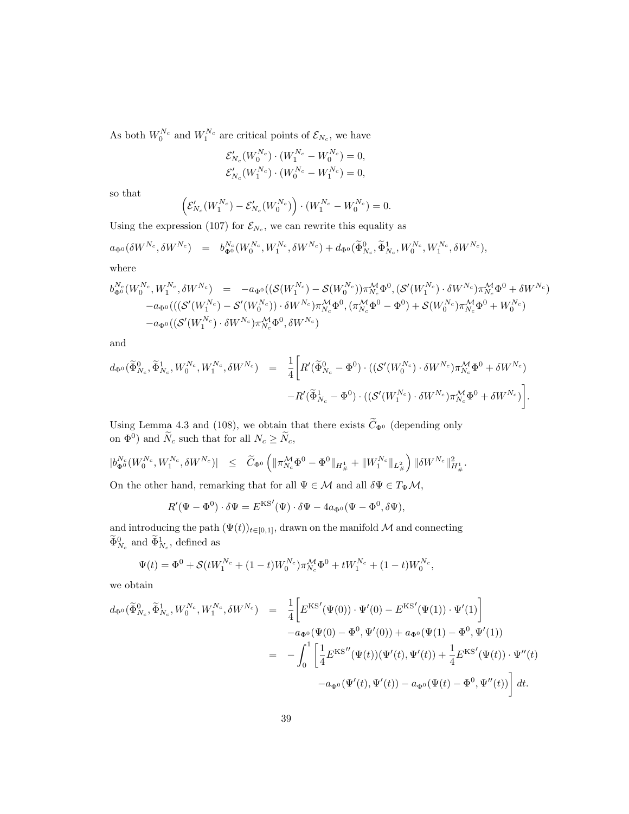As both  $W_0^{N_c}$  and  $W_1^{N_c}$  are critical points of  $\mathcal{E}_{N_c}$ , we have

$$
\mathcal{E}'_{N_c}(W_0^{N_c}) \cdot (W_1^{N_c} - W_0^{N_c}) = 0,
$$
  

$$
\mathcal{E}'_{N_c}(W_1^{N_c}) \cdot (W_0^{N_c} - W_1^{N_c}) = 0,
$$

so that

$$
\left(\mathcal{E}_{N_c}'(W_1^{N_c}) - \mathcal{E}_{N_c}'(W_0^{N_c})\right) \cdot (W_1^{N_c} - W_0^{N_c}) = 0.
$$

Using the expression (107) for  $\mathcal{E}_{N_c}$ , we can rewrite this equality as

$$
a_{\Phi^0}(\delta W^{N_c}, \delta W^{N_c}) = b_{\Phi^0}^{N_c}(W_0^{N_c}, W_1^{N_c}, \delta W^{N_c}) + d_{\Phi^0}(\widetilde{\Phi}^0_{N_c}, \widetilde{\Phi}^1_{N_c}, W_0^{N_c}, W_1^{N_c}, \delta W^{N_c}),
$$
 where

where

$$
\begin{array}{lll} b_{\Phi^0}^{N_c}(W_0^{N_c},W_1^{N_c},\delta W^{N_c})&=&-a_{\Phi^0}((\mathcal{S}(W_1^{N_c})-\mathcal{S}(W_0^{N_c}))\pi_{N_c}^{\mathcal{M}}\Phi^0,(\mathcal{S}'(W_1^{N_c})\cdot\delta W^{N_c})\pi_{N_c}^{\mathcal{M}}\Phi^0+\delta W^{N_c})\\&-a_{\Phi^0}(((\mathcal{S}'(W_1^{N_c})-\mathcal{S}'(W_0^{N_c}))\cdot\delta W^{N_c})\pi_{N_c}^{\mathcal{M}}\Phi^0,(\pi_{N_c}^{\mathcal{M}}\Phi^0-\Phi^0)+\mathcal{S}(W_0^{N_c})\pi_{N_c}^{\mathcal{M}}\Phi^0+W_0^{N_c})\\&-a_{\Phi^0}((\mathcal{S}'(W_1^{N_c})\cdot\delta W^{N_c})\pi_{N_c}^{\mathcal{M}}\Phi^0,\delta W^{N_c})\end{array}
$$

and

$$
d_{\Phi^0}(\widetilde{\Phi}_{N_c}^0, \widetilde{\Phi}_{N_c}^1, W_0^{N_c}, W_1^{N_c}, \delta W^{N_c}) = \frac{1}{4} \bigg[ R'(\widetilde{\Phi}_{N_c}^0 - \Phi^0) \cdot ((\mathcal{S}'(W_0^{N_c}) \cdot \delta W^{N_c}) \pi_{N_c}^{\mathcal{M}} \Phi^0 + \delta W^{N_c}) -R'(\widetilde{\Phi}_{N_c}^1 - \Phi^0) \cdot ((\mathcal{S}'(W_1^{N_c}) \cdot \delta W^{N_c}) \pi_{N_c}^{\mathcal{M}} \Phi^0 + \delta W^{N_c}) \bigg].
$$

Using Lemma 4.3 and (108), we obtain that there exists  $C_{\Phi^0}$  (depending only on  $\Phi^0$ ) and  $\tilde{N}_c$  such that for all  $N_c \ge \tilde{N}_c$ ,

$$
|b^{N_c}_{\Phi^0}(W^{N_c}_0,W^{N_c}_1,\delta W^{N_c})|\quad \leq \quad \widetilde{C}_{\Phi^0}\left(\|\pi^{\mathcal{M}}_{N_c}\Phi^0-\Phi^0\|_{H^1_\#}+\|W^{N_c}_1\|_{L^2_\#}\right)\|\delta W^{N_c}\|_{H^1_\#}^2.
$$

On the other hand, remarking that for all  $\Psi \in \mathcal{M}$  and all  $\delta \Psi \in T_{\Psi} \mathcal{M}$ ,

$$
R'(\Psi - \Phi^0) \cdot \delta \Psi = E^{KS'}(\Psi) \cdot \delta \Psi - 4a_{\Phi^0}(\Psi - \Phi^0, \delta \Psi),
$$

and introducing the path  $(\Psi(t))_{t\in[0,1]}$ , drawn on the manifold  $\mathcal M$  and connecting  $\tilde{\Phi}_{N_c}^0$  and  $\tilde{\Phi}_{N_c}^1$ , defined as

$$
\Psi(t) = \Phi^0 + \mathcal{S}(tW_1^{N_c} + (1-t)W_0^{N_c})\pi_{N_c}^{\mathcal{M}}\Phi^0 + tW_1^{N_c} + (1-t)W_0^{N_c},
$$

we obtain

$$
d_{\Phi^0}(\widetilde{\Phi}_{N_c}^0, \widetilde{\Phi}_{N_c}^1, W_0^{N_c}, W_1^{N_c}, \delta W^{N_c}) = \frac{1}{4} \bigg[ E^{\text{KS}'}(\Psi(0)) \cdot \Psi'(0) - E^{\text{KS}'}(\Psi(1)) \cdot \Psi'(1) \bigg] - a_{\Phi^0}(\Psi(0) - \Phi^0, \Psi'(0)) + a_{\Phi^0}(\Psi(1) - \Phi^0, \Psi'(1)) = - \int_0^1 \bigg[ \frac{1}{4} E^{\text{KS}''}(\Psi(t))(\Psi'(t), \Psi'(t)) + \frac{1}{4} E^{\text{KS}'}(\Psi(t)) \cdot \Psi''(t) - a_{\Phi^0}(\Psi'(t), \Psi'(t)) - a_{\Phi^0}(\Psi(t) - \Phi^0, \Psi''(t)) \bigg] dt.
$$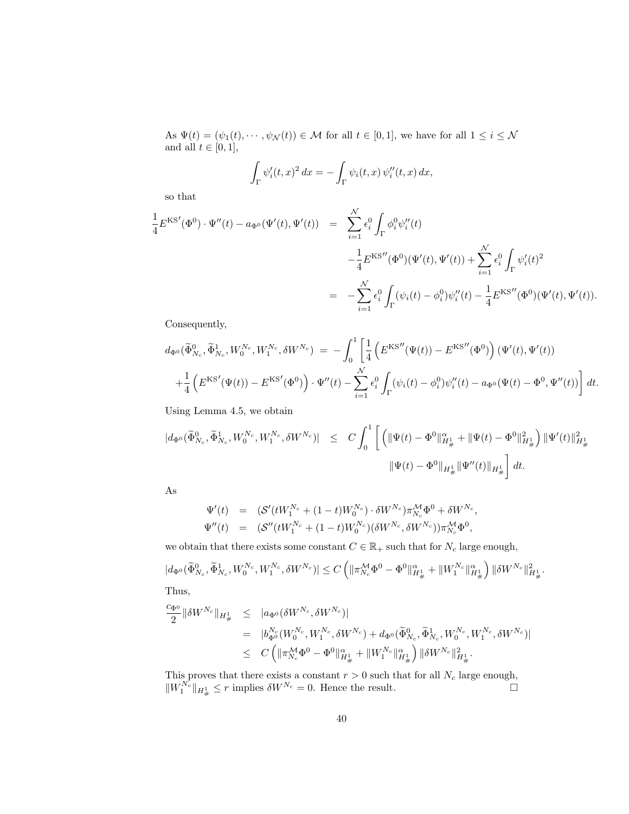As  $\Psi(t) = (\psi_1(t), \cdots, \psi_N(t)) \in \mathcal{M}$  for all  $t \in [0, 1]$ , we have for all  $1 \leq i \leq \mathcal{N}$ and all  $t \in [0, 1]$ ,

$$
\int_{\Gamma} \psi_i'(t,x)^2 dx = -\int_{\Gamma} \psi_i(t,x) \psi_i''(t,x) dx,
$$

so that

$$
\frac{1}{4} E^{KS'}(\Phi^0) \cdot \Psi''(t) - a_{\Phi^0}(\Psi'(t), \Psi'(t)) = \sum_{i=1}^{\mathcal{N}} \epsilon_i^0 \int_{\Gamma} \phi_i^0 \psi_i''(t) \n- \frac{1}{4} E^{KS''}(\Phi^0)(\Psi'(t), \Psi'(t)) + \sum_{i=1}^{\mathcal{N}} \epsilon_i^0 \int_{\Gamma} \psi_i'(t)^2 \n= - \sum_{i=1}^{\mathcal{N}} \epsilon_i^0 \int_{\Gamma} (\psi_i(t) - \phi_i^0) \psi_i''(t) - \frac{1}{4} E^{KS''}(\Phi^0)(\Psi'(t), \Psi'(t)).
$$

Consequently,

$$
d_{\Phi^0}(\tilde{\Phi}_{N_c}^0, \tilde{\Phi}_{N_c}^1, W_0^{N_c}, W_1^{N_c}, \delta W^{N_c}) = -\int_0^1 \left[ \frac{1}{4} \left( E^{KS''}(\Psi(t)) - E^{KS''}(\Phi^0) \right) (\Psi'(t), \Psi'(t)) \right. \\ \left. + \frac{1}{4} \left( E^{KS'}(\Psi(t)) - E^{KS'}(\Phi^0) \right) \cdot \Psi''(t) - \sum_{i=1}^{\mathcal{N}} \epsilon_i^0 \int_{\Gamma} (\psi_i(t) - \phi_i^0) \psi''_i(t) - a_{\Phi^0}(\Psi(t) - \Phi^0, \Psi''(t)) \right] dt.
$$

Using Lemma 4.5, we obtain

$$
\begin{array}{lcl} | d_{\Phi^{0}} ( \widetilde{\Phi}^{0}_{N_c} , \widetilde{\Phi}^{1}_{N_c} , W^{N_c}_0 , W^{N_c}_1 , \delta W^{N_c} ) | & \leq & C \int_0^1 \left[ \ \left( \| \Psi(t) - \Phi^{0} \|_{H^1_{\#}}^2 + \| \Psi(t) - \Phi^{0} \|_{H^1_{\#}}^2 \right) \| \Psi'(t) \|_{H^1_{\#}}^2 \right. \\ & & \qquad \qquad \left. \| \Psi(t) - \Phi^{0} \|_{H^1_{\#}} \| \Psi''(t) \|_{H^1_{\#}} \right] \, dt . \end{array}
$$

As

$$
\Psi'(t) = (S'(tW_1^{N_c} + (1-t)W_0^{N_c}) \cdot \delta W^{N_c})\pi_{N_c}^{\mathcal{M}}\Phi^0 + \delta W^{N_c}, \n\Psi''(t) = (S''(tW_1^{N_c} + (1-t)W_0^{N_c})(\delta W^{N_c}, \delta W^{N_c}))\pi_{N_c}^{\mathcal{M}}\Phi^0,
$$

we obtain that there exists some constant  $C \in \mathbb{R}_+$  such that for  $N_c$  large enough,

$$
|d_{\Phi^0}(\widetilde{\Phi}_{N_c}^0, \widetilde{\Phi}_{N_c}^1, W_0^{N_c}, W_1^{N_c}, \delta W^{N_c})| \le C \left( \|\pi_{N_c}^{\mathcal{M}} \Phi^0 - \Phi^0\|_{H^1_{\#}}^{\alpha} + \|W_1^{N_c}\|_{H^1_{\#}}^{\alpha} \right) \|\delta W^{N_c}\|_{H^1_{\#}}^2.
$$
  
Thus,

$$
\begin{array}{lcl} \frac{c_{\Phi^0}}{2}\|\delta W^{N_c}\|_{H^1_{\#}} & \leq & \left|a_{\Phi^0}(\delta W^{N_c},\delta W^{N_c})\right|\\ & = & \left|b_{\Phi^0}^{N_c}(W^{N_c}_0,W^{N_c}_1,\delta W^{N_c})+d_{\Phi^0}(\widetilde{\Phi}^0_{N_c},\widetilde{\Phi}^1_{N_c},W^{N_c}_0,W^{N_c}_1,\delta W^{N_c})\right|\\ & \leq & C\left(\|\pi_{N_c}^{\mathcal{M}}\Phi^0-\Phi^0\|^{\alpha}_{H^1_{\#}}+\|W^{N_c}_1\|^{\alpha}_{H^1_{\#}}\right)\|\delta W^{N_c}\|^2_{H^1_{\#}}. \end{array}
$$

This proves that there exists a constant  $r > 0$  such that for all  $N_c$  large enough,  $\|W_1^{N_c}\|_{H^1_{\#}} \leq r$  implies  $\delta W^{N_c} = 0$ . Hence the result.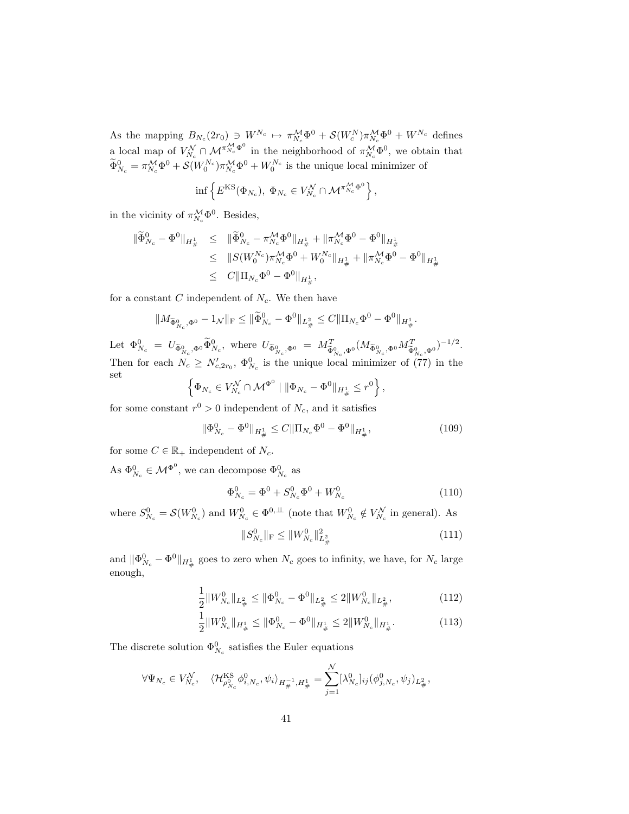As the mapping  $B_{N_c}(2r_0) \ni W^{N_c} \mapsto \pi_{N_c}^{\mathcal{M}} \Phi^0 + \mathcal{S}(W_c^N) \pi_{N_c}^{\mathcal{M}} \Phi^0 + W^{N_c}$  defines a local map of  $V_{N_c}^{\mathcal{N}} \cap \mathcal{M}^{\pi_{N_c}^{\mathcal{M}} \Phi^0}$  in the neighborhood of  $\pi_{N_c}^{\mathcal{M}} \Phi^0$ , we obtain that  $\widetilde{\Phi}_{N_c}^0 = \pi_{N_c}^{\mathcal{M}} \Phi^0 + \mathcal{S}(W_0^{N_c}) \pi_{N_c}^{\mathcal{M}} \Phi^0 + W_0^{N_c}$  is the unique local minimizer of

$$
\inf\left\{E^{\text{KS}}(\Phi_{N_c}),\ \Phi_{N_c}\in V_{N_c}^{\mathcal{N}}\cap\mathcal{M}^{\pi_{N_c}^{\mathcal{M}}\Phi^0}\right\},\
$$

in the vicinity of  $\pi_{N_c}^{\mathcal{M}} \Phi^0$ . Besides,

$$
\begin{array}{rcl}\n\|\tilde{\Phi}_{N_c}^0 - \Phi^0\|_{H^1_{\#}} & \leq & \|\tilde{\Phi}_{N_c}^0 - \pi_{N_c}^{\mathcal{M}}\Phi^0\|_{H^1_{\#}} + \|\pi_{N_c}^{\mathcal{M}}\Phi^0 - \Phi^0\|_{H^1_{\#}} \\
& \leq & \|\boldsymbol{S}(\boldsymbol{W}_0^{N_c})\pi_{N_c}^{\mathcal{M}}\Phi^0 + \boldsymbol{W}_0^{N_c}\|_{H^1_{\#}} + \|\pi_{N_c}^{\mathcal{M}}\Phi^0 - \Phi^0\|_{H^1_{\#}} \\
& \leq & C\|\Pi_{N_c}\Phi^0 - \Phi^0\|_{H^1_{\#}},\n\end{array}
$$

for a constant C independent of  $N_c$ . We then have

$$
\|M_{\widetilde{\Phi}_{N_c}^0,\Phi^0}-1_{\mathcal{N}}\|_{\rm F}\leq \|\widetilde{\Phi}_{N_c}^0-\Phi^0\|_{L^2_\#}\leq C\|\Pi_{N_c}\Phi^0-\Phi^0\|_{H^1_\#}.
$$

Let  $\Phi^0_{N_c} = U_{\tilde{\Phi}^0_{N_c}, \Phi^0} \tilde{\Phi}^0_{N_c}$ , where  $U_{\tilde{\Phi}^0_{N_c}, \Phi^0} = M_{\tilde{\Phi}^0_{N_c}, \Phi^0}^T (M_{\tilde{\Phi}^0_{N_c}, \Phi^0} M_{\tilde{\Phi}^0_{N_c}, \Phi^0}^T)^{-1/2}$ . Then for each  $N_c \ge N'_{c,2r_0}$ ,  $\Phi^0_{N_c}$  is the unique local minimizer of (77) in the set 0

$$
\left\{\Phi_{N_c} \in V_{N_c}^{\mathcal{N}} \cap \mathcal{M}^{\Phi^0} \mid \|\Phi_{N_c} - \Phi^0\|_{H^1_{\#}} \leq r^0\right\},\
$$

for some constant  $r^0 > 0$  independent of  $N_c$ , and it satisfies

$$
\|\Phi_{N_c}^0 - \Phi^0\|_{H^1_{\#}} \le C \|\Pi_{N_c}\Phi^0 - \Phi^0\|_{H^1_{\#}},\tag{109}
$$

for some  $C \in \mathbb{R}_+$  independent of  $N_c$ .

As  $\Phi_{N_c}^0 \in \mathcal{M}^{\Phi^0}$ , we can decompose  $\Phi_{N_c}^0$  as

$$
\Phi_{N_c}^0 = \Phi^0 + S_{N_c}^0 \Phi^0 + W_{N_c}^0 \tag{110}
$$

where  $S_{N_c}^0 = \mathcal{S}(W_{N_c}^0)$  and  $W_{N_c}^0 \in \Phi^{0,\perp\perp}$  (note that  $W_{N_c}^0 \notin V_{N_c}^{\mathcal{N}}$  in general). As

$$
||S_{N_c}^0||_{\mathcal{F}} \le ||W_{N_c}^0||_{L^2_{\#}}^2 \tag{111}
$$

and  $\|\Phi_{N_c}^0 - \Phi^0\|_{H^1_{\#}}$  goes to zero when  $N_c$  goes to infinity, we have, for  $N_c$  large enough,

$$
\frac{1}{2}||W_{N_c}^0||_{L^2_{\#}} \le ||\Phi_{N_c}^0 - \Phi^0||_{L^2_{\#}} \le 2||W_{N_c}^0||_{L^2_{\#}},\tag{112}
$$

$$
\frac{1}{2}||W_{N_c}^0||_{H^1_{\#}} \le ||\Phi_{N_c}^0 - \Phi^0||_{H^1_{\#}} \le 2||W_{N_c}^0||_{H^1_{\#}}.\tag{113}
$$

The discrete solution  $\Phi_{N_c}^0$  satisfies the Euler equations

$$
\forall \Psi_{N_c} \in V_{N_c}^{\mathcal{N}}, \quad \langle \mathcal{H}_{\rho_{N_c}^0}^{\text{KS}} \phi_{i,N_c}^0, \psi_i \rangle_{H^{-1}_\#, H^1_\#} = \sum_{j=1}^{\mathcal{N}} [\lambda_{N_c}^0]_{ij} (\phi_{j,N_c}^0, \psi_j)_{L^2_\#},
$$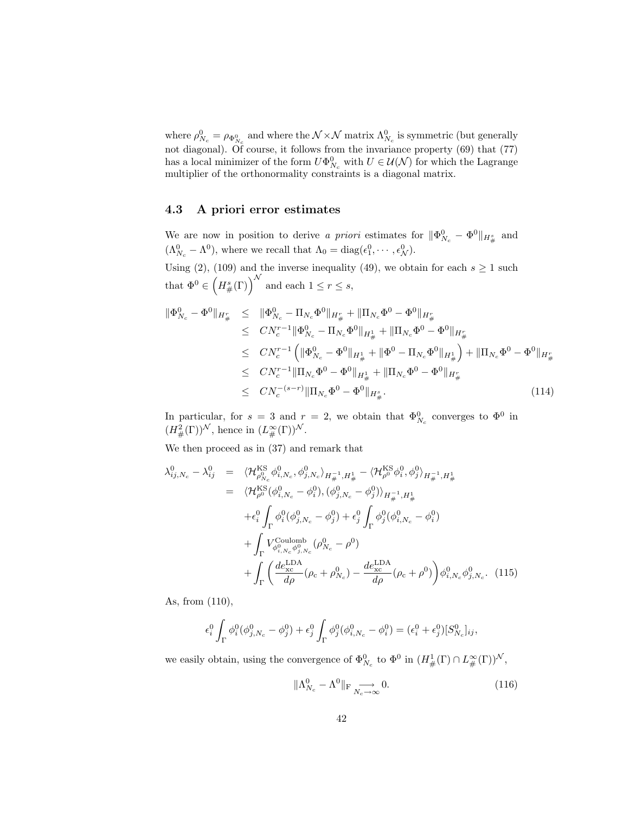where  $\rho_{N_c}^0 = \rho_{\Phi_{N_c}^0}$  and where the  $\mathcal{N} \times \mathcal{N}$  matrix  $\Lambda_{N_c}^0$  is symmetric (but generally not diagonal). Of course, it follows from the invariance property (69) that (77) has a local minimizer of the form  $U\Phi_{N_c}^0$  with  $U \in \mathcal{U}(\mathcal{N})$  for which the Lagrange multiplier of the orthonormality constraints is a diagonal matrix.

### 4.3 A priori error estimates

We are now in position to derive a priori estimates for  $\|\Phi_{N_c}^0 - \Phi^0\|_{H^s_{\#}}$  and  $(\Lambda_{N_c}^0 - \Lambda^0)$ , where we recall that  $\Lambda_0 = \text{diag}(\epsilon_1^0, \cdots, \epsilon_N^0)$ .

Using (2), (109) and the inverse inequality (49), we obtain for each  $s \ge 1$  such that  $\Phi^0 \in \left(H^s_{\#}(\Gamma)\right)^{\mathcal{N}}$  and each  $1 \leq r \leq s$ ,

$$
\begin{split} \|\Phi_{N_c}^0 - \Phi^0\|_{H^r_{\#}} &\leq \|\Phi_{N_c}^0 - \Pi_{N_c}\Phi^0\|_{H^r_{\#}} + \|\Pi_{N_c}\Phi^0 - \Phi^0\|_{H^r_{\#}} \\ &\leq CN_c^{r-1} \|\Phi_{N_c}^0 - \Pi_{N_c}\Phi^0\|_{H^1_{\#}} + \|\Pi_{N_c}\Phi^0 - \Phi^0\|_{H^r_{\#}} \\ &\leq CN_c^{r-1} \left( \|\Phi_{N_c}^0 - \Phi^0\|_{H^1_{\#}} + \|\Phi^0 - \Pi_{N_c}\Phi^0\|_{H^1_{\#}} \right) + \|\Pi_{N_c}\Phi^0 - \Phi^0\|_{H^r_{\#}} \\ &\leq CN_c^{r-1} \|\Pi_{N_c}\Phi^0 - \Phi^0\|_{H^1_{\#}} + \|\Pi_{N_c}\Phi^0 - \Phi^0\|_{H^r_{\#}} \end{split} \tag{114}
$$

In particular, for  $s = 3$  and  $r = 2$ , we obtain that  $\Phi_{N_c}^0$  converges to  $\Phi^0$  in  $(H^2_{\#}(\Gamma))^{\mathcal{N}}$ , hence in  $(L^{\infty}_{\#}(\Gamma))^{\mathcal{N}}$ .

We then proceed as in (37) and remark that

$$
\lambda_{ij,N_c}^0 - \lambda_{ij}^0 = \langle \mathcal{H}_{\rho_{N_c}^0}^{KS} \phi_{i,N_c}^0, \phi_{j,N_c}^0 \rangle_{H_{\#}^{-1}, H_{\#}^1} - \langle \mathcal{H}_{\rho^0}^{KS} \phi_i^0, \phi_j^0 \rangle_{H_{\#}^{-1}, H_{\#}^1}
$$
\n
$$
= \langle \mathcal{H}_{\rho^0}^{KS} (\phi_{i,N_c}^0 - \phi_i^0), (\phi_{j,N_c}^0 - \phi_j^0) \rangle_{H_{\#}^{-1}, H_{\#}^1}
$$
\n
$$
+ \epsilon_i^0 \int_{\Gamma} \phi_i^0 (\phi_{j,N_c}^0 - \phi_j^0) + \epsilon_j^0 \int_{\Gamma} \phi_j^0 (\phi_{i,N_c}^0 - \phi_i^0)
$$
\n
$$
+ \int_{\Gamma} V_{\phi_{i,N_c}^0 \phi_{j,N_c}^0}^{\text{Coulomb}} (\rho_{N_c}^0 - \rho^0)
$$
\n
$$
+ \int_{\Gamma} \left( \frac{de_{xc}^{\text{LDA}}}{d\rho} (\rho_c + \rho_{N_c}^0) - \frac{de_{xc}^{\text{LDA}}}{d\rho} (\rho_c + \rho^0) \right) \phi_{i,N_c}^0 \phi_{j,N_c}^0. \quad (115)
$$

As, from (110),

$$
\epsilon_i^0 \int_{\Gamma} \phi_i^0 (\phi_{j,N_c}^0 - \phi_j^0) + \epsilon_j^0 \int_{\Gamma} \phi_j^0 (\phi_{i,N_c}^0 - \phi_i^0) = (\epsilon_i^0 + \epsilon_j^0) [S_{N_c}^0]_{ij},
$$

we easily obtain, using the convergence of  $\Phi_{N_c}^0$  to  $\Phi^0$  in  $(H^1_{\#}(\Gamma) \cap L^{\infty}_{\#}(\Gamma))^{\mathcal{N}}$ ,

$$
\|\Lambda_{N_c}^0 - \Lambda^0\|_{\text{F}} \underset{N_c \to \infty}{\longrightarrow} 0. \tag{116}
$$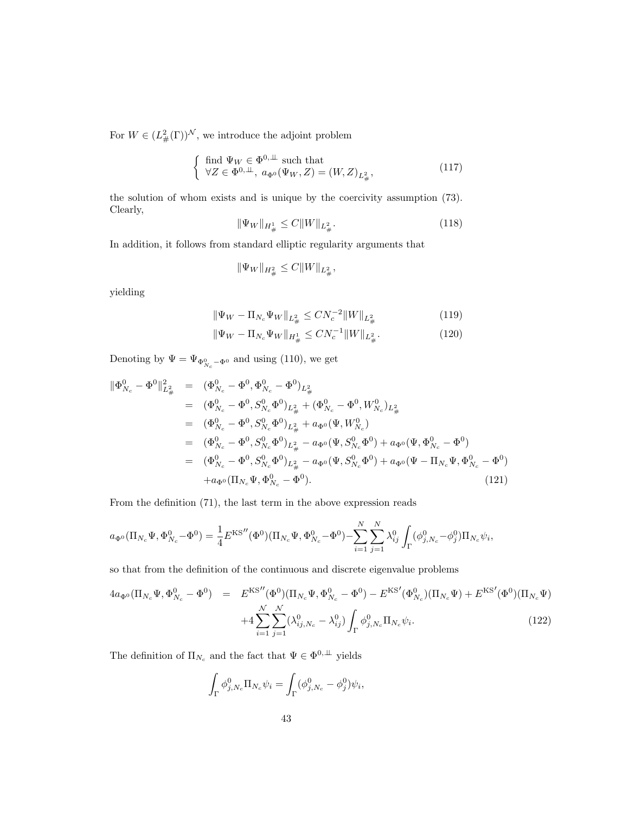For  $W \in (L^2_{\#}(\Gamma))^{\mathcal{N}}$ , we introduce the adjoint problem

$$
\begin{cases} \text{ find } \Psi_W \in \Phi^{0,\perp} \text{ such that} \\ \forall Z \in \Phi^{0,\perp}, \ a_{\Phi^0}(\Psi_W, Z) = (W, Z)_{L^2_{\#}}, \end{cases} \tag{117}
$$

the solution of whom exists and is unique by the coercivity assumption (73). Clearly,

$$
\|\Psi_W\|_{H^1_{\#}} \le C \|W\|_{L^2_{\#}}.\tag{118}
$$

In addition, it follows from standard elliptic regularity arguments that

$$
\|\Psi_W\|_{H^2_{\#}} \leq C \|W\|_{L^2_{\#}},
$$

yielding

$$
\|\Psi_W - \Pi_{N_c}\Psi_W\|_{L^2_{\#}} \leq CN_c^{-2} \|W\|_{L^2_{\#}} \tag{119}
$$

$$
\|\Psi_W - \Pi_{N_c}\Psi_W\|_{H^1_{\#}} \leq C N_c^{-1} \|W\|_{L^2_{\#}}.
$$
\n(120)

Denoting by  $\Psi = \Psi_{\Phi_{N_c}^0 - \Phi^0}$  and using (110), we get

$$
\begin{split}\n\|\Phi_{N_c}^0 - \Phi^0\|_{L^2_{\#}}^2 &= (\Phi_{N_c}^0 - \Phi^0, \Phi_{N_c}^0 - \Phi^0)_{L^2_{\#}} \\
&= (\Phi_{N_c}^0 - \Phi^0, S_{N_c}^0 \Phi^0)_{L^2_{\#}} + (\Phi_{N_c}^0 - \Phi^0, W_{N_c}^0)_{L^2_{\#}} \\
&= (\Phi_{N_c}^0 - \Phi^0, S_{N_c}^0 \Phi^0)_{L^2_{\#}} + a_{\Phi^0}(\Psi, W_{N_c}^0) \\
&= (\Phi_{N_c}^0 - \Phi^0, S_{N_c}^0 \Phi^0)_{L^2_{\#}} - a_{\Phi^0}(\Psi, S_{N_c}^0 \Phi^0) + a_{\Phi^0}(\Psi, \Phi_{N_c}^0 - \Phi^0) \\
&= (\Phi_{N_c}^0 - \Phi^0, S_{N_c}^0 \Phi^0)_{L^2_{\#}} - a_{\Phi^0}(\Psi, S_{N_c}^0 \Phi^0) + a_{\Phi^0}(\Psi - \Pi_{N_c} \Psi, \Phi_{N_c}^0 - \Phi^0) \\
&\quad + a_{\Phi^0}(\Pi_{N_c} \Psi, \Phi_{N_c}^0 - \Phi^0).\n\end{split} \tag{121}
$$

From the definition (71), the last term in the above expression reads

$$
a_{\Phi^0}(\Pi_{N_c}\Psi,\Phi^0_{N_c}-\Phi^0)=\frac{1}{4}E^{\text{KS}''}(\Phi^0)(\Pi_{N_c}\Psi,\Phi^0_{N_c}-\Phi^0)-\sum_{i=1}^N\sum_{j=1}^N\lambda_{ij}^0\int_{\Gamma}(\phi^0_{j,N_c}-\phi^0_j)\Pi_{N_c}\psi_i,
$$

so that from the definition of the continuous and discrete eigenvalue problems

$$
4a_{\Phi^0}(\Pi_{N_c}\Psi, \Phi_{N_c}^0 - \Phi^0) = E^{KS''}(\Phi^0)(\Pi_{N_c}\Psi, \Phi_{N_c}^0 - \Phi^0) - E^{KS'}(\Phi_{N_c}^0)(\Pi_{N_c}\Psi) + E^{KS'}(\Phi^0)(\Pi_{N_c}\Psi) + 4\sum_{i=1}^{\mathcal{N}} \sum_{j=1}^{\mathcal{N}} (\lambda_{ij,N_c}^0 - \lambda_{ij}^0) \int_{\Gamma} \phi_{j,N_c}^0 \Pi_{N_c}\psi_i.
$$
\n(122)

The definition of  $\Pi_{N_c}$  and the fact that  $\Psi \in \Phi^{0,\perp\perp}$  yields

$$
\int_{\Gamma} \phi_{j,N_c}^0 \Pi_{N_c} \psi_i = \int_{\Gamma} (\phi_{j,N_c}^0 - \phi_j^0) \psi_i,
$$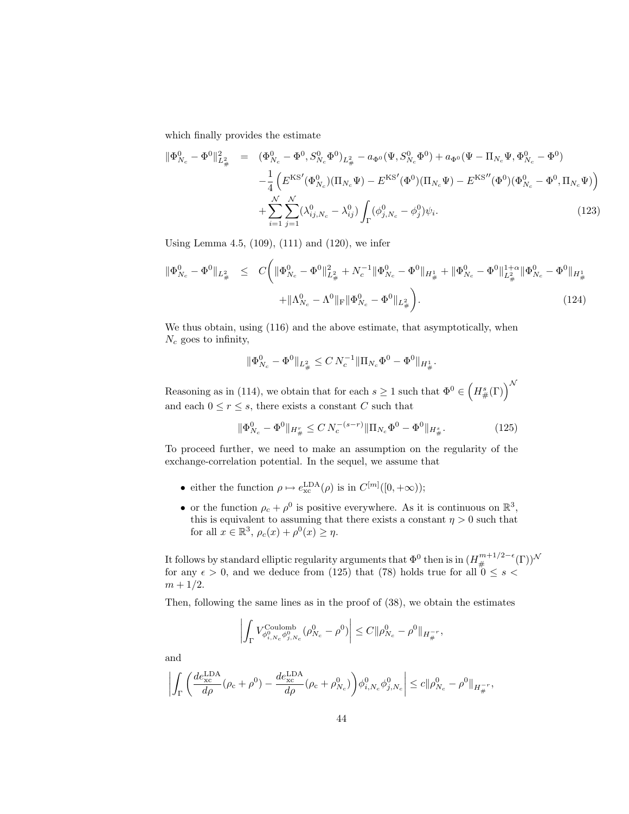which finally provides the estimate

$$
\|\Phi_{N_c}^0 - \Phi^0\|_{L^2_{\#}}^2 = (\Phi_{N_c}^0 - \Phi^0, S_{N_c}^0 \Phi^0)_{L^2_{\#}} - a_{\Phi^0}(\Psi, S_{N_c}^0 \Phi^0) + a_{\Phi^0}(\Psi - \Pi_{N_c} \Psi, \Phi_{N_c}^0 - \Phi^0) - \frac{1}{4} \left( E^{\text{KS}'}(\Phi_{N_c}^0)(\Pi_{N_c} \Psi) - E^{\text{KS}'}(\Phi^0)(\Pi_{N_c} \Psi) - E^{\text{KS}''}(\Phi^0)(\Phi_{N_c}^0 - \Phi^0, \Pi_{N_c} \Psi) \right) + \sum_{i=1}^N \sum_{j=1}^N (\lambda_{ij, N_c}^0 - \lambda_{ij}^0) \int_{\Gamma} (\phi_{j, N_c}^0 - \phi_j^0) \psi_i.
$$
 (123)

Using Lemma 4.5, (109), (111) and (120), we infer

$$
\|\Phi_{N_c}^0 - \Phi^0\|_{L^2_{\#}} \leq C \bigg( \|\Phi_{N_c}^0 - \Phi^0\|_{L^2_{\#}}^2 + N_c^{-1} \|\Phi_{N_c}^0 - \Phi^0\|_{H^1_{\#}} + \|\Phi_{N_c}^0 - \Phi^0\|_{L^2_{\#}}^{1+\alpha} \|\Phi_{N_c}^0 - \Phi^0\|_{H^1_{\#}}^{1+\alpha} \big)
$$
  
+ 
$$
\|\Lambda_{N_c}^0 - \Lambda^0\|_{\mathrm{F}} \|\Phi_{N_c}^0 - \Phi^0\|_{L^2_{\#}} \bigg). \tag{124}
$$

We thus obtain, using (116) and the above estimate, that asymptotically, when  $N_c$  goes to infinity,

$$
\|\Phi_{N_c}^0-\Phi^0\|_{L^2_\#}\leq C\,N_c^{-1}\|\Pi_{N_c}\Phi^0-\Phi^0\|_{H^1_\#}.
$$

Reasoning as in (114), we obtain that for each  $s \geq 1$  such that  $\Phi^0 \in \left(H^s_{\#}(\Gamma)\right)^{\mathcal{N}}$ and each  $0 \le r \le s$ , there exists a constant C such that

$$
\|\Phi_{N_c}^0 - \Phi^0\|_{H^r_{\#}} \le C N_c^{-(s-r)} \|\Pi_{N_c} \Phi^0 - \Phi^0\|_{H^s_{\#}}.
$$
\n(125)

To proceed further, we need to make an assumption on the regularity of the exchange-correlation potential. In the sequel, we assume that

- either the function  $\rho \mapsto e_{\rm xc}^{\rm LDA}(\rho)$  is in  $C^{[m]}([0, +\infty))$ ;
- or the function  $\rho_c + \rho^0$  is positive everywhere. As it is continuous on  $\mathbb{R}^3$ , this is equivalent to assuming that there exists a constant  $\eta > 0$  such that for all  $x \in \mathbb{R}^3$ ,  $\rho_c(x) + \rho^0(x) \geq \eta$ .

It follows by standard elliptic regularity arguments that  $\Phi^0$  then is in  $(H^{m+1/2-\epsilon}_\#(\Gamma))^\mathcal{N}$ for any  $\epsilon > 0$ , and we deduce from (125) that (78) holds true for all  $0 \leq s <$  $m + 1/2.$ 

Then, following the same lines as in the proof of (38), we obtain the estimates

$$
\left| \int_{\Gamma} V_{\phi_{i,N_c}^0 \phi_{j,N_c}^0}^{\text{Coulomb}}(\rho_{N_c}^0 - \rho^0) \right| \leq C \| \rho_{N_c}^0 - \rho^0 \|_{H^{-r}_\#},
$$

and

$$
\left|\int_{\Gamma}\left(\frac{de^{\rm LDA}_{\rm xc}}{d\rho}(\rho_{\rm c}+\rho^0)-\frac{de^{\rm LDA}_{\rm xc}}{d\rho}(\rho_{\rm c}+\rho^0_{N_{\rm c}})\right)\!\phi^0_{i,N_{\rm c}}\phi^0_{j,N_{\rm c}}\right|\leq c\|\rho^0_{N_{\rm c}}-\rho^0\|_{H^{-r}_{\#}},
$$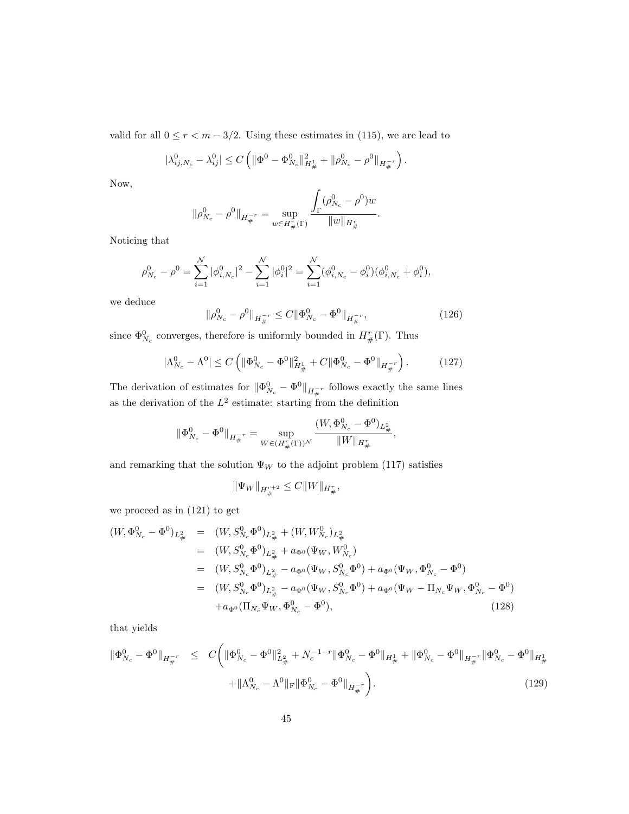valid for all  $0 \le r < m - 3/2$ . Using these estimates in (115), we are lead to

$$
|\lambda_{ij,N_c}^0 - \lambda_{ij}^0| \le C \left( \|\Phi^0 - \Phi_{N_c}^0\|_{H^1_{\#}}^2 + \|\rho_{N_c}^0 - \rho^0\|_{H^{-r}_{\#}} \right).
$$

Now,

$$
\|\rho_{N_c}^0 - \rho^0\|_{H^{-r}_{\#}} = \sup_{w \in H^r_{\#}(\Gamma)} \frac{\int_{\Gamma} (\rho_{N_c}^0 - \rho^0) w}{\|w\|_{H^r_{\#}}}.
$$

Noticing that

$$
\rho^0_{N_c}-\rho^0=\sum_{i=1}^{\mathcal{N}}|\phi^0_{i,N_c}|^2-\sum_{i=1}^{\mathcal{N}}|\phi^0_i|^2=\sum_{i=1}^{\mathcal{N}}(\phi^0_{i,N_c}-\phi^0_i)(\phi^0_{i,N_c}+\phi^0_i),
$$

we deduce

$$
\|\rho_{N_c}^0 - \rho^0\|_{H^{-r}_{\#}} \le C \|\Phi_{N_c}^0 - \Phi^0\|_{H^{-r}_{\#}},
$$
\n(126)

since  $\Phi_{N_c}^0$  converges, therefore is uniformly bounded in  $H^r_{\#}(\Gamma)$ . Thus

$$
|\Lambda_{N_c}^0 - \Lambda^0| \le C \left( \|\Phi_{N_c}^0 - \Phi^0\|_{H^1_\#}^2 + C \|\Phi_{N_c}^0 - \Phi^0\|_{H^{-r}_\#} \right). \tag{127}
$$

The derivation of estimates for  $\|\Phi_{N_c}^0 - \Phi^0\|_{H^{-r}_{\#}}$  follows exactly the same lines as the derivation of the  $L^2$  estimate: starting from the definition

$$
\|\Phi_{N_c}^0-\Phi^0\|_{H^{-r}_\#}=\sup_{W\in (H^r_\#(\Gamma))^\mathcal{N}}\frac{(W,\Phi_{N_c}^0-\Phi^0)_{L^2_\#}}{\|W\|_{H^r_\#}},
$$

and remarking that the solution  $\Psi_W$  to the adjoint problem (117) satisfies

$$
\|\Psi_W\|_{H^{r+2}_\#}\leq C \|W\|_{H^r_\#},
$$

we proceed as in (121) to get

$$
(W, \Phi_{N_c}^0 - \Phi^0)_{L^2_{\#}} = (W, S_{N_c}^0 \Phi^0)_{L^2_{\#}} + (W, W_{N_c}^0)_{L^2_{\#}}
$$
  
\n
$$
= (W, S_{N_c}^0 \Phi^0)_{L^2_{\#}} + a_{\Phi^0}(\Psi_W, W_{N_c}^0)
$$
  
\n
$$
= (W, S_{N_c}^0 \Phi^0)_{L^2_{\#}} - a_{\Phi^0}(\Psi_W, S_{N_c}^0 \Phi^0) + a_{\Phi^0}(\Psi_W, \Phi_{N_c}^0 - \Phi^0)
$$
  
\n
$$
= (W, S_{N_c}^0 \Phi^0)_{L^2_{\#}} - a_{\Phi^0}(\Psi_W, S_{N_c}^0 \Phi^0) + a_{\Phi^0}(\Psi_W - \Pi_{N_c} \Psi_W, \Phi_{N_c}^0 - \Phi^0)
$$
  
\n
$$
+ a_{\Phi^0}(\Pi_{N_c} \Psi_W, \Phi_{N_c}^0 - \Phi^0),
$$
\n(128)

that yields

$$
\|\Phi_{N_c}^0 - \Phi^0\|_{H_{\#}^{-r}} \leq C \bigg( \|\Phi_{N_c}^0 - \Phi^0\|_{L_{\#}^2}^2 + N_c^{-1-r} \|\Phi_{N_c}^0 - \Phi^0\|_{H_{\#}^1} + \|\Phi_{N_c}^0 - \Phi^0\|_{H_{\#}^{-r}} \|\Phi_{N_c}^0 - \Phi^0\|_{H_{\#}^1}
$$
  
+ 
$$
|\Lambda_{N_c}^0 - \Lambda^0\|_{\mathrm{F}} \|\Phi_{N_c}^0 - \Phi^0\|_{H_{\#}^{-r}} \bigg). \tag{129}
$$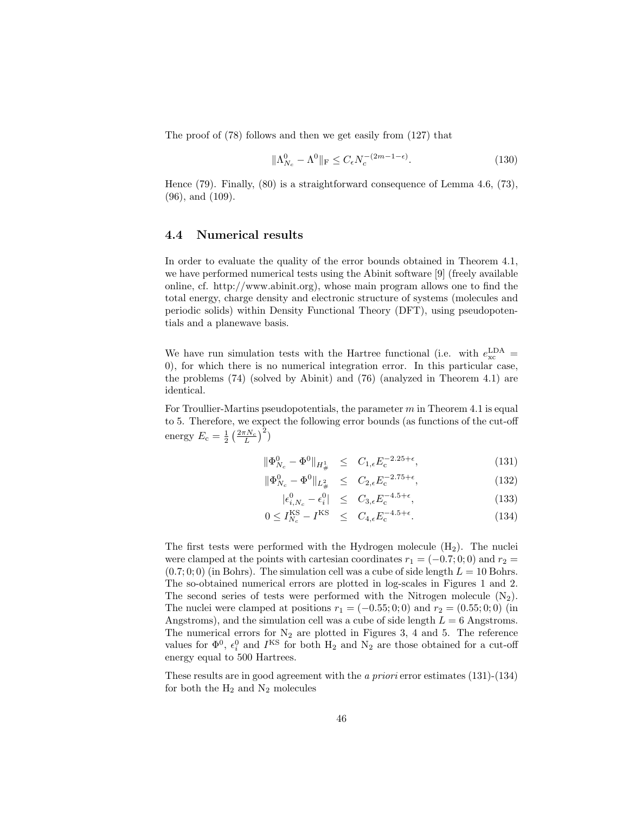The proof of (78) follows and then we get easily from (127) that

$$
\|\Lambda_{N_c}^0 - \Lambda^0\|_{\mathcal{F}} \le C_\epsilon N_c^{-(2m-1-\epsilon)}.\tag{130}
$$

Hence (79). Finally, (80) is a straightforward consequence of Lemma 4.6, (73), (96), and (109).

#### 4.4 Numerical results

In order to evaluate the quality of the error bounds obtained in Theorem 4.1, we have performed numerical tests using the Abinit software [9] (freely available online, cf. http://www.abinit.org), whose main program allows one to find the total energy, charge density and electronic structure of systems (molecules and periodic solids) within Density Functional Theory (DFT), using pseudopotentials and a planewave basis.

We have run simulation tests with the Hartree functional (i.e. with  $e_{\rm xc}^{\rm LDA}$  = 0), for which there is no numerical integration error. In this particular case, the problems (74) (solved by Abinit) and (76) (analyzed in Theorem 4.1) are identical.

For Troullier-Martins pseudopotentials, the parameter  $m$  in Theorem 4.1 is equal to 5. Therefore, we expect the following error bounds (as functions of the cut-off energy  $E_c = \frac{1}{2} \left( \frac{2 \pi N_c}{L} \right)^2$ 

$$
\|\Phi_{N_c}^0 - \Phi^0\|_{H^1_{\#}} \le C_{1,\epsilon} E_c^{-2.25 + \epsilon},\tag{131}
$$

$$
\|\Phi_{N_c}^0 - \Phi^0\|_{L^2_{\#}} \le C_{2,\epsilon} E_c^{-2.75 + \epsilon}, \tag{132}
$$

$$
|\epsilon_{i,N_c}^0 - \epsilon_i^0| \leq C_{3,\epsilon} E_c^{-4.5+\epsilon}, \tag{133}
$$

$$
0 \le I_{N_c}^{\text{KS}} - I^{\text{KS}} \le C_{4,\epsilon} E_c^{-4.5 + \epsilon}.
$$
 (134)

The first tests were performed with the Hydrogen molecule  $(H_2)$ . The nuclei were clamped at the points with cartesian coordinates  $r_1 = (-0.7; 0; 0)$  and  $r_2 =$  $(0.7; 0; 0)$  (in Bohrs). The simulation cell was a cube of side length  $L = 10$  Bohrs. The so-obtained numerical errors are plotted in log-scales in Figures 1 and 2. The second series of tests were performed with the Nitrogen molecule  $(N_2)$ . The nuclei were clamped at positions  $r_1 = (-0.55; 0; 0)$  and  $r_2 = (0.55; 0; 0)$  (in Angstroms), and the simulation cell was a cube of side length  $L = 6$  Angstroms. The numerical errors for  $N_2$  are plotted in Figures 3, 4 and 5. The reference values for  $\Phi^0$ ,  $\epsilon_i^0$  and  $I^{KS}$  for both  $H_2$  and  $N_2$  are those obtained for a cut-off energy equal to 500 Hartrees.

These results are in good agreement with the a priori error estimates (131)-(134) for both the  $\rm H_2$  and  $\rm N_2$  molecules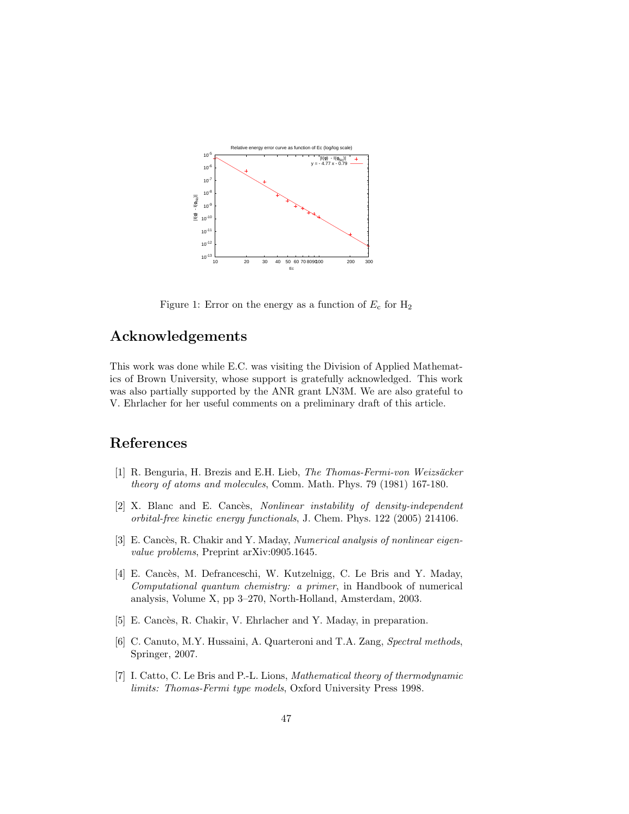

Figure 1: Error on the energy as a function of  $E_c$  for  $H_2$ 

# Acknowledgements

This work was done while E.C. was visiting the Division of Applied Mathematics of Brown University, whose support is gratefully acknowledged. This work was also partially supported by the ANR grant LN3M. We are also grateful to V. Ehrlacher for her useful comments on a preliminary draft of this article.

# References

- [1] R. Benguria, H. Brezis and E.H. Lieb, The Thomas-Fermi-von Weizsäcker theory of atoms and molecules, Comm. Math. Phys. 79 (1981) 167-180.
- [2] X. Blanc and E. Cancès, *Nonlinear instability of density-independent* orbital-free kinetic energy functionals, J. Chem. Phys. 122 (2005) 214106.
- [3] E. Cancès, R. Chakir and Y. Maday, Numerical analysis of nonlinear eigenvalue problems, Preprint arXiv:0905.1645.
- [4] E. Cancès, M. Defranceschi, W. Kutzelnigg, C. Le Bris and Y. Maday, Computational quantum chemistry: a primer, in Handbook of numerical analysis, Volume X, pp 3–270, North-Holland, Amsterdam, 2003.
- [5] E. Cancès, R. Chakir, V. Ehrlacher and Y. Maday, in preparation.
- [6] C. Canuto, M.Y. Hussaini, A. Quarteroni and T.A. Zang, Spectral methods, Springer, 2007.
- [7] I. Catto, C. Le Bris and P.-L. Lions, Mathematical theory of thermodynamic limits: Thomas-Fermi type models, Oxford University Press 1998.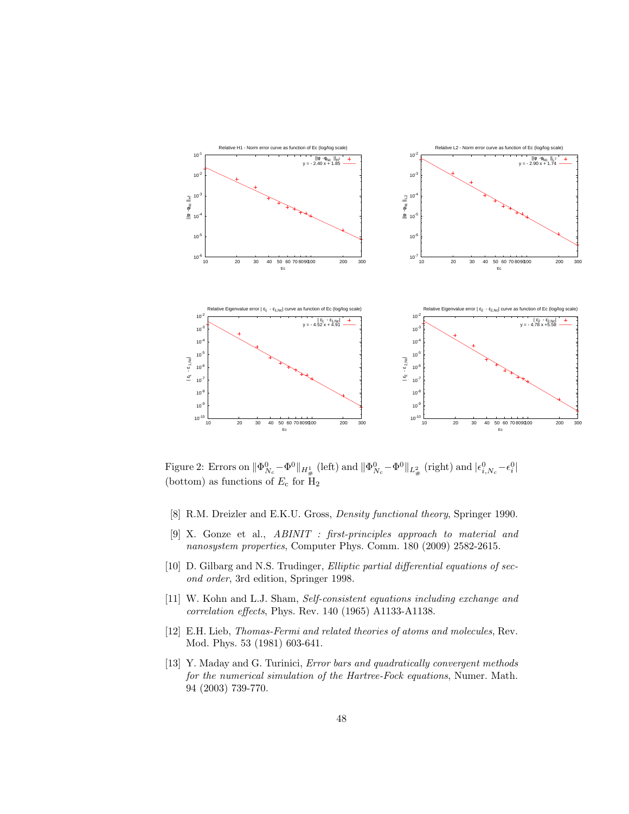

Figure 2: Errors on  $\|\Phi_{N_c}^0 - \Phi^0\|_{H^1_{\#}}$  (left) and  $\|\Phi_{N_c}^0 - \Phi^0\|_{L^2_{\#}}$  (right) and  $|\epsilon_{i,N_c}^0 - \epsilon_i^0|$ (bottom) as functions of  $E_c$  for  $H_2$ 

- [8] R.M. Dreizler and E.K.U. Gross, Density functional theory, Springer 1990.
- [9] X. Gonze et al., ABINIT : first-principles approach to material and nanosystem properties, Computer Phys. Comm. 180 (2009) 2582-2615.
- [10] D. Gilbarg and N.S. Trudinger, Elliptic partial differential equations of second order, 3rd edition, Springer 1998.
- [11] W. Kohn and L.J. Sham, Self-consistent equations including exchange and correlation effects, Phys. Rev. 140 (1965) A1133-A1138.
- [12] E.H. Lieb, Thomas-Fermi and related theories of atoms and molecules, Rev. Mod. Phys. 53 (1981) 603-641.
- [13] Y. Maday and G. Turinici, *Error bars and quadratically convergent methods* for the numerical simulation of the Hartree-Fock equations, Numer. Math. 94 (2003) 739-770.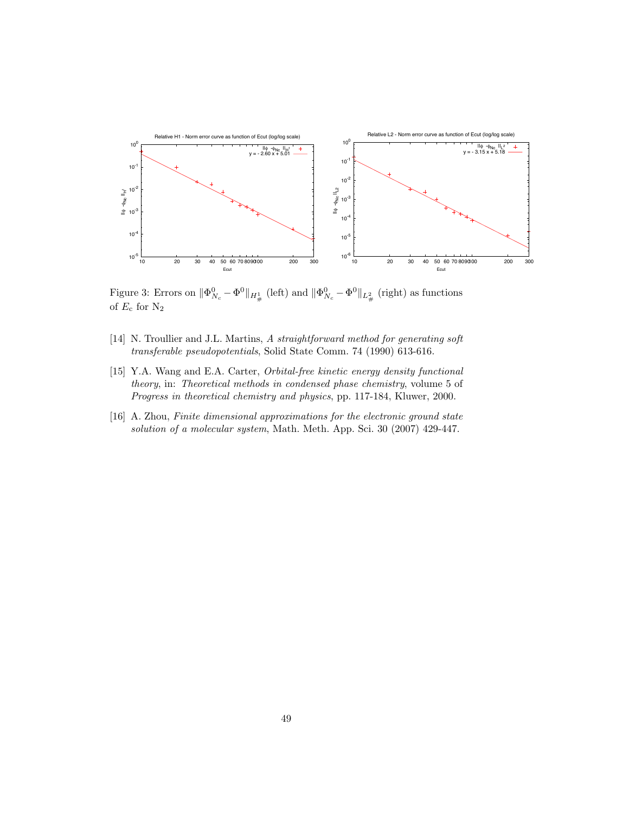

Figure 3: Errors on  $\|\Phi_{N_c}^0 - \Phi^0\|_{H^1_{\#}}$  (left) and  $\|\Phi_{N_c}^0 - \Phi^0\|_{L^2_{\#}}$  (right) as functions of  $E_c$  for  $N_2$ 

- [14] N. Troullier and J.L. Martins, A straightforward method for generating soft transferable pseudopotentials, Solid State Comm. 74 (1990) 613-616.
- [15] Y.A. Wang and E.A. Carter, Orbital-free kinetic energy density functional theory, in: Theoretical methods in condensed phase chemistry, volume 5 of Progress in theoretical chemistry and physics, pp. 117-184, Kluwer, 2000.
- [16] A. Zhou, Finite dimensional approximations for the electronic ground state solution of a molecular system, Math. Meth. App. Sci. 30 (2007) 429-447.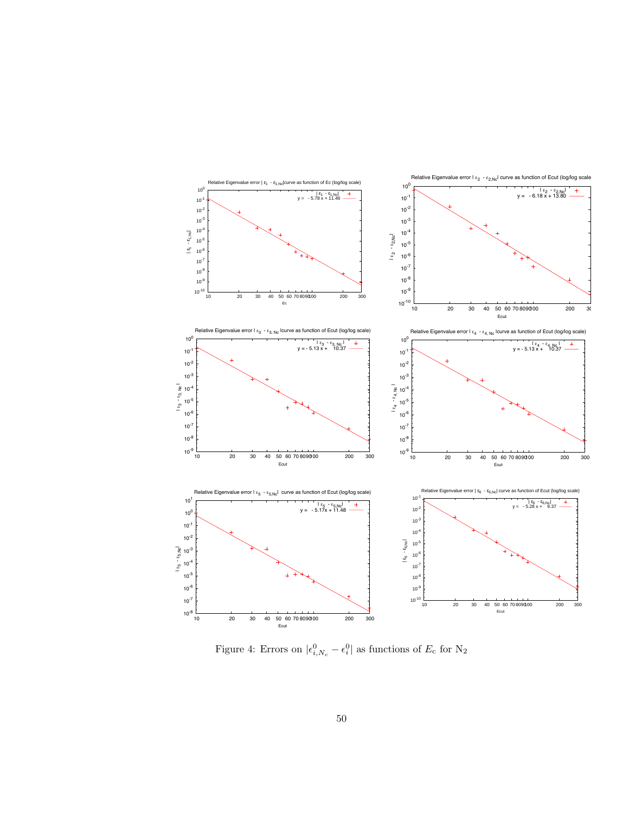

Figure 4: Errors on  $|\epsilon_{i,N_c}^0 - \epsilon_i^0|$  as functions of  $E_c$  for  $N_2$